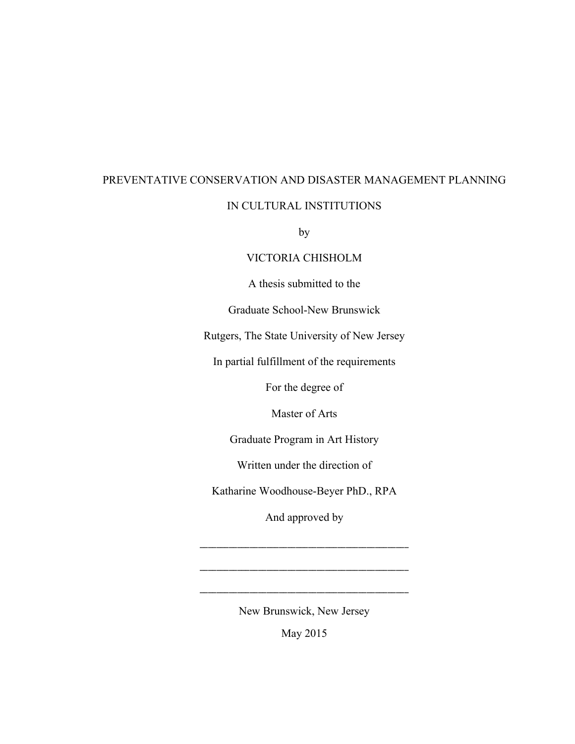# PREVENTATIVE CONSERVATION AND DISASTER MANAGEMENT PLANNING

#### IN CULTURAL INSTITUTIONS

by

#### VICTORIA CHISHOLM

A thesis submitted to the

Graduate School-New Brunswick

Rutgers, The State University of New Jersey

In partial fulfillment of the requirements

For the degree of

Master of Arts

Graduate Program in Art History

Written under the direction of

Katharine Woodhouse-Beyer PhD., RPA

And approved by

\_\_\_\_\_\_\_\_\_\_\_\_\_\_\_\_\_\_\_\_\_\_\_\_\_\_\_\_\_\_\_\_\_\_\_\_\_\_\_\_\_\_\_\_\_\_\_\_\_\_

New Brunswick, New Jersey

\_\_\_\_\_\_\_\_\_\_\_\_\_\_\_\_\_\_\_\_\_\_\_\_\_\_\_\_\_\_\_\_\_\_\_\_\_\_\_\_\_\_\_\_\_\_\_\_\_\_

May 2015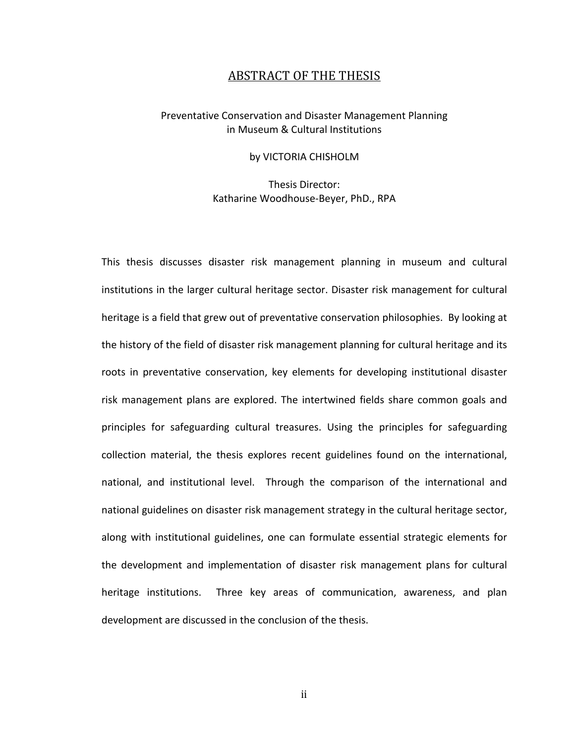#### ABSTRACT OF THE THESIS

#### Preventative Conservation and Disaster Management Planning in Museum & Cultural Institutions

#### by VICTORIA CHISHOLM

Thesis Director: Katharine Woodhouse-Beyer, PhD., RPA

This thesis discusses disaster risk management planning in museum and cultural institutions in the larger cultural heritage sector. Disaster risk management for cultural heritage is a field that grew out of preventative conservation philosophies. By looking at the history of the field of disaster risk management planning for cultural heritage and its roots in preventative conservation, key elements for developing institutional disaster risk management plans are explored. The intertwined fields share common goals and principles for safeguarding cultural treasures. Using the principles for safeguarding collection material, the thesis explores recent guidelines found on the international, national, and institutional level. Through the comparison of the international and national guidelines on disaster risk management strategy in the cultural heritage sector, along with institutional guidelines, one can formulate essential strategic elements for the development and implementation of disaster risk management plans for cultural heritage institutions. Three key areas of communication, awareness, and plan development are discussed in the conclusion of the thesis.

ii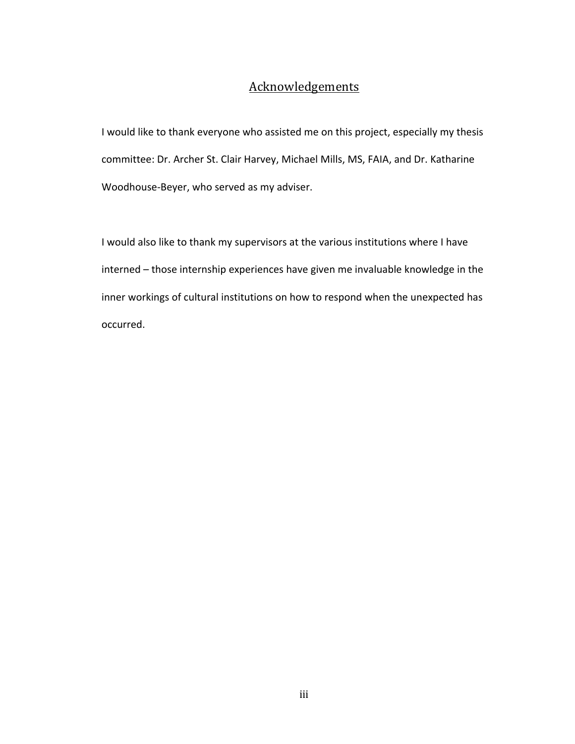## **Acknowledgements**

I would like to thank everyone who assisted me on this project, especially my thesis committee: Dr. Archer St. Clair Harvey, Michael Mills, MS, FAIA, and Dr. Katharine Woodhouse-Beyer, who served as my adviser.

I would also like to thank my supervisors at the various institutions where I have interned – those internship experiences have given me invaluable knowledge in the inner workings of cultural institutions on how to respond when the unexpected has occurred.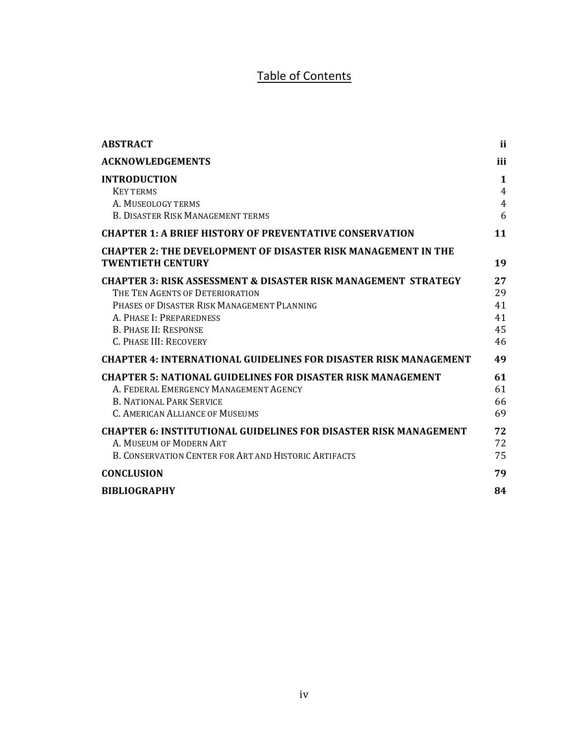# Table of Contents

| <b>ABSTRACT</b>                                                                                                                                                                                                                                   | ii                                         |
|---------------------------------------------------------------------------------------------------------------------------------------------------------------------------------------------------------------------------------------------------|--------------------------------------------|
| <b>ACKNOWLEDGEMENTS</b>                                                                                                                                                                                                                           | iii                                        |
| <b>INTRODUCTION</b><br><b>KEY TERMS</b><br>A. MUSEOLOGY TERMS<br><b>B. DISASTER RISK MANAGEMENT TERMS</b>                                                                                                                                         | 1<br>$\overline{4}$<br>$\overline{4}$<br>6 |
| <b>CHAPTER 1: A BRIEF HISTORY OF PREVENTATIVE CONSERVATION</b>                                                                                                                                                                                    | 11                                         |
| <b>CHAPTER 2: THE DEVELOPMENT OF DISASTER RISK MANAGEMENT IN THE</b><br><b>TWENTIETH CENTURY</b>                                                                                                                                                  | 19                                         |
| <b>CHAPTER 3: RISK ASSESSMENT &amp; DISASTER RISK MANAGEMENT STRATEGY</b><br>THE TEN AGENTS OF DETERIORATION<br>PHASES OF DISASTER RISK MANAGEMENT PLANNING<br>A. PHASE I: PREPAREDNESS<br><b>B. PHASE II: RESPONSE</b><br>C. PHASE III: RECOVERY | 27<br>29<br>41<br>41<br>45<br>46           |
| <b>CHAPTER 4: INTERNATIONAL GUIDELINES FOR DISASTER RISK MANAGEMENT</b>                                                                                                                                                                           | 49                                         |
| <b>CHAPTER 5: NATIONAL GUIDELINES FOR DISASTER RISK MANAGEMENT</b><br>A. FEDERAL EMERGENCY MANAGEMENT AGENCY<br><b>B. NATIONAL PARK SERVICE</b><br>C. AMERICAN ALLIANCE OF MUSEUMS                                                                | 61<br>61<br>66<br>69                       |
| <b>CHAPTER 6: INSTITUTIONAL GUIDELINES FOR DISASTER RISK MANAGEMENT</b><br>A. MUSEUM OF MODERN ART<br>B. CONSERVATION CENTER FOR ART AND HISTORIC ARTIFACTS                                                                                       | 72<br>72<br>75                             |
| <b>CONCLUSION</b>                                                                                                                                                                                                                                 | 79                                         |
| <b>BIBLIOGRAPHY</b>                                                                                                                                                                                                                               | 84                                         |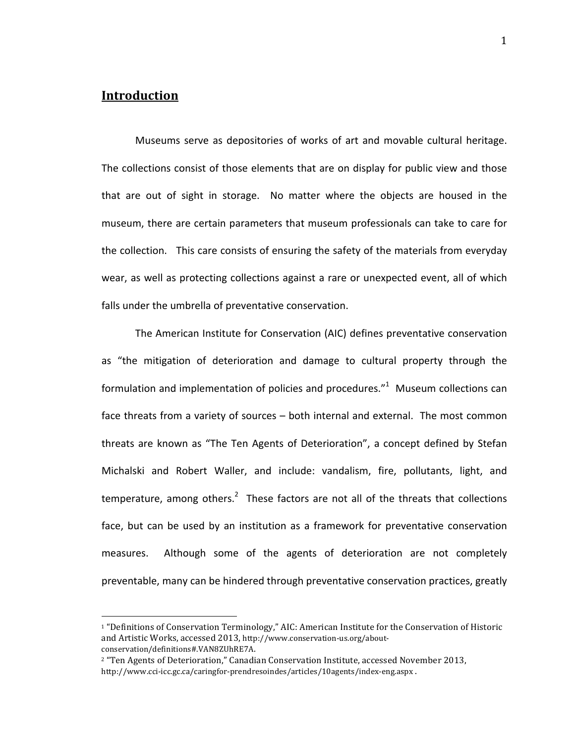### **Introduction**

Museums serve as depositories of works of art and movable cultural heritage. The collections consist of those elements that are on display for public view and those that are out of sight in storage. No matter where the objects are housed in the museum, there are certain parameters that museum professionals can take to care for the collection. This care consists of ensuring the safety of the materials from everyday wear, as well as protecting collections against a rare or unexpected event, all of which falls under the umbrella of preventative conservation.

The American Institute for Conservation (AIC) defines preventative conservation as "the mitigation of deterioration and damage to cultural property through the formulation and implementation of policies and procedures." $1$  Museum collections can face threats from a variety of sources – both internal and external. The most common threats are known as "The Ten Agents of Deterioration", a concept defined by Stefan Michalski and Robert Waller, and include: vandalism, fire, pollutants, light, and temperature, among others. $^2$  These factors are not all of the threats that collections face, but can be used by an institution as a framework for preventative conservation measures.! ! Although! some! of! the! agents! of! deterioration! are! not! completely! preventable, many can be hindered through preventative conservation practices, greatly

<sup>&</sup>lt;sup>1</sup> "Definitions of Conservation Terminology," AIC: American Institute for the Conservation of Historic and Artistic Works, accessed 2013, http://www.conservation-us.org/aboutconservation/definitions#.VAN8ZUhRE7A.

<sup>&</sup>lt;sup>2</sup> "Ten Agents of Deterioration," Canadian Conservation Institute, accessed November 2013, http://www.cci-icc.gc.ca/caringfor-prendresoindes/articles/10agents/index-eng.aspx .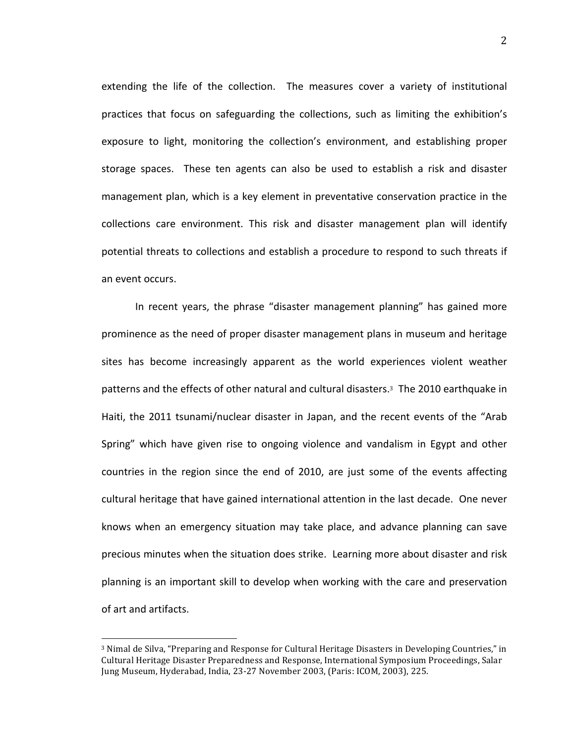extending the life of the collection. The measures cover a variety of institutional practices that focus on safeguarding the collections, such as limiting the exhibition's exposure to light, monitoring the collection's environment, and establishing proper storage spaces. These ten agents can also be used to establish a risk and disaster management plan, which is a key element in preventative conservation practice in the collections care environment. This risk and disaster management plan will identify potential threats to collections and establish a procedure to respond to such threats if an event occurs.

In recent years, the phrase "disaster management planning" has gained more prominence as the need of proper disaster management plans in museum and heritage sites has become increasingly apparent as the world experiences violent weather patterns and the effects of other natural and cultural disasters.<sup>3</sup> The 2010 earthquake in Haiti, the 2011 tsunami/nuclear disaster in Japan, and the recent events of the "Arab" Spring" which have given rise to ongoing violence and vandalism in Egypt and other countries in the region since the end of 2010, are just some of the events affecting cultural heritage that have gained international attention in the last decade. One never knows when an emergency situation may take place, and advance planning can save precious minutes when the situation does strike. Learning more about disaster and risk planning is an important skill to develop when working with the care and preservation of art and artifacts.

<sup>&</sup>lt;sup>3</sup> Nimal de Silva, "Preparing and Response for Cultural Heritage Disasters in Developing Countries," in Cultural Heritage Disaster Preparedness and Response, International Symposium Proceedings, Salar Jung Museum, Hyderabad, India, 23-27 November 2003, (Paris: ICOM, 2003), 225.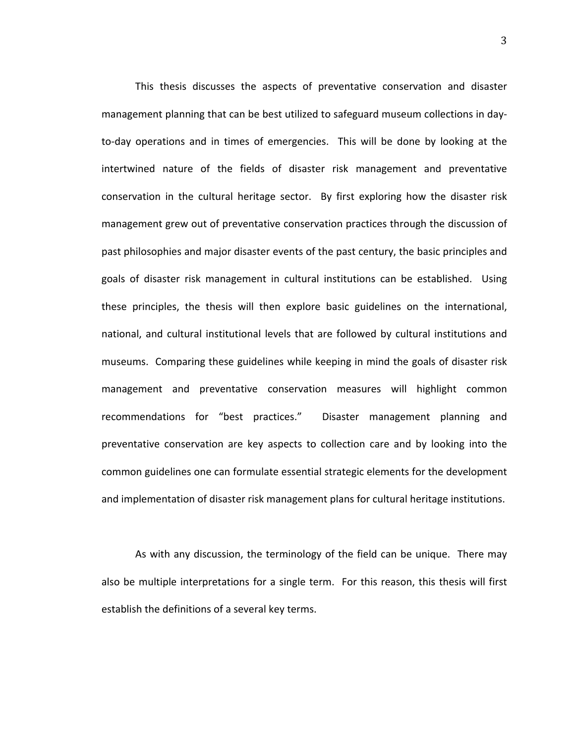This thesis discusses the aspects of preventative conservation and disaster management planning that can be best utilized to safeguard museum collections in dayto-day operations and in times of emergencies. This will be done by looking at the intertwined nature of the fields of disaster risk management and preventative conservation in the cultural heritage sector. By first exploring how the disaster risk management grew out of preventative conservation practices through the discussion of past philosophies and major disaster events of the past century, the basic principles and goals of disaster risk management in cultural institutions can be established. Using these principles, the thesis will then explore basic guidelines on the international, national, and cultural institutional levels that are followed by cultural institutions and museums. Comparing these guidelines while keeping in mind the goals of disaster risk management and preventative conservation measures will highlight common recommendations for "best practices." Disaster management planning and preventative conservation are key aspects to collection care and by looking into the common guidelines one can formulate essential strategic elements for the development and implementation of disaster risk management plans for cultural heritage institutions.

As with any discussion, the terminology of the field can be unique. There may also be multiple interpretations for a single term. For this reason, this thesis will first establish the definitions of a several key terms.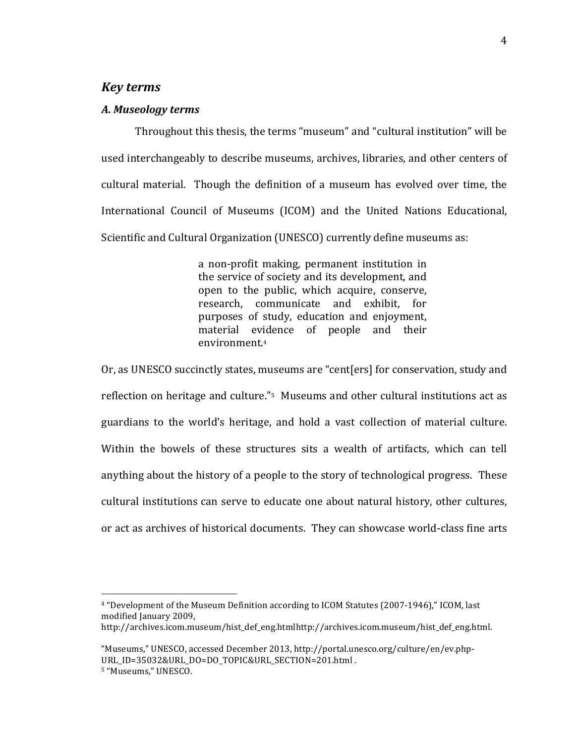#### *Key\$terms*

#### *A.\$Museology\$terms*

Throughout this thesis, the terms "museum" and "cultural institution" will be used interchangeably to describe museums, archives, libraries, and other centers of cultural material. Though the definition of a museum has evolved over time, the International Council of Museums (ICOM) and the United Nations Educational, Scientific and Cultural Organization (UNESCO) currently define museums as:

> a non-profit making, permanent institution in the service of society and its development, and open to the public, which acquire, conserve, research, communicate and exhibit, for purposes of study, education and enjoyment, material evidence of people and their environment.4

Or, as UNESCO succinctly states, museums are "cent[ers] for conservation, study and reflection on heritage and culture."<sup>5</sup> Museums and other cultural institutions act as guardians to the world's heritage, and hold a vast collection of material culture. Within the bowels of these structures sits a wealth of artifacts, which can tell anything about the history of a people to the story of technological progress. These cultural institutions can serve to educate one about natural history, other cultures, or act as archives of historical documents. They can showcase world-class fine arts

<sup>&</sup>lt;sup>4</sup> "Development of the Museum Definition according to ICOM Statutes (2007-1946)," ICOM, last modified January 2009,

http://archives.icom.museum/hist\_def\_eng.htmlhttp://archives.icom.museum/hist\_def\_eng.html.

<sup>&</sup>quot;Museums," UNESCO, accessed December 2013, http://portal.unesco.org/culture/en/ev.php-URL ID=35032&URL DO=DO\_TOPIC&URL\_SECTION=201.html .

<sup>&</sup>lt;sup>5</sup> "Museums," UNESCO.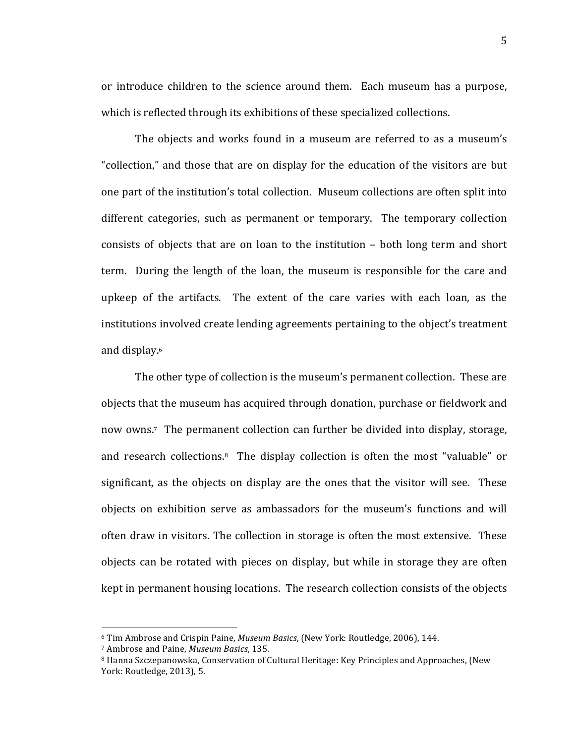or introduce children to the science around them. Each museum has a purpose, which is reflected through its exhibitions of these specialized collections.

The objects and works found in a museum are referred to as a museum's "collection," and those that are on display for the education of the visitors are but one part of the institution's total collection. Museum collections are often split into different categories, such as permanent or temporary. The temporary collection consists of objects that are on loan to the institution – both long term and short term. During the length of the loan, the museum is responsible for the care and upkeep of the artifacts. The extent of the care varies with each loan, as the institutions involved create lending agreements pertaining to the object's treatment and display.<sup>6</sup>

The other type of collection is the museum's permanent collection. These are objects that the museum has acquired through donation, purchase or fieldwork and now owns.<sup>7</sup> The permanent collection can further be divided into display, storage, and research collections.<sup>8</sup> The display collection is often the most "valuable" or significant, as the objects on display are the ones that the visitor will see. These objects on exhibition serve as ambassadors for the museum's functions and will often draw in visitors. The collection in storage is often the most extensive. These objects can be rotated with pieces on display, but while in storage they are often kept in permanent housing locations. The research collection consists of the objects

<sup>&</sup>lt;sup>6</sup> Tim Ambrose and Crispin Paine, *Museum Basics*, (New York: Routledge, 2006), 144.

<sup>&</sup>lt;sup>7</sup> Ambrose and Paine, *Museum Basics*, 135.

<sup>&</sup>lt;sup>8</sup> Hanna Szczepanowska, Conservation of Cultural Heritage: Key Principles and Approaches, (New York: Routledge, 2013), 5.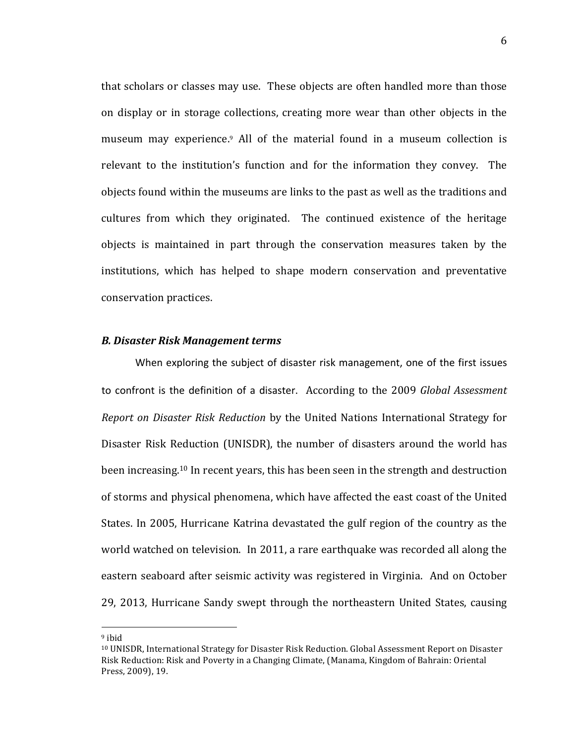that scholars or classes may use. These objects are often handled more than those on display or in storage collections, creating more wear than other objects in the museum may experience.<sup>9</sup> All of the material found in a museum collection is relevant to the institution's function and for the information they convey. The objects found within the museums are links to the past as well as the traditions and cultures from which they originated. The continued existence of the heritage objects is maintained in part through the conservation measures taken by the institutions, which has helped to shape modern conservation and preventative conservation practices.

#### *B.\$Disaster\$Risk\$Management\$terms*

When exploring the subject of disaster risk management, one of the first issues to confront is the definition of a disaster. According to the 2009 *Global Assessment Report on Disaster Risk Reduction* by the United Nations International Strategy for Disaster Risk Reduction (UNISDR), the number of disasters around the world has been increasing.<sup>10</sup> In recent years, this has been seen in the strength and destruction of storms and physical phenomena, which have affected the east coast of the United States. In 2005, Hurricane Katrina devastated the gulf region of the country as the world watched on television. In 2011, a rare earthquake was recorded all along the eastern seaboard after seismic activity was registered in Virginia. And on October 29, 2013, Hurricane Sandy swept through the northeastern United States, causing

 $9$  ibid

<sup>&</sup>lt;sup>10</sup> UNISDR, International Strategy for Disaster Risk Reduction. Global Assessment Report on Disaster Risk Reduction: Risk and Poverty in a Changing Climate, (Manama, Kingdom of Bahrain: Oriental Press, 2009), 19.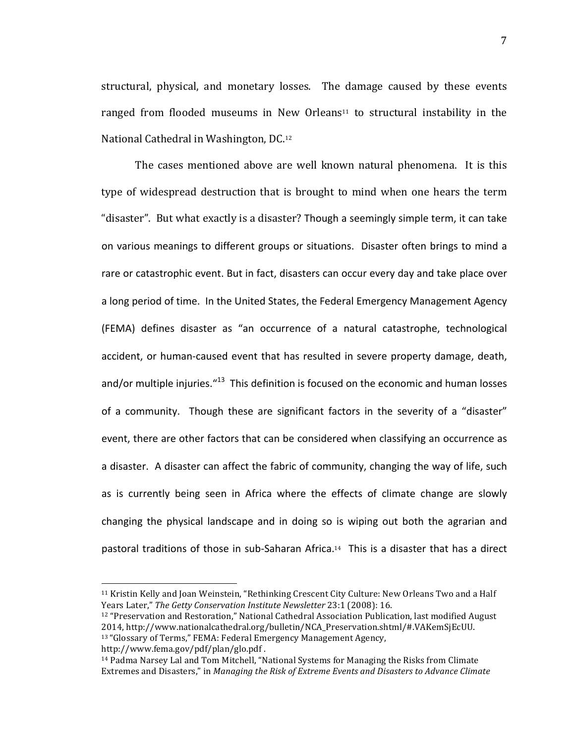structural, physical, and monetary losses. The damage caused by these events ranged from flooded museums in New Orleans<sup>11</sup> to structural instability in the National Cathedral in Washington, DC.12

The cases mentioned above are well known natural phenomena. It is this type of widespread destruction that is brought to mind when one hears the term "disaster". But what exactly is a disaster? Though a seemingly simple term, it can take on various meanings to different groups or situations. Disaster often brings to mind a rare or catastrophic event. But in fact, disasters can occur every day and take place over a long period of time. In the United States, the Federal Emergency Management Agency (FEMA) defines disaster as "an occurrence of a natural catastrophe, technological accident, or human-caused event that has resulted in severe property damage, death, and/or multiple injuries."<sup>13</sup> This definition is focused on the economic and human losses of a community. Though these are significant factors in the severity of a "disaster" event, there are other factors that can be considered when classifying an occurrence as a disaster. A disaster can affect the fabric of community, changing the way of life, such as is currently being seen in Africa where the effects of climate change are slowly changing the physical landscape and in doing so is wiping out both the agrarian and pastoral traditions of those in sub-Saharan Africa.<sup>14</sup> This is a disaster that has a direct

http://www.fema.gov/pdf/plan/glo.pdf.

<sup>&</sup>lt;sup>11</sup> Kristin Kelly and Joan Weinstein, "Rethinking Crescent City Culture: New Orleans Two and a Half Years Later," The Getty Conservation Institute Newsletter 23:1 (2008): 16.

 $12$  "Preservation and Restoration," National Cathedral Association Publication, last modified August 2014, http://www.nationalcathedral.org/bulletin/NCA\_Preservation.shtml/#.VAKemSjEcUU. <sup>13</sup> "Glossary of Terms," FEMA: Federal Emergency Management Agency,

<sup>&</sup>lt;sup>14</sup> Padma Narsey Lal and Tom Mitchell, "National Systems for Managing the Risks from Climate Extremes and Disasters," in *Managing the Risk of Extreme Events and Disasters to Advance Climate*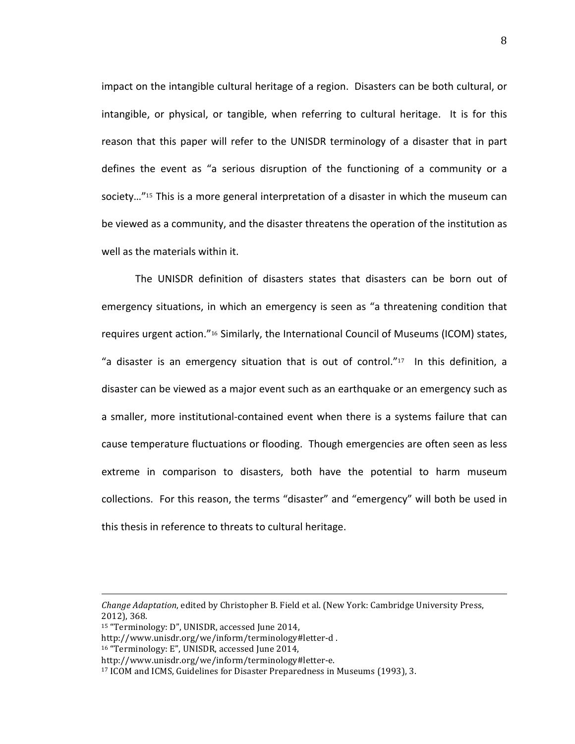impact on the intangible cultural heritage of a region. Disasters can be both cultural, or intangible, or physical, or tangible, when referring to cultural heritage. It is for this reason that this paper will refer to the UNISDR terminology of a disaster that in part defines the event as "a serious disruption of the functioning of a community or a society..."<sup>15</sup> This is a more general interpretation of a disaster in which the museum can be viewed as a community, and the disaster threatens the operation of the institution as well as the materials within it.

The UNISDR definition of disasters states that disasters can be born out of emergency situations, in which an emergency is seen as "a threatening condition that requires urgent action."<sup>16</sup> Similarly, the International Council of Museums (ICOM) states, "a disaster is an emergency situation that is out of control." $17$  In this definition, a disaster can be viewed as a major event such as an earthquake or an emergency such as a smaller, more institutional-contained event when there is a systems failure that can cause temperature fluctuations or flooding. Though emergencies are often seen as less extreme in comparison to disasters, both have the potential to harm museum collections. For this reason, the terms "disaster" and "emergency" will both be used in this thesis in reference to threats to cultural heritage.

!!!!!!!!!!!!!!!!!!!!!!!!!!!!!!!!!!!!!!!!!!!!!!!!!!!!!!!!!!!!!!!!!!!!!!!!!!!!!!!!!!!!!!!!!!!!!!!!!!!!!!!!!!!!!!!!!!!!!!!!!!!!!!!!!!!!!!!!!!!!!!!!!!!!!!!!!!!!!!!!!!!!

<sup>16</sup> "Terminology: E", UNISDR, accessed June 2014,

*Change Adaptation, edited by Christopher B. Field et al. (New York: Cambridge University Press,* 2012), 368.

<sup>&</sup>lt;sup>15</sup> "Terminology: D", UNISDR, accessed June 2014,

http://www.unisdr.org/we/inform/terminology#letter-d.

http://www.unisdr.org/we/inform/terminology#letter-e.

<sup>&</sup>lt;sup>17</sup> ICOM and ICMS, Guidelines for Disaster Preparedness in Museums (1993), 3.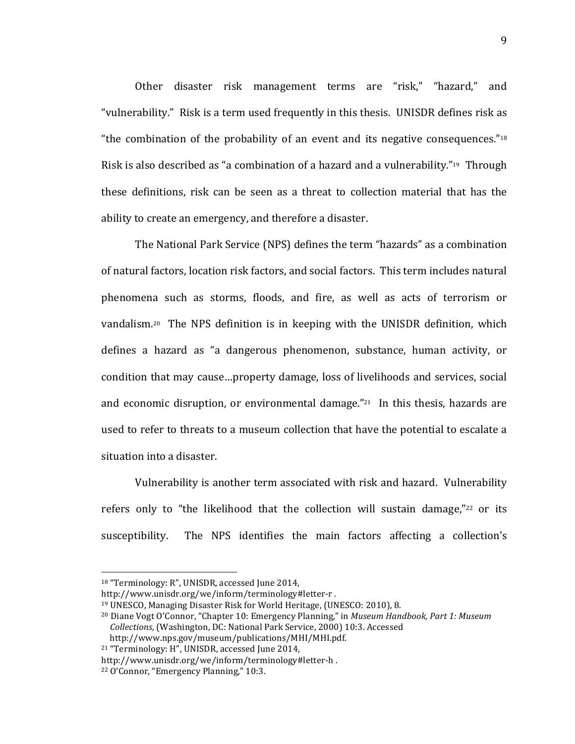Other disaster risk management terms are "risk," "hazard," and "vulnerability." Risk is a term used frequently in this thesis. UNISDR defines risk as "the combination of the probability of an event and its negative consequences." $18$ Risk is also described as "a combination of a hazard and a vulnerability."<sup>19</sup> Through these definitions, risk can be seen as a threat to collection material that has the ability to create an emergency, and therefore a disaster.

The National Park Service (NPS) defines the term "hazards" as a combination of natural factors, location risk factors, and social factors. This term includes natural phenomena such as storms, floods, and fire, as well as acts of terrorism or vandalism.<sup>20</sup> The NPS definition is in keeping with the UNISDR definition, which defines a hazard as "a dangerous phenomenon, substance, human activity, or condition that may cause...property damage, loss of livelihoods and services, social and economic disruption, or environmental damage." $21$  In this thesis, hazards are used to refer to threats to a museum collection that have the potential to escalate a situation into a disaster.

Vulnerability is another term associated with risk and hazard. Vulnerability refers only to "the likelihood that the collection will sustain damage," $22$  or its susceptibility. The NPS identifies the main factors affecting a collection's

 $18$  "Terminology: R", UNISDR, accessed June 2014,

http://www.unisdr.org/we/inform/terminology#letter-r.

<sup>&</sup>lt;sup>19</sup> UNESCO, Managing Disaster Risk for World Heritage, (UNESCO: 2010), 8.

<sup>&</sup>lt;sup>20</sup> Diane Vogt O'Connor, "Chapter 10: Emergency Planning," in *Museum Handbook, Part 1: Museum Collections*, (Washington, DC: National Park Service, 2000) 10:3. Accessed http://www.nps.gov/museum/publications/MHI/MHI.pdf.

<sup>&</sup>lt;sup>21</sup> "Terminology: H", UNISDR, accessed June 2014,

http://www.unisdr.org/we/inform/terminology#letter-h.

 $22$  O'Connor, "Emergency Planning," 10:3.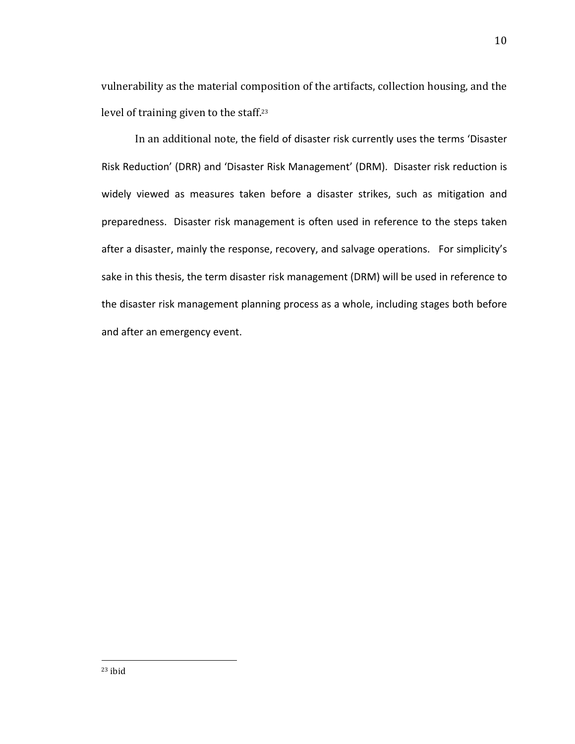vulnerability as the material composition of the artifacts, collection housing, and the level of training given to the staff.<sup>23</sup>

In an additional note, the field of disaster risk currently uses the terms 'Disaster Risk Reduction' (DRR) and 'Disaster Risk Management' (DRM). Disaster risk reduction is widely viewed as measures taken before a disaster strikes, such as mitigation and preparedness. Disaster risk management is often used in reference to the steps taken after a disaster, mainly the response, recovery, and salvage operations. For simplicity's sake in this thesis, the term disaster risk management (DRM) will be used in reference to the disaster risk management planning process as a whole, including stages both before and after an emergency event.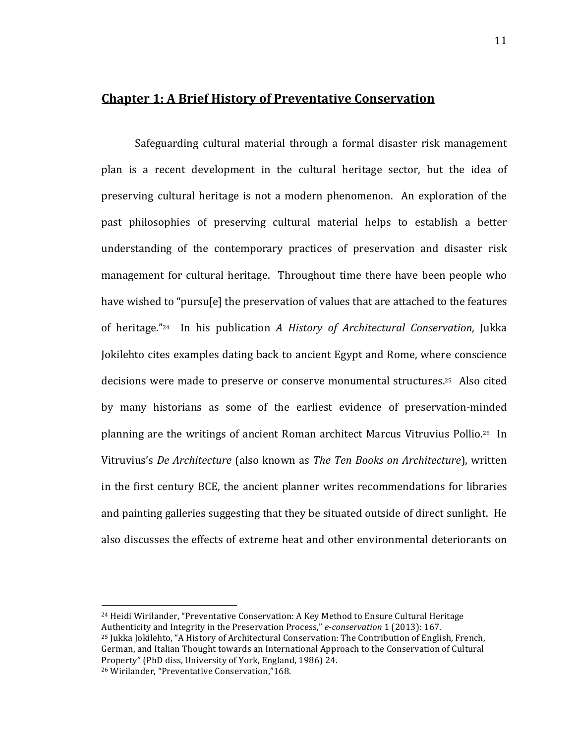### **Chapter 1: A Brief History of Preventative Conservation**

Safeguarding cultural material through a formal disaster risk management plan is a recent development in the cultural heritage sector, but the idea of preserving cultural heritage is not a modern phenomenon. An exploration of the past philosophies of preserving cultural material helps to establish a better understanding of the contemporary practices of preservation and disaster risk management for cultural heritage. Throughout time there have been people who have wished to "pursu[e] the preservation of values that are attached to the features of heritage."<sup>24</sup> In his publication *A History of Architectural Conservation*, Jukka Jokilehto cites examples dating back to ancient Egypt and Rome, where conscience decisions were made to preserve or conserve monumental structures.<sup>25</sup> Also cited by many historians as some of the earliest evidence of preservation-minded planning are the writings of ancient Roman architect Marcus Vitruvius Pollio.<sup>26</sup> In Vitruvius's *De Architecture* (also known as *The Ten Books on Architecture*), written in the first century BCE, the ancient planner writes recommendations for libraries and painting galleries suggesting that they be situated outside of direct sunlight. He also discusses the effects of extreme heat and other environmental deteriorants on

<sup>24</sup> Heidi Wirilander, "Preventative Conservation: A Key Method to Ensure Cultural Heritage Authenticity and Integrity in the Preservation Process," *e-conservation* 1 (2013): 167. <sup>25</sup> Jukka Jokilehto, "A History of Architectural Conservation: The Contribution of English, French, German, and Italian Thought towards an International Approach to the Conservation of Cultural

Property" (PhD diss, University of York, England, 1986) 24.

<sup>&</sup>lt;sup>26</sup> Wirilander, "Preventative Conservation,"168.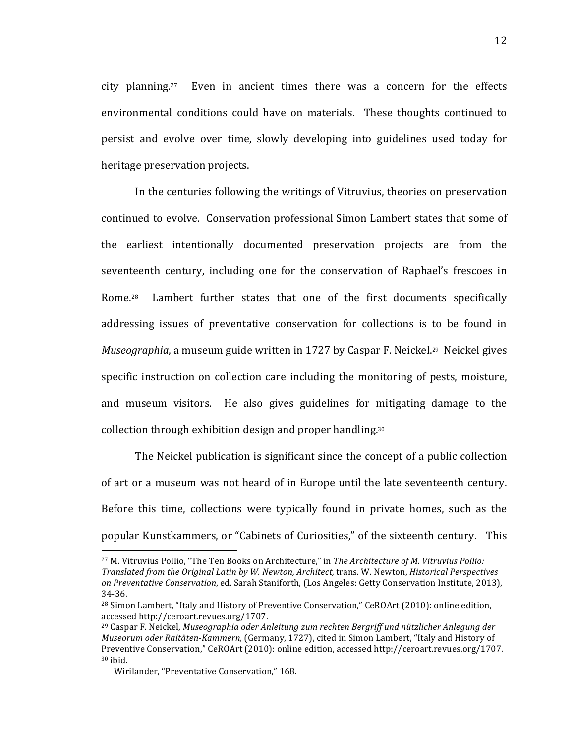city planning.<sup>27</sup> Even in ancient times there was a concern for the effects environmental conditions could have on materials. These thoughts continued to persist and evolve over time, slowly developing into guidelines used today for heritage preservation projects.

In the centuries following the writings of Vitruvius, theories on preservation continued to evolve. Conservation professional Simon Lambert states that some of the earliest intentionally documented preservation projects are from the seventeenth century, including one for the conservation of Raphael's frescoes in Rome.<sup>28</sup> Lambert further states that one of the first documents specifically addressing issues of preventative conservation for collections is to be found in *Museographia*, a museum guide written in 1727 by Caspar F. Neickel.<sup>29</sup> Neickel gives specific instruction on collection care including the monitoring of pests, moisture, and museum visitors. He also gives guidelines for mitigating damage to the collection through exhibition design and proper handling.<sup>30</sup>

The Neickel publication is significant since the concept of a public collection of art or a museum was not heard of in Europe until the late seventeenth century. Before this time, collections were typically found in private homes, such as the popular Kunstkammers, or "Cabinets of Curiosities," of the sixteenth century. This

<sup>&</sup>lt;sup>27</sup> M. Vitruvius Pollio, "The Ten Books on Architecture," in *The Architecture of M. Vitruvius Pollio: Translated&from&the&Original&Latin&by&W.&Newton,&Architect,*!trans.!W.!Newton,!*Historical&Perspectives& on Preventative Conservation*, ed. Sarah Staniforth, (Los Angeles: Getty Conservation Institute, 2013), 34-36.

<sup>&</sup>lt;sup>28</sup> Simon Lambert, "Italy and History of Preventive Conservation," CeROArt (2010): online edition, accessed http://ceroart.revues.org/1707.

<sup>&</sup>lt;sup>29</sup> Caspar F. Neickel, *Museographia oder Anleitung zum rechten Bergriff und nützlicher Anlegung der Museorum oder Raitäten-Kammern,* (Germany, 1727), cited in Simon Lambert, "Italy and History of Preventive Conservation," CeROArt (2010): online edition, accessed http://ceroart.revues.org/1707.  $30$  ibid.

Wirilander, "Preventative Conservation," 168.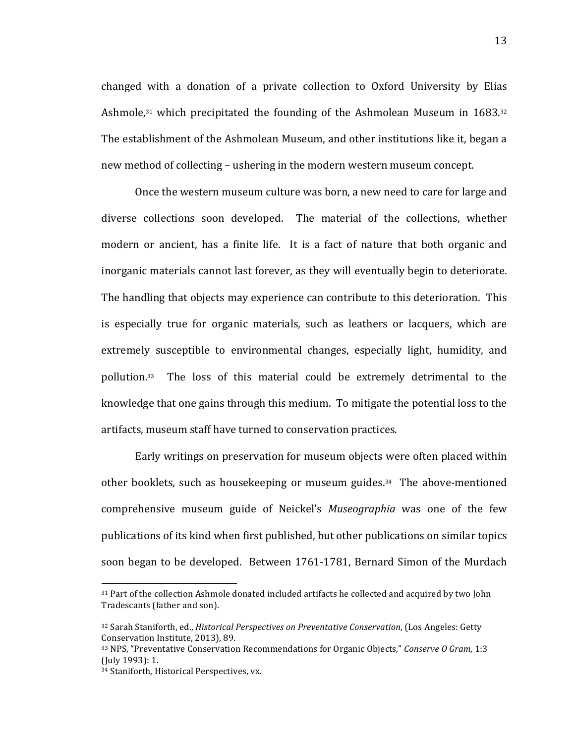changed with a donation of a private collection to Oxford University by Elias Ashmole, $31$  which precipitated the founding of the Ashmolean Museum in  $1683.32$ The establishment of the Ashmolean Museum, and other institutions like it, began a new method of collecting – ushering in the modern western museum concept.

Once the western museum culture was born, a new need to care for large and diverse collections soon developed. The material of the collections, whether modern or ancient, has a finite life. It is a fact of nature that both organic and inorganic materials cannot last forever, as they will eventually begin to deteriorate. The handling that objects may experience can contribute to this deterioration. This is especially true for organic materials, such as leathers or lacquers, which are extremely susceptible to environmental changes, especially light, humidity, and pollution.<sup>33</sup> The loss of this material could be extremely detrimental to the knowledge that one gains through this medium. To mitigate the potential loss to the artifacts, museum staff have turned to conservation practices.

Early writings on preservation for museum objects were often placed within other booklets, such as housekeeping or museum guides.<sup>34</sup> The above-mentioned comprehensive museum guide of Neickel's *Museographia* was one of the few publications of its kind when first published, but other publications on similar topics soon began to be developed. Between 1761-1781, Bernard Simon of the Murdach

<sup>&</sup>lt;sup>31</sup> Part of the collection Ashmole donated included artifacts he collected and acquired by two John Tradescants (father and son).

<sup>32</sup> Sarah Staniforth, ed., *Historical Perspectives on Preventative Conservation*, (Los Angeles: Getty Conservation Institute, 2013), 89.

<sup>33</sup> NPS, "Preventative Conservation Recommendations for Organic Objects," *Conserve O Gram*, 1:3 (July 1993): 1.

<sup>34</sup> Staniforth, Historical Perspectives, vx.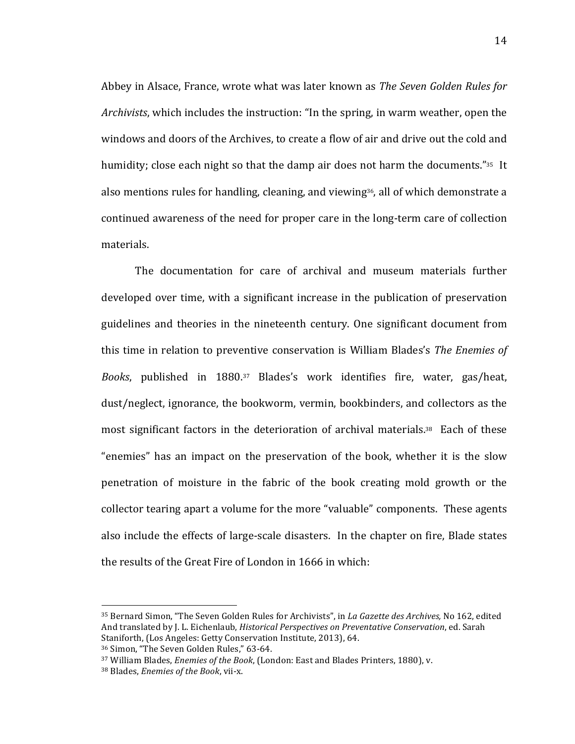Abbey in Alsace, France, wrote what was later known as *The Seven Golden Rules for Archivists*, which includes the instruction: "In the spring, in warm weather, open the windows and doors of the Archives, to create a flow of air and drive out the cold and humidity; close each night so that the damp air does not harm the documents."<sup>35</sup> It also mentions rules for handling, cleaning, and viewing<sup>36</sup>, all of which demonstrate a continued awareness of the need for proper care in the long-term care of collection materials.

The documentation for care of archival and museum materials further developed over time, with a significant increase in the publication of preservation guidelines and theories in the nineteenth century. One significant document from this time in relation to preventive conservation is William Blades's *The Enemies of Books*, published in 1880.<sup>37</sup> Blades's work identifies fire, water, gas/heat, dust/neglect, ignorance, the bookworm, vermin, bookbinders, and collectors as the most significant factors in the deterioration of archival materials. $38$  Each of these "enemies" has an impact on the preservation of the book, whether it is the slow penetration of moisture in the fabric of the book creating mold growth or the collector tearing apart a volume for the more "valuable" components. These agents also include the effects of large-scale disasters. In the chapter on fire, Blade states the results of the Great Fire of London in 1666 in which:

<sup>35</sup> Bernard Simon, "The Seven Golden Rules for Archivists", in *La Gazette des Archives*, No 162, edited And translated by J. L. Eichenlaub, *Historical Perspectives on Preventative Conservation*, ed. Sarah Staniforth, (Los Angeles: Getty Conservation Institute, 2013), 64.

<sup>36</sup> Simon, "The Seven Golden Rules," 63-64.

<sup>&</sup>lt;sup>37</sup> William Blades, *Enemies of the Book*, (London: East and Blades Printers, 1880), v.

<sup>38</sup> Blades, *Enemies of the Book*, vii-x.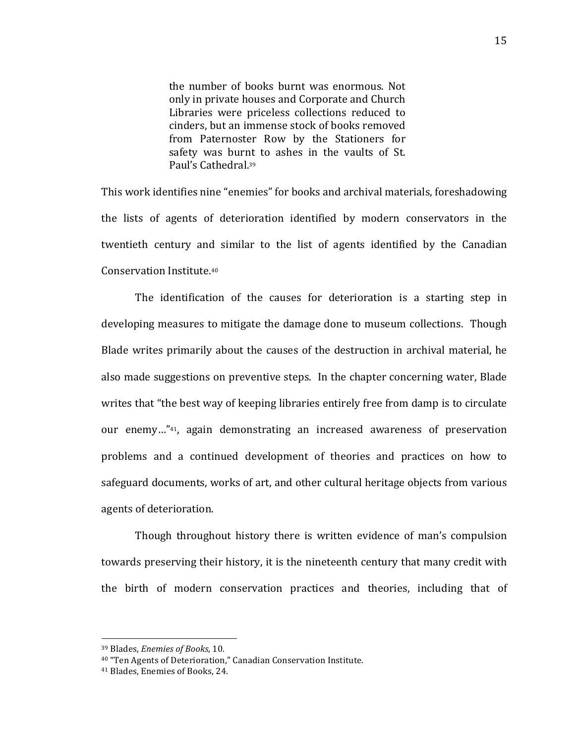the number of books burnt was enormous. Not only in private houses and Corporate and Church Libraries were priceless collections reduced to cinders, but an immense stock of books removed from Paternoster Row by the Stationers for safety was burnt to ashes in the vaults of St. Paul's Cathedral.<sup>39</sup>

This work identifies nine "enemies" for books and archival materials, foreshadowing the lists of agents of deterioration identified by modern conservators in the twentieth century and similar to the list of agents identified by the Canadian Conservation Institute.<sup>40</sup>

The identification of the causes for deterioration is a starting step in developing measures to mitigate the damage done to museum collections. Though Blade writes primarily about the causes of the destruction in archival material, he also made suggestions on preventive steps. In the chapter concerning water, Blade writes that "the best way of keeping libraries entirely free from damp is to circulate our enemy..."<sup>41</sup>, again demonstrating an increased awareness of preservation problems and a continued development of theories and practices on how to safeguard documents, works of art, and other cultural heritage objects from various agents of deterioration.

Though throughout history there is written evidence of man's compulsion towards preserving their history, it is the nineteenth century that many credit with the birth of modern conservation practices and theories, including that of

<sup>!!!!!!!!!!!!!!!!!!!!!!!!!!!!!!!!!!!!!!!!!!!!!!!!!!!!!!!</sup> <sup>39</sup> Blades, *Enemies of Books*, 10.

<sup>&</sup>lt;sup>40</sup> "Ten Agents of Deterioration," Canadian Conservation Institute.

<sup>&</sup>lt;sup>41</sup> Blades, Enemies of Books, 24.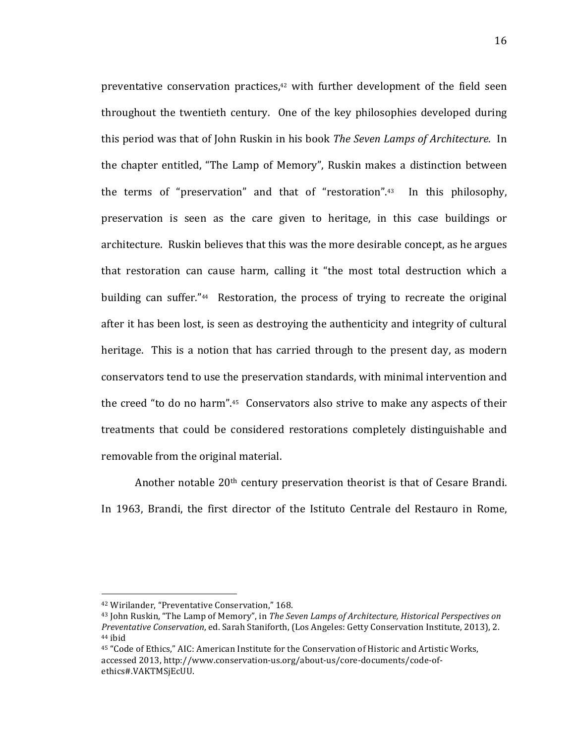preventative conservation practices, $42$  with further development of the field seen throughout the twentieth century. One of the key philosophies developed during this period was that of John Ruskin in his book *The Seven Lamps of Architecture*. In the chapter entitled, "The Lamp of Memory", Ruskin makes a distinction between the terms of "preservation" and that of "restoration". $43$  In this philosophy, preservation is seen as the care given to heritage, in this case buildings or architecture. Ruskin believes that this was the more desirable concept, as he argues that restoration can cause harm, calling it "the most total destruction which a building can suffer."<sup>44</sup> Restoration, the process of trying to recreate the original after it has been lost, is seen as destroying the authenticity and integrity of cultural heritage. This is a notion that has carried through to the present day, as modern conservators tend to use the preservation standards, with minimal intervention and the creed "to do no harm". $45$  Conservators also strive to make any aspects of their treatments that could be considered restorations completely distinguishable and removable from the original material.

Another notable  $20<sup>th</sup>$  century preservation theorist is that of Cesare Brandi. In 1963, Brandi, the first director of the Istituto Centrale del Restauro in Rome,

<sup>&</sup>lt;sup>42</sup> Wirilander, "Preventative Conservation," 168.

<sup>&</sup>lt;sup>43</sup> John Ruskin, "The Lamp of Memory", in *The Seven Lamps of Architecture, Historical Perspectives on Preventative Conservation, ed. Sarah Staniforth, (Los Angeles: Getty Conservation Institute, 2013), 2.* <sup>44</sup> ibid

<sup>45 &</sup>quot;Code of Ethics," AIC: American Institute for the Conservation of Historic and Artistic Works, accessed 2013, http://www.conservation-us.org/about-us/core-documents/code-ofethics#.VAKTMSjEcUU.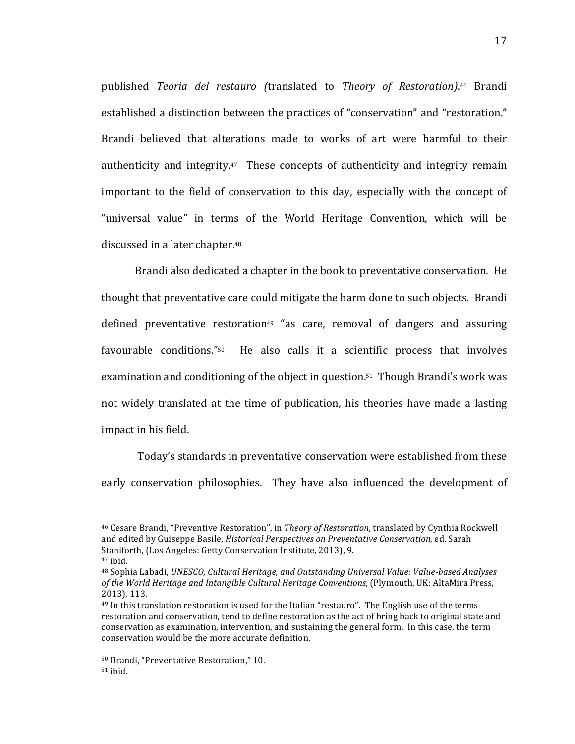published! *Teoria& del& restauro& (*translated! to*& Theory& of& Restoration)*.46! Brandi established a distinction between the practices of "conservation" and "restoration." Brandi believed that alterations made to works of art were harmful to their authenticity and integrity. $47$  These concepts of authenticity and integrity remain important to the field of conservation to this day, especially with the concept of "universal value" in terms of the World Heritage Convention, which will be discussed in a later chapter.<sup>48</sup>

Brandi also dedicated a chapter in the book to preventative conservation. He thought that preventative care could mitigate the harm done to such objects. Brandi defined preventative restoration<sup>49</sup> "as care, removal of dangers and assuring favourable conditions." $50$  He also calls it a scientific process that involves examination and conditioning of the object in question.<sup>51</sup> Though Brandi's work was not widely translated at the time of publication, his theories have made a lasting impact in his field.

Today's standards in preventative conservation were established from these early conservation philosophies. They have also influenced the development of

<sup>&</sup>lt;sup>46</sup> Cesare Brandi, "Preventive Restoration", in *Theory of Restoration*, translated by Cynthia Rockwell and edited by Guiseppe Basile, *Historical Perspectives on Preventative Conservation*, ed. Sarah Staniforth, (Los Angeles: Getty Conservation Institute, 2013), 9.

 $47$  ibid.

<sup>&</sup>lt;sup>48</sup> Sophia Labadi, *UNESCO, Cultural Heritage, and Outstanding Universal Value: Value-based Analyses* of the World Heritage and Intangible Cultural Heritage Conventions, (Plymouth, UK: AltaMira Press, 2013), 113.

<sup>&</sup>lt;sup>49</sup> In this translation restoration is used for the Italian "restauro". The English use of the terms restoration and conservation, tend to define restoration as the act of bring back to original state and conservation as examination, intervention, and sustaining the general form. In this case, the term conservation would be the more accurate definition.

<sup>50</sup> Brandi, "Preventative Restoration," 10.  $51$  ibid.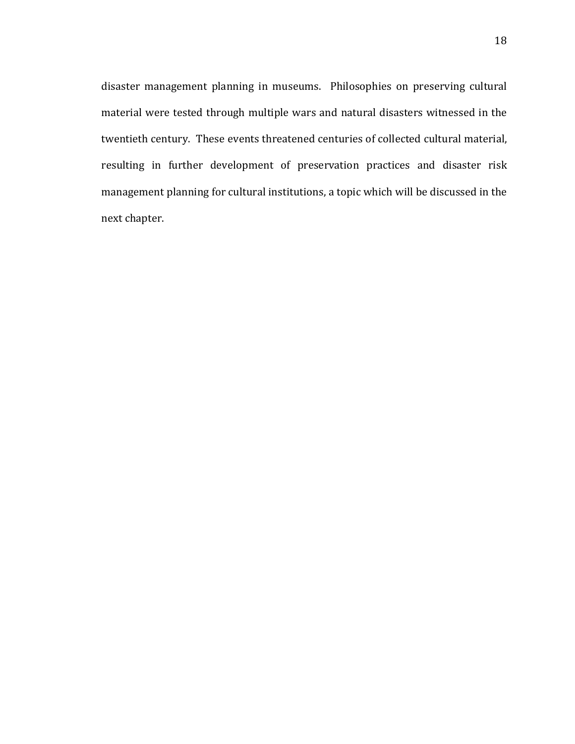disaster management planning in museums. Philosophies on preserving cultural material were tested through multiple wars and natural disasters witnessed in the twentieth century. These events threatened centuries of collected cultural material, resulting in further development of preservation practices and disaster risk management planning for cultural institutions, a topic which will be discussed in the next chapter.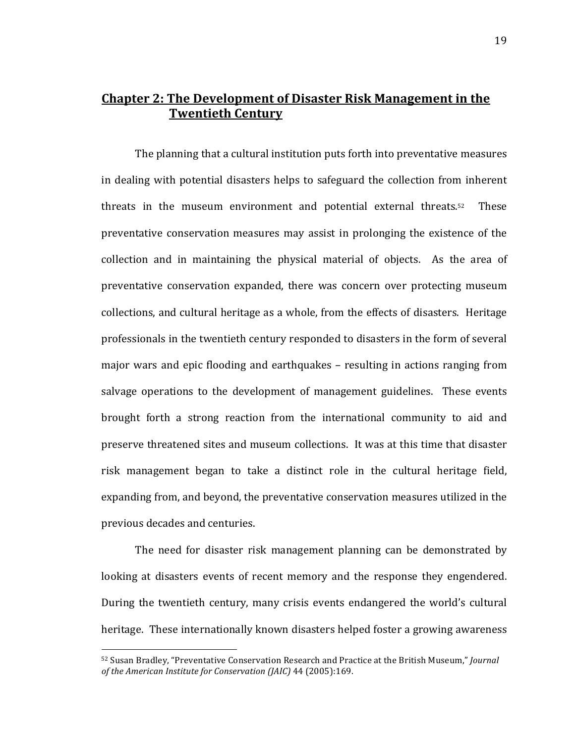## **Chapter'2:'The'Development'of'Disaster'Risk'Management'in'the' Twentieth Century**

The planning that a cultural institution puts forth into preventative measures in dealing with potential disasters helps to safeguard the collection from inherent threats in the museum environment and potential external threats. $52$  These preventative conservation measures may assist in prolonging the existence of the collection and in maintaining the physical material of objects. As the area of preventative conservation expanded, there was concern over protecting museum collections, and cultural heritage as a whole, from the effects of disasters. Heritage professionals in the twentieth century responded to disasters in the form of several major wars and epic flooding and earthquakes – resulting in actions ranging from salvage operations to the development of management guidelines. These events brought forth a strong reaction from the international community to aid and preserve threatened sites and museum collections. It was at this time that disaster risk management began to take a distinct role in the cultural heritage field, expanding from, and beyond, the preventative conservation measures utilized in the previous decades and centuries.

The need for disaster risk management planning can be demonstrated by looking at disasters events of recent memory and the response they engendered. During the twentieth century, many crisis events endangered the world's cultural heritage. These internationally known disasters helped foster a growing awareness

<sup>52</sup> Susan Bradley, "Preventative Conservation Research and Practice at the British Museum," *Journal of the American Institute for Conservation (JAIC)* 44 (2005):169.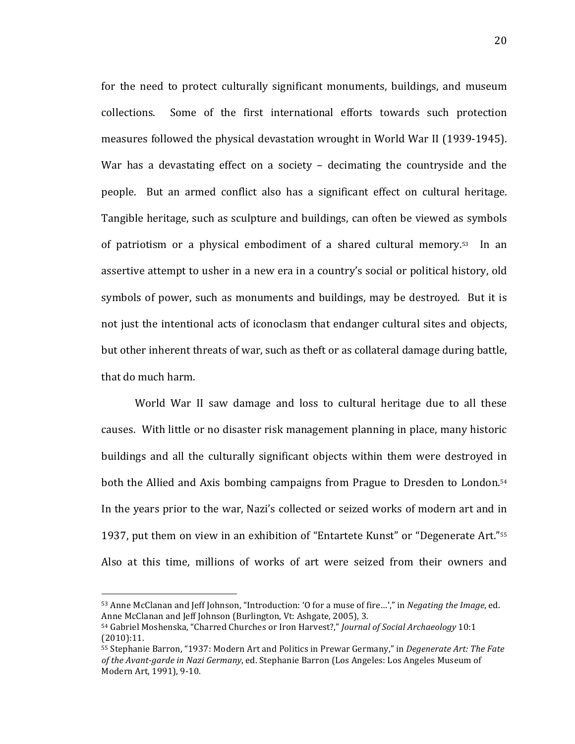for the need to protect culturally significant monuments, buildings, and museum collections. Some of the first international efforts towards such protection measures followed the physical devastation wrought in World War II (1939-1945). War has a devastating effect on a society – decimating the countryside and the people. But an armed conflict also has a significant effect on cultural heritage. Tangible heritage, such as sculpture and buildings, can often be viewed as symbols of patriotism or a physical embodiment of a shared cultural memory. $53$  In an assertive attempt to usher in a new era in a country's social or political history, old symbols of power, such as monuments and buildings, may be destroyed. But it is not just the intentional acts of iconoclasm that endanger cultural sites and objects, but other inherent threats of war, such as theft or as collateral damage during battle, that do much harm.

World War II saw damage and loss to cultural heritage due to all these causes. With little or no disaster risk management planning in place, many historic buildings and all the culturally significant objects within them were destroyed in both the Allied and Axis bombing campaigns from Prague to Dresden to London.<sup>54</sup> In the years prior to the war, Nazi's collected or seized works of modern art and in 1937, put them on view in an exhibition of "Entartete Kunst" or "Degenerate Art."<sup>55</sup> Also at this time, millions of works of art were seized from their owners and

<sup>53</sup> Anne McClanan and Jeff Johnson, "Introduction: 'O for a muse of fire…'," in *Negating the Image*, ed. Anne McClanan and Jeff Johnson (Burlington, Vt: Ashgate, 2005), 3.

<sup>54</sup> Gabriel Moshenska, "Charred Churches or Iron Harvest?," *Journal of Social Archaeology* 10:1 (2010):11.

<sup>55</sup> Stephanie Barron, "1937: Modern Art and Politics in Prewar Germany," in *Degenerate Art: The Fate* of the Avant-garde in Nazi Germany, ed. Stephanie Barron (Los Angeles: Los Angeles Museum of Modern Art, 1991), 9-10.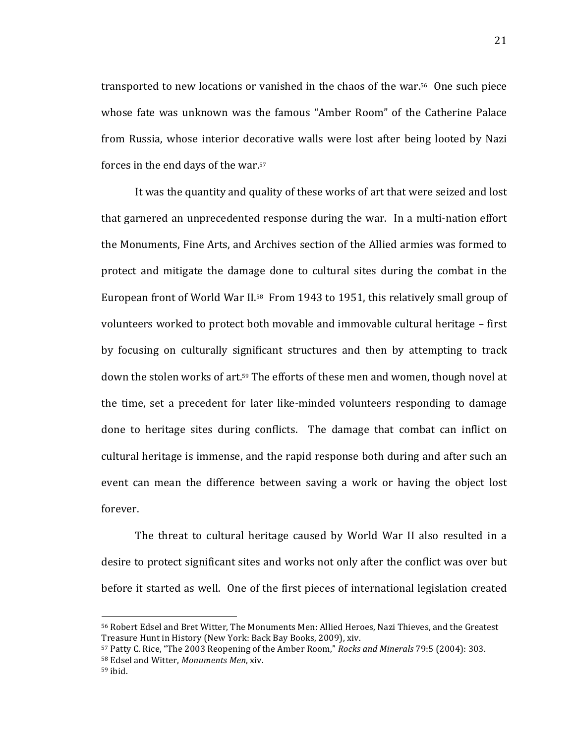transported to new locations or vanished in the chaos of the war.<sup>56</sup> One such piece whose fate was unknown was the famous "Amber Room" of the Catherine Palace from Russia, whose interior decorative walls were lost after being looted by Nazi forces in the end days of the war.<sup>57</sup>

It was the quantity and quality of these works of art that were seized and lost that garnered an unprecedented response during the war. In a multi-nation effort the Monuments, Fine Arts, and Archives section of the Allied armies was formed to protect and mitigate the damage done to cultural sites during the combat in the European front of World War II.<sup>58</sup> From 1943 to 1951, this relatively small group of volunteers worked to protect both movable and immovable cultural heritage – first by focusing on culturally significant structures and then by attempting to track down the stolen works of art.<sup>59</sup> The efforts of these men and women, though novel at the time, set a precedent for later like-minded volunteers responding to damage done to heritage sites during conflicts. The damage that combat can inflict on cultural heritage is immense, and the rapid response both during and after such an event can mean the difference between saving a work or having the object lost forever.

The threat to cultural heritage caused by World War II also resulted in a desire to protect significant sites and works not only after the conflict was over but before it started as well. One of the first pieces of international legislation created

<sup>56</sup> Robert Edsel and Bret Witter, The Monuments Men: Allied Heroes, Nazi Thieves, and the Greatest Treasure Hunt in History (New York: Back Bay Books, 2009), xiv.

<sup>57</sup> Patty C. Rice, "The 2003 Reopening of the Amber Room," *Rocks and Minerals* 79:5 (2004): 303. 58 Edsel and Witter, *Monuments Men.* xiv.

 $59$  ibid.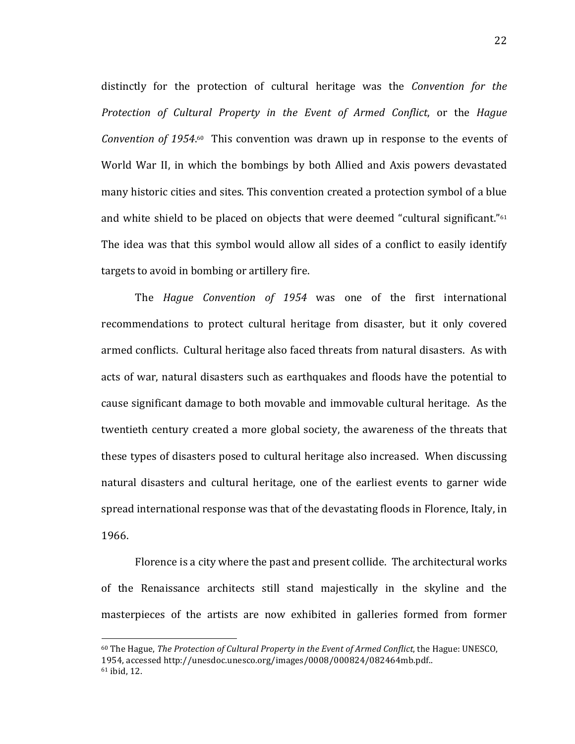distinctly for the protection of cultural heritage was the *Convention for the Protection& of& Cultural& Property& in& the& Event& of& Armed& Conflict*,! or! the! *Hague&* Convention of 1954.<sup>60</sup> This convention was drawn up in response to the events of World War II, in which the bombings by both Allied and Axis powers devastated many historic cities and sites. This convention created a protection symbol of a blue and white shield to be placed on objects that were deemed "cultural significant."<sup>61</sup> The idea was that this symbol would allow all sides of a conflict to easily identify targets to avoid in bombing or artillery fire.

The *Hague Convention of 1954* was one of the first international recommendations to protect cultural heritage from disaster, but it only covered armed conflicts. Cultural heritage also faced threats from natural disasters. As with acts of war, natural disasters such as earthquakes and floods have the potential to cause significant damage to both movable and immovable cultural heritage. As the twentieth century created a more global society, the awareness of the threats that these types of disasters posed to cultural heritage also increased. When discussing natural disasters and cultural heritage, one of the earliest events to garner wide spread international response was that of the devastating floods in Florence, Italy, in 1966.

Florence is a city where the past and present collide. The architectural works of the Renaissance architects still stand majestically in the skyline and the masterpieces of the artists are now exhibited in galleries formed from former

<sup>&</sup>lt;sup>60</sup> The Hague, *The Protection of Cultural Property in the Event of Armed Conflict*, the Hague: UNESCO, 1954,!accessed!http://unesdoc.unesco.org/images/0008/000824/082464mb.pdf..  $61$  ibid, 12.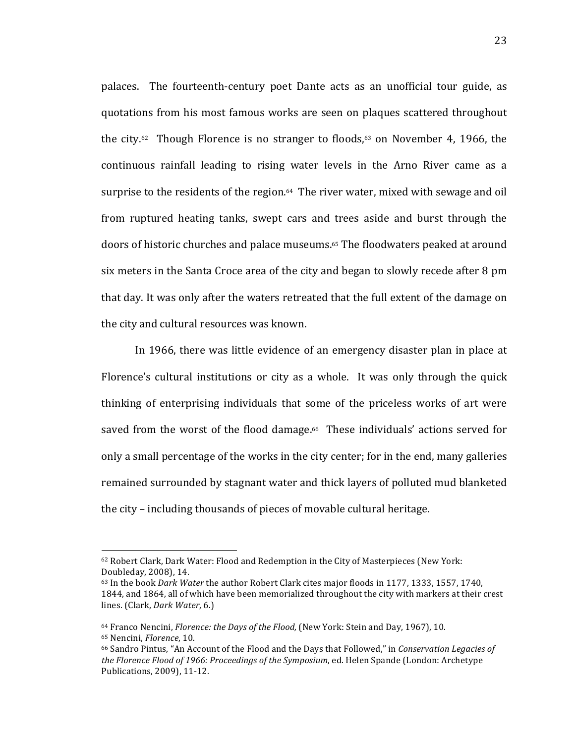palaces. The fourteenth-century poet Dante acts as an unofficial tour guide, as quotations from his most famous works are seen on plaques scattered throughout the city.<sup>62</sup> Though Florence is no stranger to floods,<sup>63</sup> on November 4, 1966, the continuous rainfall leading to rising water levels in the Arno River came as a surprise to the residents of the region.<sup>64</sup> The river water, mixed with sewage and oil from ruptured heating tanks, swept cars and trees aside and burst through the doors of historic churches and palace museums.<sup>65</sup> The floodwaters peaked at around six meters in the Santa Croce area of the city and began to slowly recede after 8 pm that day. It was only after the waters retreated that the full extent of the damage on the city and cultural resources was known.

In 1966, there was little evidence of an emergency disaster plan in place at Florence's cultural institutions or city as a whole. It was only through the quick thinking of enterprising individuals that some of the priceless works of art were saved from the worst of the flood damage.<sup>66</sup> These individuals' actions served for only a small percentage of the works in the city center; for in the end, many galleries remained surrounded by stagnant water and thick layers of polluted mud blanketed the city – including thousands of pieces of movable cultural heritage.

<sup>62</sup> Robert Clark, Dark Water: Flood and Redemption in the City of Masterpieces (New York: Doubleday, 2008), 14.

<sup>&</sup>lt;sup>63</sup> In the book *Dark Water* the author Robert Clark cites major floods in 1177, 1333, 1557, 1740, 1844, and 1864, all of which have been memorialized throughout the city with markers at their crest lines. (Clark, *Dark Water*, 6.)

<sup>64</sup> Franco Nencini, *Florence: the Days of the Flood*, (New York: Stein and Day, 1967), 10. 65 Nencini, *Florence*, 10.

<sup>&</sup>lt;sup>66</sup> Sandro Pintus, "An Account of the Flood and the Days that Followed," in *Conservation Legacies of* the Florence Flood of 1966: Proceedings of the Symposium, ed. Helen Spande (London: Archetype Publications, 2009), 11-12.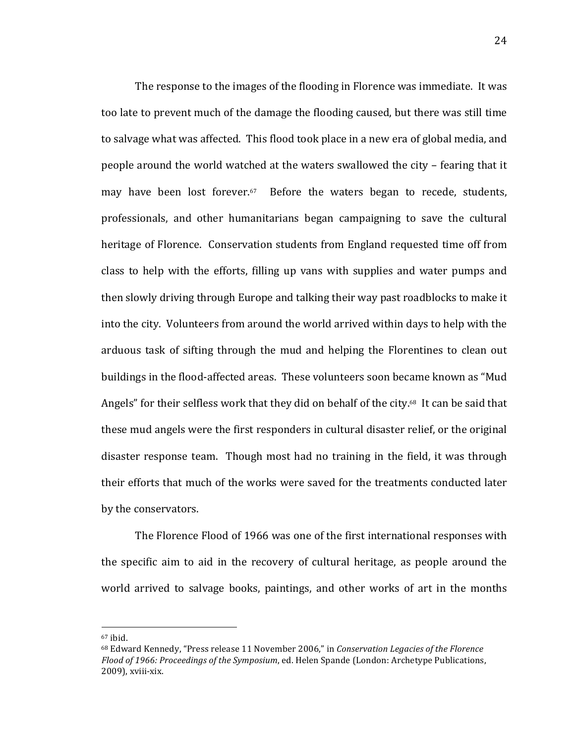The response to the images of the flooding in Florence was immediate. It was too late to prevent much of the damage the flooding caused, but there was still time to salvage what was affected. This flood took place in a new era of global media, and people around the world watched at the waters swallowed the city – fearing that it may have been lost forever.<sup>67</sup> Before the waters began to recede, students, professionals, and other humanitarians began campaigning to save the cultural heritage of Florence. Conservation students from England requested time off from class to help with the efforts, filling up vans with supplies and water pumps and then slowly driving through Europe and talking their way past roadblocks to make it into the city. Volunteers from around the world arrived within days to help with the arduous task of sifting through the mud and helping the Florentines to clean out buildings in the flood-affected areas. These volunteers soon became known as "Mud Angels" for their selfless work that they did on behalf of the city.<sup>68</sup> It can be said that these mud angels were the first responders in cultural disaster relief, or the original disaster response team. Though most had no training in the field, it was through their efforts that much of the works were saved for the treatments conducted later by the conservators.

The Florence Flood of 1966 was one of the first international responses with the specific aim to aid in the recovery of cultural heritage, as people around the world arrived to salvage books, paintings, and other works of art in the months

 $67$  ibid.

<sup>68</sup> Edward Kennedy, "Press release 11 November 2006," in *Conservation Legacies of the Florence Flood of 1966: Proceedings of the Symposium*, ed. Helen Spande (London: Archetype Publications, 2009), xviii-xix.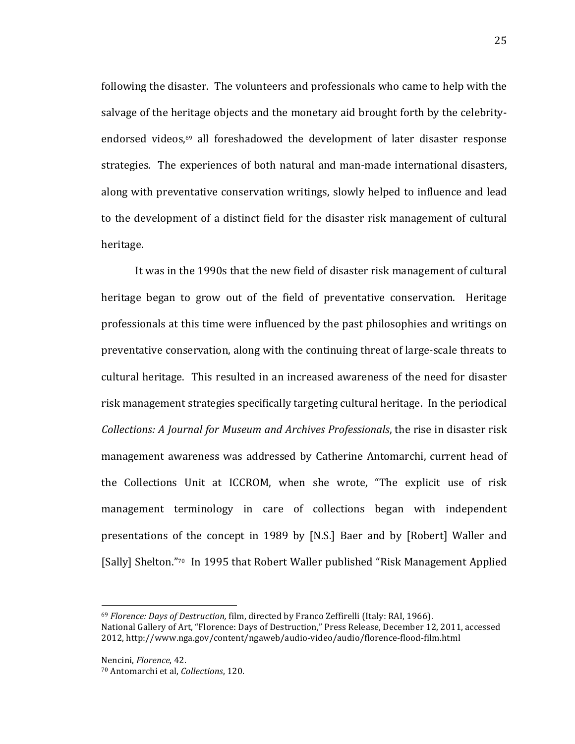following the disaster. The volunteers and professionals who came to help with the salvage of the heritage objects and the monetary aid brought forth by the celebrityendorsed videos, $69$  all foreshadowed the development of later disaster response strategies. The experiences of both natural and man-made international disasters, along with preventative conservation writings, slowly helped to influence and lead to the development of a distinct field for the disaster risk management of cultural heritage.

It was in the 1990s that the new field of disaster risk management of cultural heritage began to grow out of the field of preventative conservation. Heritage professionals at this time were influenced by the past philosophies and writings on preventative conservation, along with the continuing threat of large-scale threats to cultural heritage. This resulted in an increased awareness of the need for disaster risk management strategies specifically targeting cultural heritage. In the periodical *Collections: A Journal for Museum and Archives Professionals*, the rise in disaster risk management awareness was addressed by Catherine Antomarchi, current head of the Collections Unit at ICCROM, when she wrote, "The explicit use of risk management terminology in care of collections began with independent presentations of the concept in 1989 by [N.S.] Baer and by [Robert] Waller and [Sally] Shelton."70 In 1995 that Robert Waller published "Risk Management Applied

<sup>&</sup>lt;sup>69</sup> *Florence: Days of Destruction, film, directed by Franco Zeffirelli (Italy: RAI, 1966).* 

National Gallery of Art, "Florence: Days of Destruction," Press Release, December 12, 2011, accessed 2012, http://www.nga.gov/content/ngaweb/audio-video/audio/florence-flood-film.html

Nencini, *Florence*, 42.

<sup>70!</sup>Antomarchi!et!al,!*Collections*,!120.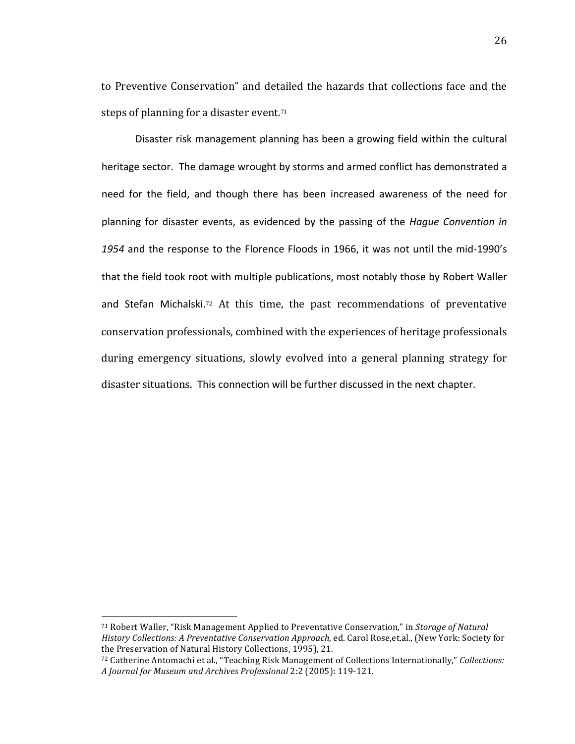to Preventive Conservation" and detailed the hazards that collections face and the steps of planning for a disaster event.<sup>71</sup>

Disaster risk management planning has been a growing field within the cultural heritage sector. The damage wrought by storms and armed conflict has demonstrated a need for the field, and though there has been increased awareness of the need for planning for disaster events, as evidenced by the passing of the *Hague Convention in* 1954 and the response to the Florence Floods in 1966, it was not until the mid-1990's that the field took root with multiple publications, most notably those by Robert Waller and Stefan Michalski.<sup>72</sup> At this time, the past recommendations of preventative conservation professionals, combined with the experiences of heritage professionals during emergency situations, slowly evolved into a general planning strategy for disaster situations. This connection will be further discussed in the next chapter.

<sup>&</sup>lt;sup>71</sup> Robert Waller, "Risk Management Applied to Preventative Conservation," in *Storage of Natural History Collections: A Preventative Conservation Approach, ed. Carol Rose,et.al., (New York: Society for* the Preservation of Natural History Collections, 1995), 21.

<sup>72</sup> Catherine Antomachi et al., "Teaching Risk Management of Collections Internationally," *Collections: A Journal for Museum and Archives Professional 2:2 (2005): 119-121.*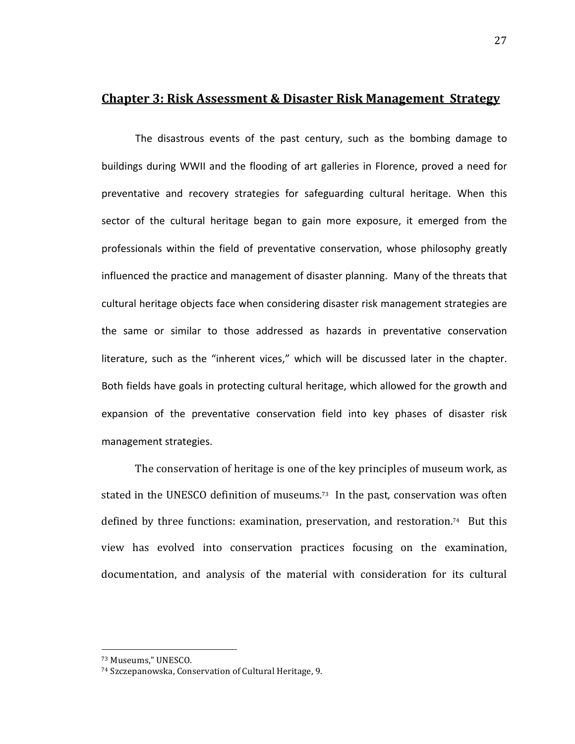#### **Chapter 3: Risk Assessment & Disaster Risk Management Strategy**

The disastrous events of the past century, such as the bombing damage to buildings during WWII and the flooding of art galleries in Florence, proved a need for preventative and recovery strategies for safeguarding cultural heritage. When this sector of the cultural heritage began to gain more exposure, it emerged from the professionals within the field of preventative conservation, whose philosophy greatly influenced the practice and management of disaster planning. Many of the threats that cultural heritage objects face when considering disaster risk management strategies are the same or similar to those addressed as hazards in preventative conservation literature, such as the "inherent vices," which will be discussed later in the chapter. Both fields have goals in protecting cultural heritage, which allowed for the growth and expansion of the preventative conservation field into key phases of disaster risk management strategies.

The conservation of heritage is one of the key principles of museum work, as stated in the UNESCO definition of museums.<sup>73</sup> In the past, conservation was often defined by three functions: examination, preservation, and restoration.<sup>74</sup> But this view has evolved into conservation practices focusing on the examination, documentation, and analysis of the material with consideration for its cultural

<sup>73</sup> Museums," UNESCO.

<sup>&</sup>lt;sup>74</sup> Szczepanowska, Conservation of Cultural Heritage, 9.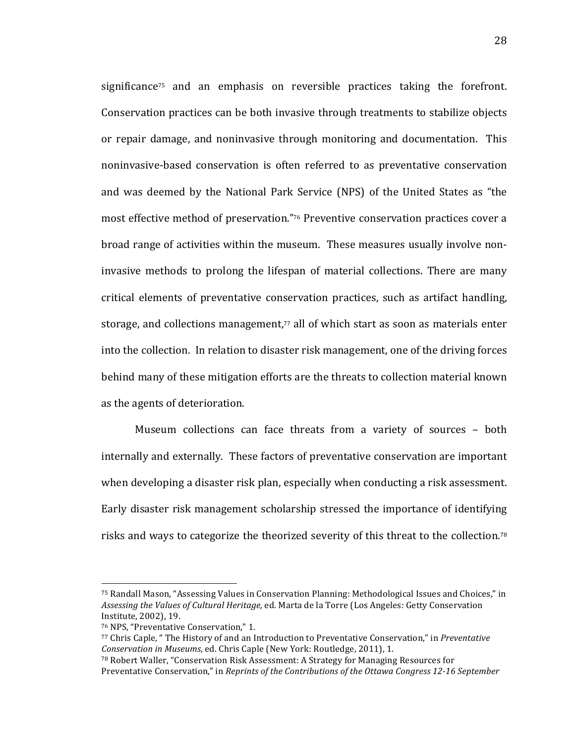significance<sup>75</sup> and an emphasis on reversible practices taking the forefront. Conservation practices can be both invasive through treatments to stabilize objects or repair damage, and noninvasive through monitoring and documentation. This noninvasive-based conservation is often referred to as preventative conservation and was deemed by the National Park Service (NPS) of the United States as "the most effective method of preservation."76 Preventive conservation practices cover a broad range of activities within the museum. These measures usually involve noninvasive methods to prolong the lifespan of material collections. There are many critical elements of preventative conservation practices, such as artifact handling, storage, and collections management,<sup>77</sup> all of which start as soon as materials enter into the collection. In relation to disaster risk management, one of the driving forces behind many of these mitigation efforts are the threats to collection material known as the agents of deterioration.

Museum collections can face threats from a variety of sources – both internally and externally. These factors of preventative conservation are important when developing a disaster risk plan, especially when conducting a risk assessment. Early disaster risk management scholarship stressed the importance of identifying risks and ways to categorize the theorized severity of this threat to the collection.<sup>78</sup>

<sup>75</sup> Randall Mason, "Assessing Values in Conservation Planning: Methodological Issues and Choices," in Assessing the Values of Cultural Heritage, ed. Marta de la Torre (Los Angeles: Getty Conservation Institute, 2002), 19.

<sup>&</sup>lt;sup>76</sup> NPS, "Preventative Conservation," 1.

<sup>77</sup> Chris Caple, " The History of and an Introduction to Preventative Conservation," in *Preventative Conservation in Museums, ed. Chris Caple (New York: Routledge, 2011), 1.* 

<sup>&</sup>lt;sup>78</sup> Robert Waller, "Conservation Risk Assessment: A Strategy for Managing Resources for Preventative Conservation," in *Reprints of the Contributions of the Ottawa Congress 12-16 September*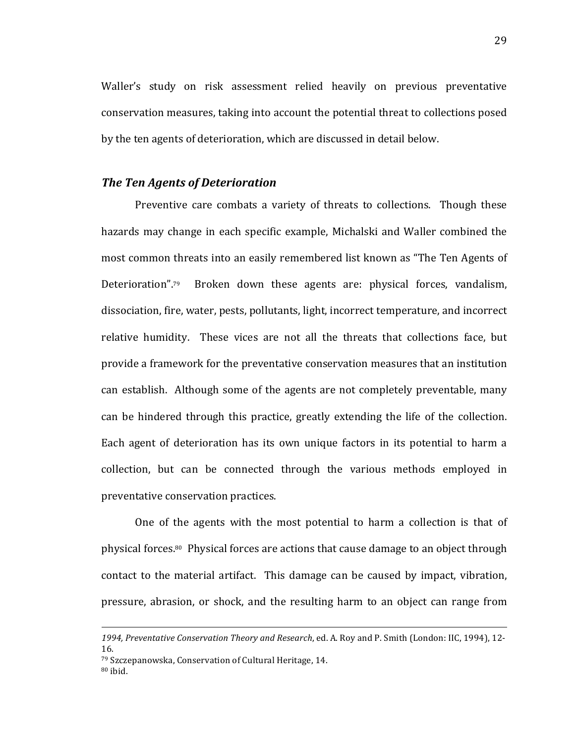Waller's study on risk assessment relied heavily on previous preventative conservation measures, taking into account the potential threat to collections posed by the ten agents of deterioration, which are discussed in detail below.

#### *The\$Ten\$Agents\$of\$Deterioration*

Preventive care combats a variety of threats to collections. Though these hazards may change in each specific example, Michalski and Waller combined the most common threats into an easily remembered list known as "The Ten Agents of Deterioration".<sup>79</sup> Broken down these agents are: physical forces, vandalism, dissociation, fire, water, pests, pollutants, light, incorrect temperature, and incorrect relative humidity. These vices are not all the threats that collections face, but provide a framework for the preventative conservation measures that an institution can establish. Although some of the agents are not completely preventable, many can be hindered through this practice, greatly extending the life of the collection. Each agent of deterioration has its own unique factors in its potential to harm a collection, but can be connected through the various methods employed in preventative conservation practices.

One of the agents with the most potential to harm a collection is that of physical forces. $80$  Physical forces are actions that cause damage to an object through contact to the material artifact. This damage can be caused by impact, vibration, pressure, abrasion, or shock, and the resulting harm to an object can range from

<sup>!!!!!!!!!!!!!!!!!!!!!!!!!!!!!!!!!!!!!!!!!!!!!!!!!!!!!!!!!!!!!!!!!!!!!!!!!!!!!!!!!!!!!!!!!!!!!!!!!!!!!!!!!!!!!!!!!!!!!!!!!!!!!!!!!!!!!!!!!!!!!!!!!!!!!!!!!!!!!!!!!!!!</sup> 1994, Preventative Conservation Theory and Research, ed. A. Roy and P. Smith (London: IIC, 1994), 12-16.

 $79$  Szczepanowska, Conservation of Cultural Heritage, 14.  $80$  ibid.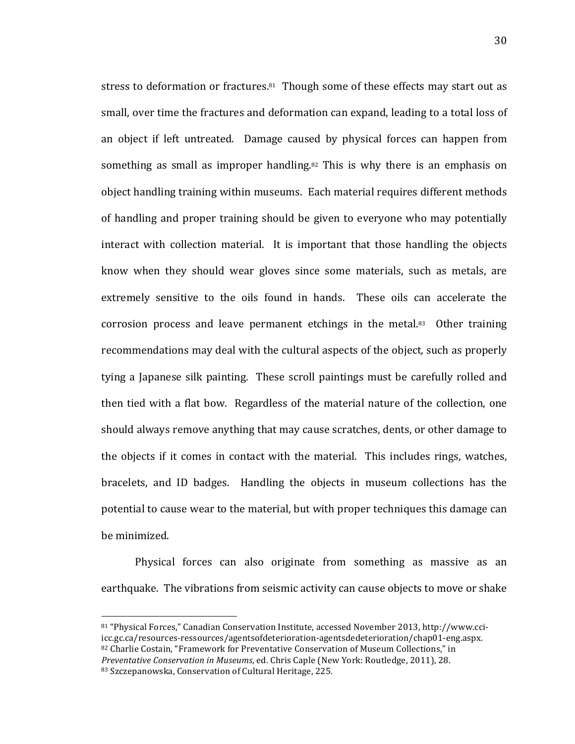stress to deformation or fractures.<sup>81</sup> Though some of these effects may start out as small, over time the fractures and deformation can expand, leading to a total loss of an object if left untreated. Damage caused by physical forces can happen from something as small as improper handling.<sup>82</sup> This is why there is an emphasis on object handling training within museums. Each material requires different methods of handling and proper training should be given to everyone who may potentially interact with collection material. It is important that those handling the objects know when they should wear gloves since some materials, such as metals, are extremely sensitive to the oils found in hands. These oils can accelerate the corrosion process and leave permanent etchings in the metal. $83$  Other training recommendations may deal with the cultural aspects of the object, such as properly tying a Japanese silk painting. These scroll paintings must be carefully rolled and then tied with a flat bow. Regardless of the material nature of the collection, one should always remove anything that may cause scratches, dents, or other damage to the objects if it comes in contact with the material. This includes rings, watches, bracelets, and ID badges. Handling the objects in museum collections has the potential to cause wear to the material, but with proper techniques this damage can be minimized.

Physical forces can also originate from something as massive as an earthquake. The vibrations from seismic activity can cause objects to move or shake

<sup>81 &</sup>quot;Physical Forces," Canadian Conservation Institute, accessed November 2013, http://www.cciicc.gc.ca/resources-ressources/agentsofdeterioration-agentsdedeterioration/chap01-eng.aspx. 82 Charlie Costain, "Framework for Preventative Conservation of Museum Collections," in *Preventative Conservation in Museums*, ed. Chris Caple (New York: Routledge, 2011), 28.

<sup>83</sup> Szczepanowska, Conservation of Cultural Heritage, 225.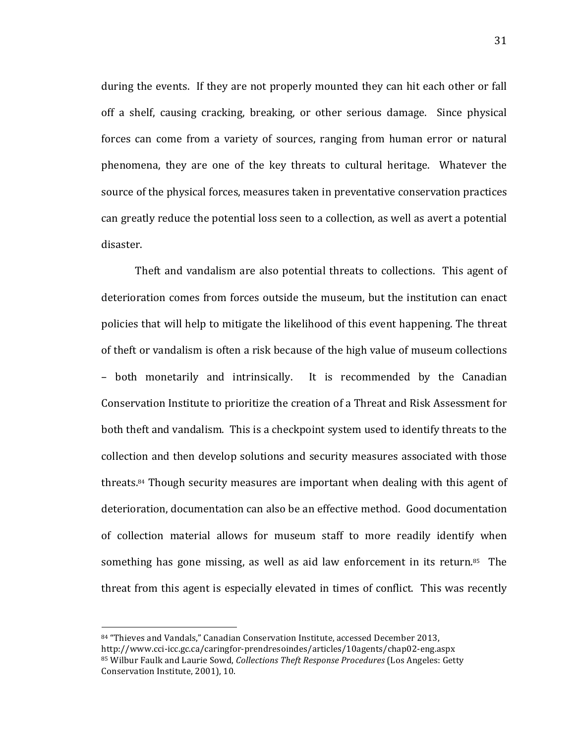during the events. If they are not properly mounted they can hit each other or fall off a shelf, causing cracking, breaking, or other serious damage. Since physical forces can come from a variety of sources, ranging from human error or natural phenomena, they are one of the key threats to cultural heritage. Whatever the source of the physical forces, measures taken in preventative conservation practices can greatly reduce the potential loss seen to a collection, as well as avert a potential disaster.

Theft and vandalism are also potential threats to collections. This agent of deterioration comes from forces outside the museum, but the institution can enact policies that will help to mitigate the likelihood of this event happening. The threat of theft or vandalism is often a risk because of the high value of museum collections – both monetarily and intrinsically. It is recommended by the Canadian Conservation Institute to prioritize the creation of a Threat and Risk Assessment for both theft and vandalism. This is a checkpoint system used to identify threats to the collection and then develop solutions and security measures associated with those threats. $84$  Though security measures are important when dealing with this agent of deterioration, documentation can also be an effective method. Good documentation of collection material allows for museum staff to more readily identify when something has gone missing, as well as aid law enforcement in its return.<sup>85</sup> The threat from this agent is especially elevated in times of conflict. This was recently

<sup>84 &</sup>quot;Thieves and Vandals," Canadian Conservation Institute, accessed December 2013, http://www.cci-icc.gc.ca/caringfor-prendresoindes/articles/10agents/chap02-eng.aspx 85 Wilbur Faulk and Laurie Sowd, *Collections Theft Response Procedures* (Los Angeles: Getty Conservation Institute, 2001), 10.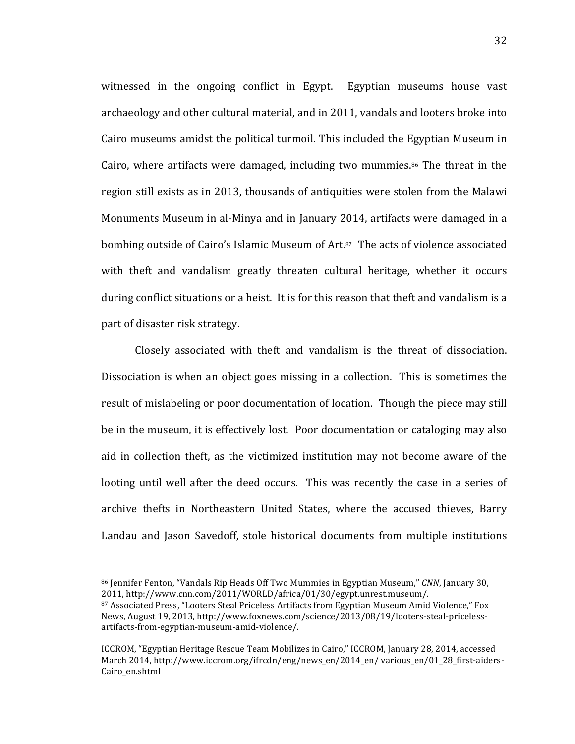witnessed in the ongoing conflict in Egypt. Egyptian museums house vast archaeology and other cultural material, and in 2011, vandals and looters broke into Cairo museums amidst the political turmoil. This included the Egyptian Museum in Cairo, where artifacts were damaged, including two mummies. $86$  The threat in the region still exists as in 2013, thousands of antiquities were stolen from the Malawi Monuments Museum in al-Minya and in January 2014, artifacts were damaged in a bombing outside of Cairo's Islamic Museum of Art.<sup>87</sup> The acts of violence associated with theft and vandalism greatly threaten cultural heritage, whether it occurs during conflict situations or a heist. It is for this reason that theft and vandalism is a part of disaster risk strategy.

Closely associated with theft and vandalism is the threat of dissociation. Dissociation is when an object goes missing in a collection. This is sometimes the result of mislabeling or poor documentation of location. Though the piece may still be in the museum, it is effectively lost. Poor documentation or cataloging may also aid in collection theft, as the victimized institution may not become aware of the looting until well after the deed occurs. This was recently the case in a series of archive thefts in Northeastern United States, where the accused thieves, Barry Landau and Jason Savedoff, stole historical documents from multiple institutions

<sup>86</sup> Jennifer Fenton, "Vandals Rip Heads Off Two Mummies in Egyptian Museum," *CNN*, January 30, 2011, http://www.cnn.com/2011/WORLD/africa/01/30/egypt.unrest.museum/.

<sup>87</sup> Associated Press, "Looters Steal Priceless Artifacts from Egyptian Museum Amid Violence," Fox News, August 19, 2013, http://www.foxnews.com/science/2013/08/19/looters-steal-pricelessartifacts-from-egyptian-museum-amid-violence/.

ICCROM, "Egyptian Heritage Rescue Team Mobilizes in Cairo," ICCROM, January 28, 2014, accessed March 2014, http://www.iccrom.org/ifrcdn/eng/news\_en/2014\_en/ various\_en/01\_28\_first-aiders-Cairo\_en.shtml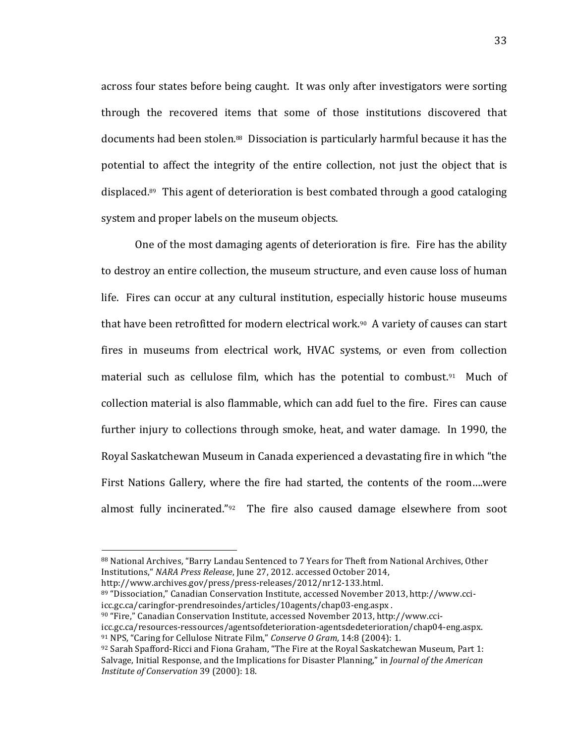across four states before being caught. It was only after investigators were sorting through the recovered items that some of those institutions discovered that documents had been stolen.<sup>88</sup> Dissociation is particularly harmful because it has the potential to affect the integrity of the entire collection, not just the object that is displaced.89 This agent of deterioration is best combated through a good cataloging system and proper labels on the museum objects.

One of the most damaging agents of deterioration is fire. Fire has the ability to destroy an entire collection, the museum structure, and even cause loss of human life. Fires can occur at any cultural institution, especially historic house museums that have been retrofitted for modern electrical work. $90$  A variety of causes can start fires in museums from electrical work, HVAC systems, or even from collection material such as cellulose film, which has the potential to combust.91 Much of collection material is also flammable, which can add fuel to the fire. Fires can cause further injury to collections through smoke, heat, and water damage. In 1990, the Royal Saskatchewan Museum in Canada experienced a devastating fire in which "the First Nations Gallery, where the fire had started, the contents of the room....were almost fully incinerated." $92$  The fire also caused damage elsewhere from soot

http://www.archives.gov/press/press-releases/2012/nr12-133.html.

!!!!!!!!!!!!!!!!!!!!!!!!!!!!!!!!!!!!!!!!!!!!!!!!!!!!!!!

89 "Dissociation," Canadian Conservation Institute, accessed November 2013, http://www.cciicc.gc.ca/caringfor-prendresoindes/articles/10agents/chap03-eng.aspx .

<sup>88</sup> National Archives, "Barry Landau Sentenced to 7 Years for Theft from National Archives, Other Institutions," NARA Press Release, June 27, 2012. accessed October 2014,

<sup>90 &</sup>quot;Fire," Canadian Conservation Institute, accessed November 2013, http://www.cci-

icc.gc.ca/resources-ressources/agentsofdeterioration-agentsdedeterioration/chap04-eng.aspx. <sup>91</sup> NPS, "Caring for Cellulose Nitrate Film," *Conserve O Gram*, 14:8 (2004): 1.

 $92$  Sarah Spafford-Ricci and Fiona Graham, "The Fire at the Royal Saskatchewan Museum, Part 1: Salvage, Initial Response, and the Implications for Disaster Planning," in *Journal of the American Institute of Conservation* 39 (2000): 18.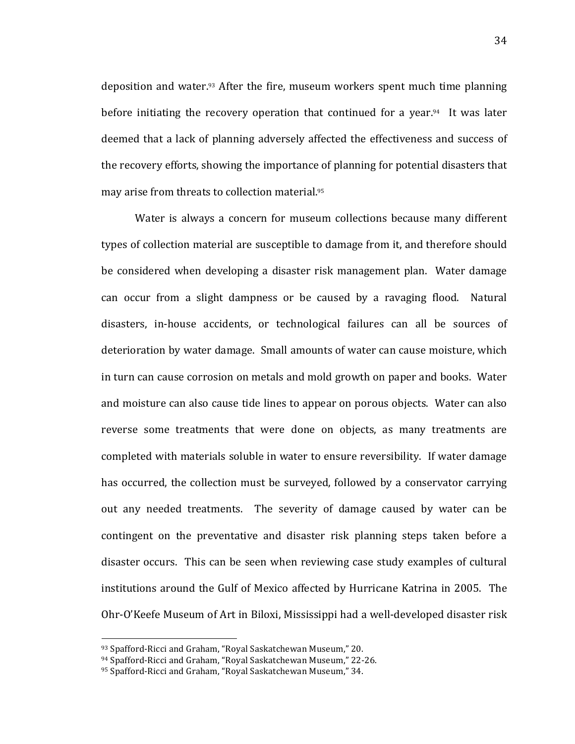deposition and water. $93$  After the fire, museum workers spent much time planning before initiating the recovery operation that continued for a year.<sup>94</sup> It was later deemed that a lack of planning adversely affected the effectiveness and success of the recovery efforts, showing the importance of planning for potential disasters that may arise from threats to collection material.<sup>95</sup>

Water is always a concern for museum collections because many different types of collection material are susceptible to damage from it, and therefore should be considered when developing a disaster risk management plan. Water damage can occur from a slight dampness or be caused by a ravaging flood. Natural disasters, in-house accidents, or technological failures can all be sources of deterioration by water damage. Small amounts of water can cause moisture, which in turn can cause corrosion on metals and mold growth on paper and books. Water and moisture can also cause tide lines to appear on porous objects. Water can also reverse some treatments that were done on objects, as many treatments are completed with materials soluble in water to ensure reversibility. If water damage has occurred, the collection must be surveyed, followed by a conservator carrying out any needed treatments. The severity of damage caused by water can be contingent on the preventative and disaster risk planning steps taken before a disaster occurs. This can be seen when reviewing case study examples of cultural institutions around the Gulf of Mexico affected by Hurricane Katrina in 2005. The Ohr-O'Keefe Museum of Art in Biloxi, Mississippi had a well-developed disaster risk

<sup>93</sup> Spafford-Ricci and Graham, "Royal Saskatchewan Museum," 20.

<sup>94</sup> Spafford-Ricci and Graham, "Royal Saskatchewan Museum," 22-26.

<sup>95</sup> Spafford-Ricci and Graham, "Royal Saskatchewan Museum," 34.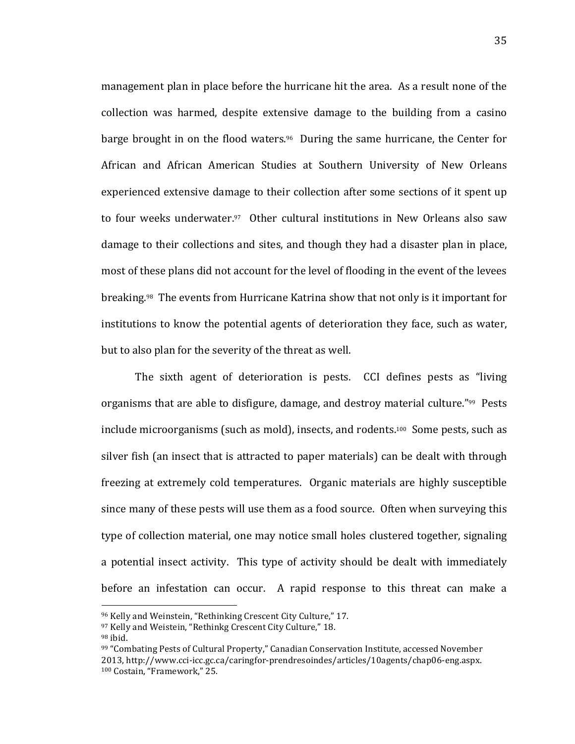management plan in place before the hurricane hit the area. As a result none of the collection was harmed, despite extensive damage to the building from a casino barge brought in on the flood waters.<sup>96</sup> During the same hurricane, the Center for African and African American Studies at Southern University of New Orleans experienced extensive damage to their collection after some sections of it spent up to! four! weeks! underwater.97! ! Other! cultural! institutions! in! New! Orleans! also! saw! damage to their collections and sites, and though they had a disaster plan in place, most of these plans did not account for the level of flooding in the event of the levees breaking.<sup>98</sup> The events from Hurricane Katrina show that not only is it important for institutions to know the potential agents of deterioration they face, such as water, but to also plan for the severity of the threat as well.

The sixth agent of deterioration is pests. CCI defines pests as "living organisms that are able to disfigure, damage, and destroy material culture."<sup>99</sup> Pests include microorganisms (such as mold), insects, and rodents.<sup>100</sup> Some pests, such as silver fish (an insect that is attracted to paper materials) can be dealt with through freezing at extremely cold temperatures. Organic materials are highly susceptible since many of these pests will use them as a food source. Often when surveying this type of collection material, one may notice small holes clustered together, signaling a potential insect activity. This type of activity should be dealt with immediately before an infestation can occur. A rapid response to this threat can make a

<sup>96</sup> Kelly and Weinstein, "Rethinking Crescent City Culture," 17.

<sup>97</sup> Kelly and Weistein, "Rethinkg Crescent City Culture," 18.

 $98$  ibid.

<sup>99 &</sup>quot;Combating Pests of Cultural Property," Canadian Conservation Institute, accessed November 2013, http://www.cci-icc.gc.ca/caringfor-prendresoindes/articles/10agents/chap06-eng.aspx. 100 Costain, "Framework," 25.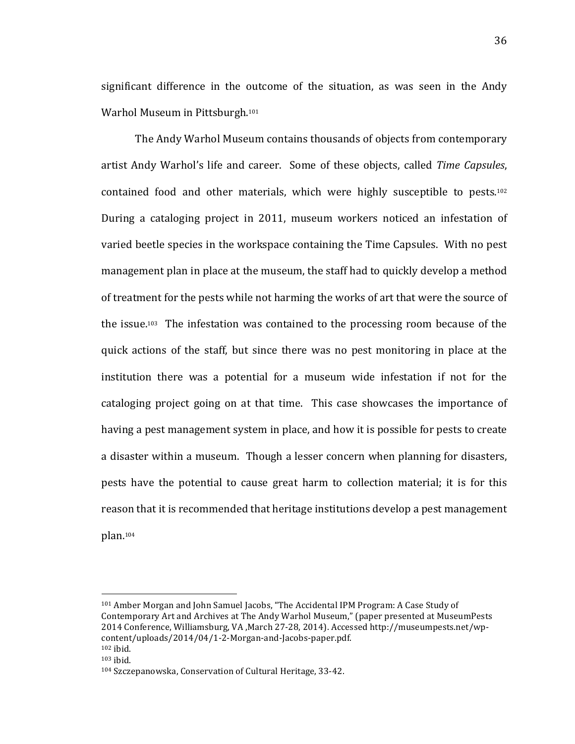significant difference in the outcome of the situation, as was seen in the Andy Warhol Museum in Pittsburgh.<sup>101</sup>

The Andy Warhol Museum contains thousands of objects from contemporary artist Andy Warhol's life and career. Some of these objects, called *Time Capsules*, contained food and other materials, which were highly susceptible to pests.<sup>102</sup> During a cataloging project in 2011, museum workers noticed an infestation of varied beetle species in the workspace containing the Time Capsules. With no pest management plan in place at the museum, the staff had to quickly develop a method of treatment for the pests while not harming the works of art that were the source of the issue.<sup>103</sup> The infestation was contained to the processing room because of the quick actions of the staff, but since there was no pest monitoring in place at the institution there was a potential for a museum wide infestation if not for the cataloging project going on at that time. This case showcases the importance of having a pest management system in place, and how it is possible for pests to create a disaster within a museum. Though a lesser concern when planning for disasters, pests have the potential to cause great harm to collection material; it is for this reason that it is recommended that heritage institutions develop a pest management plan.104

<sup>101</sup> Amber Morgan and John Samuel Jacobs, "The Accidental IPM Program: A Case Study of Contemporary Art and Archives at The Andy Warhol Museum," (paper presented at MuseumPests 2014 Conference, Williamsburg, VA , March 27-28, 2014). Accessed http://museumpests.net/wp $content/unloads/2014/04/1-2-Morgan-and-Jacobs-paper.pdf.$  $102$  ibid.

 $103$  ibid.

<sup>104</sup> Szczepanowska, Conservation of Cultural Heritage, 33-42.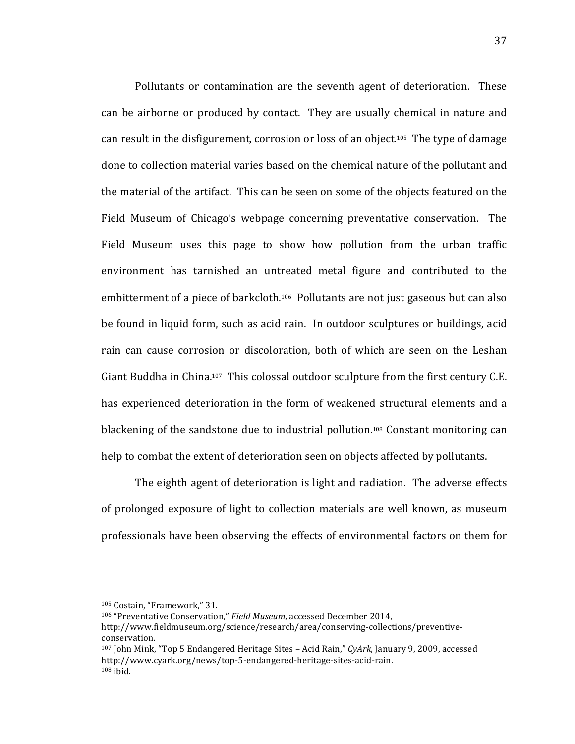Pollutants or contamination are the seventh agent of deterioration. These can be airborne or produced by contact. They are usually chemical in nature and can result in the disfigurement, corrosion or loss of an object.<sup>105</sup> The type of damage done to collection material varies based on the chemical nature of the pollutant and the material of the artifact. This can be seen on some of the objects featured on the Field Museum of Chicago's webpage concerning preventative conservation. The Field Museum uses this page to show how pollution from the urban traffic environment has tarnished an untreated metal figure and contributed to the embitterment of a piece of barkcloth.<sup>106</sup> Pollutants are not just gaseous but can also be found in liquid form, such as acid rain. In outdoor sculptures or buildings, acid rain can cause corrosion or discoloration, both of which are seen on the Leshan Giant Buddha in China.<sup>107</sup> This colossal outdoor sculpture from the first century C.E. has experienced deterioration in the form of weakened structural elements and a blackening of the sandstone due to industrial pollution.<sup>108</sup> Constant monitoring can help to combat the extent of deterioration seen on objects affected by pollutants.

The eighth agent of deterioration is light and radiation. The adverse effects of prolonged exposure of light to collection materials are well known, as museum professionals have been observing the effects of environmental factors on them for

<sup>105</sup> Costain, "Framework," 31.

<sup>&</sup>lt;sup>106</sup> "Preventative Conservation," *Field Museum*, accessed December 2014,

http://www.fieldmuseum.org/science/research/area/conserving-collections/preventiveconservation.

<sup>107</sup> John Mink, "Top 5 Endangered Heritage Sites - Acid Rain," *CyArk*, January 9, 2009, accessed http://www.cyark.org/news/top-5-endangered-heritage-sites-acid-rain.  $108$  ibid.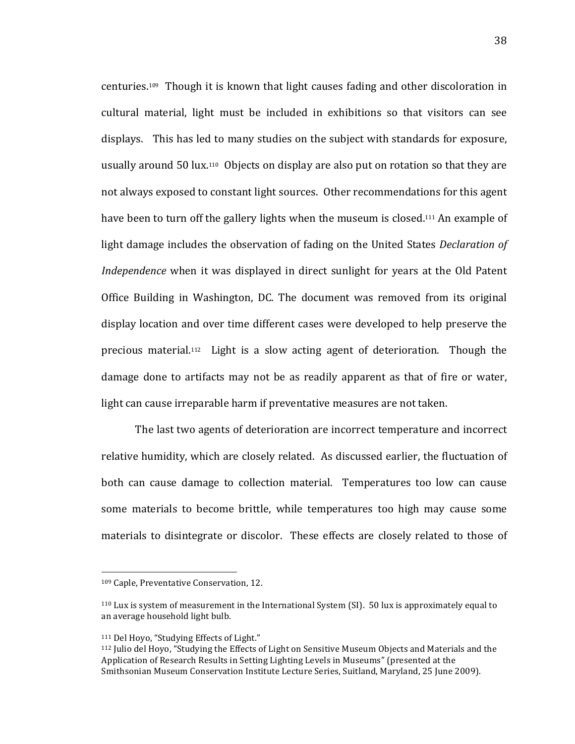centuries.<sup>109</sup> Though it is known that light causes fading and other discoloration in cultural material, light must be included in exhibitions so that visitors can see displays. This has led to many studies on the subject with standards for exposure, usually around  $50$  lux.<sup>110</sup> Objects on display are also put on rotation so that they are not always exposed to constant light sources. Other recommendations for this agent have been to turn off the gallery lights when the museum is closed.<sup>111</sup> An example of light damage includes the observation of fading on the United States *Declaration of Independence* when it was displayed in direct sunlight for years at the Old Patent Office Building in Washington, DC. The document was removed from its original display location and over time different cases were developed to help preserve the precious material.<sup>112</sup> Light is a slow acting agent of deterioration. Though the damage done to artifacts may not be as readily apparent as that of fire or water, light can cause irreparable harm if preventative measures are not taken.

The last two agents of deterioration are incorrect temperature and incorrect relative humidity, which are closely related. As discussed earlier, the fluctuation of both can cause damage to collection material. Temperatures too low can cause some materials to become brittle, while temperatures too high may cause some materials to disintegrate or discolor. These effects are closely related to those of

<sup>109</sup> Caple, Preventative Conservation, 12.

 $110$  Lux is system of measurement in the International System (SI). 50 lux is approximately equal to an average household light bulb.

<sup>111</sup> Del Hoyo, "Studying Effects of Light."

<sup>112</sup> Julio del Hoyo, "Studying the Effects of Light on Sensitive Museum Objects and Materials and the Application of Research Results in Setting Lighting Levels in Museums" (presented at the Smithsonian Museum Conservation Institute Lecture Series, Suitland, Maryland, 25 June 2009).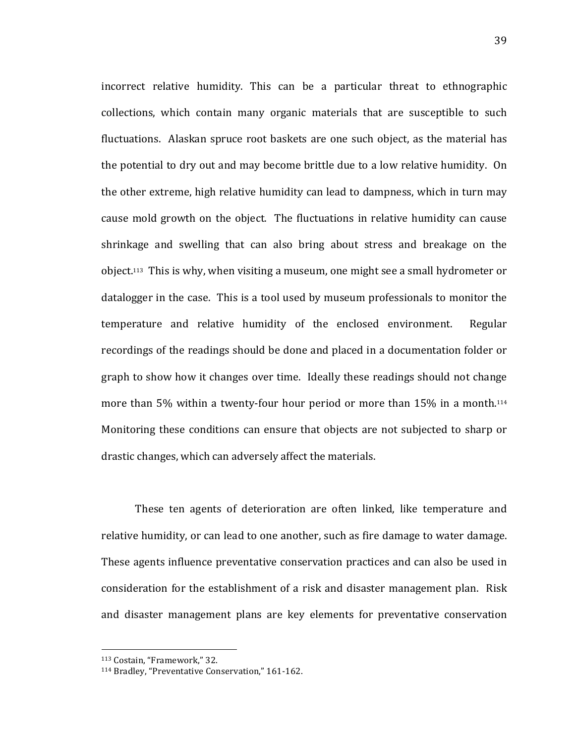incorrect relative humidity. This can be a particular threat to ethnographic collections, which contain many organic materials that are susceptible to such fluctuations. Alaskan spruce root baskets are one such object, as the material has the potential to dry out and may become brittle due to a low relative humidity. On the other extreme, high relative humidity can lead to dampness, which in turn may cause mold growth on the object. The fluctuations in relative humidity can cause shrinkage and swelling that can also bring about stress and breakage on the object.<sup>113</sup> This is why, when visiting a museum, one might see a small hydrometer or datalogger in the case. This is a tool used by museum professionals to monitor the temperature and relative humidity of the enclosed environment. Regular recordings of the readings should be done and placed in a documentation folder or graph to show how it changes over time. Ideally these readings should not change more than 5% within a twenty-four hour period or more than  $15\%$  in a month.<sup>114</sup> Monitoring these conditions can ensure that objects are not subjected to sharp or drastic changes, which can adversely affect the materials.

These ten agents of deterioration are often linked, like temperature and relative humidity, or can lead to one another, such as fire damage to water damage. These agents influence preventative conservation practices and can also be used in consideration for the establishment of a risk and disaster management plan. Risk and disaster management plans are key elements for preventative conservation

<sup>&</sup>lt;sup>113</sup> Costain, "Framework," 32.

<sup>&</sup>lt;sup>114</sup> Bradley, "Preventative Conservation," 161-162.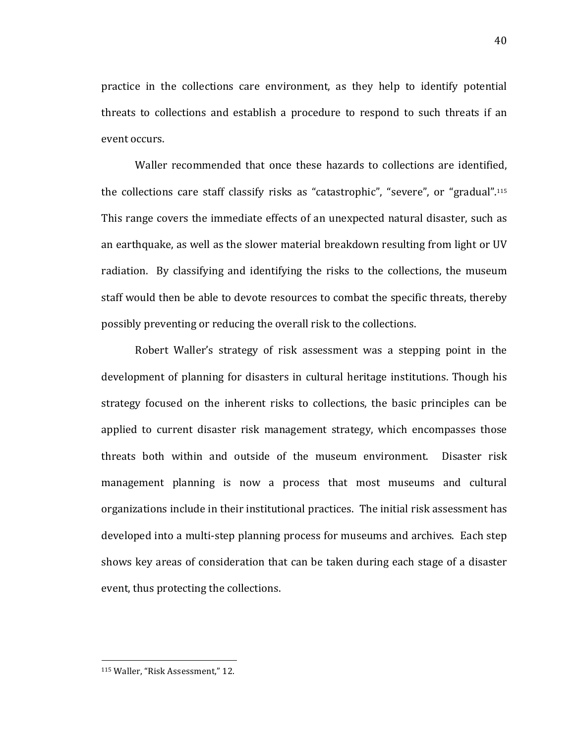practice in the collections care environment, as they help to identify potential threats to collections and establish a procedure to respond to such threats if an event occurs.

Waller recommended that once these hazards to collections are identified, the collections care staff classify risks as "catastrophic", "severe", or "gradual".<sup>115</sup> This range covers the immediate effects of an unexpected natural disaster, such as an earthquake, as well as the slower material breakdown resulting from light or UV radiation. By classifying and identifying the risks to the collections, the museum staff would then be able to devote resources to combat the specific threats, thereby possibly preventing or reducing the overall risk to the collections.

Robert Waller's strategy of risk assessment was a stepping point in the development of planning for disasters in cultural heritage institutions. Though his strategy focused on the inherent risks to collections, the basic principles can be applied to current disaster risk management strategy, which encompasses those threats both within and outside of the museum environment. Disaster risk management planning is now a process that most museums and cultural organizations include in their institutional practices. The initial risk assessment has developed into a multi-step planning process for museums and archives. Each step shows key areas of consideration that can be taken during each stage of a disaster event, thus protecting the collections.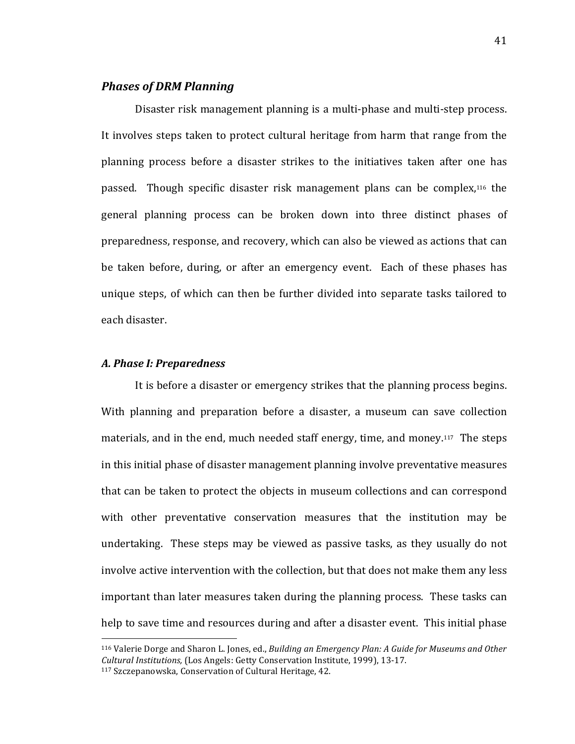# **Phases of DRM Planning**

Disaster risk management planning is a multi-phase and multi-step process. It involves steps taken to protect cultural heritage from harm that range from the planning process before a disaster strikes to the initiatives taken after one has passed. Though specific disaster risk management plans can be complex,<sup>116</sup> the general planning process can be broken down into three distinct phases of preparedness, response, and recovery, which can also be viewed as actions that can be taken before, during, or after an emergency event. Each of these phases has unique steps, of which can then be further divided into separate tasks tailored to each disaster.

#### *A.\$Phase\$I:\$Preparedness*

!!!!!!!!!!!!!!!!!!!!!!!!!!!!!!!!!!!!!!!!!!!!!!!!!!!!!!!

It is before a disaster or emergency strikes that the planning process begins. With planning and preparation before a disaster, a museum can save collection materials, and in the end, much needed staff energy, time, and money.<sup>117</sup> The steps in this initial phase of disaster management planning involve preventative measures that can be taken to protect the objects in museum collections and can correspond with other preventative conservation measures that the institution may be undertaking. These steps may be viewed as passive tasks, as they usually do not involve active intervention with the collection, but that does not make them any less important than later measures taken during the planning process. These tasks can help to save time and resources during and after a disaster event. This initial phase

<sup>116</sup> Valerie Dorge and Sharon L. Jones, ed., *Building an Emergency Plan: A Guide for Museums and Other Cultural Institutions,* (Los Angels: Getty Conservation Institute, 1999), 13-17. <sup>117</sup> Szczepanowska, Conservation of Cultural Heritage, 42.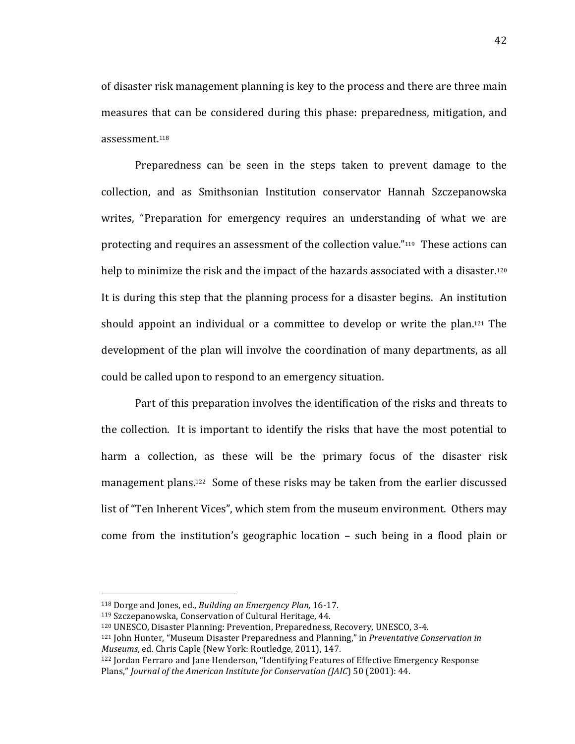of disaster risk management planning is key to the process and there are three main measures that can be considered during this phase: preparedness, mitigation, and assessment.<sup>118</sup>

Preparedness can be seen in the steps taken to prevent damage to the collection,! and! as! Smithsonian! Institution! conservator! Hannah! Szczepanowska! writes, "Preparation for emergency requires an understanding of what we are protecting and requires an assessment of the collection value." $119$  These actions can help to minimize the risk and the impact of the hazards associated with a disaster.<sup>120</sup> It is during this step that the planning process for a disaster begins. An institution should appoint an individual or a committee to develop or write the plan.<sup>121</sup> The development of the plan will involve the coordination of many departments, as all could be called upon to respond to an emergency situation.

Part of this preparation involves the identification of the risks and threats to the collection. It is important to identify the risks that have the most potential to harm a collection, as these will be the primary focus of the disaster risk management plans.<sup>122</sup> Some of these risks may be taken from the earlier discussed list of "Ten Inherent Vices", which stem from the museum environment. Others may come from the institution's geographic location  $-$  such being in a flood plain or

<sup>&</sup>lt;sup>118</sup> Dorge and Jones, ed., *Building an Emergency Plan*, 16-17.

<sup>&</sup>lt;sup>119</sup> Szczepanowska, Conservation of Cultural Heritage, 44.

<sup>&</sup>lt;sup>120</sup> UNESCO, Disaster Planning: Prevention, Preparedness, Recovery, UNESCO, 3-4.

<sup>&</sup>lt;sup>121</sup> John Hunter, "Museum Disaster Preparedness and Planning," in *Preventative Conservation in Museums*, ed. Chris Caple (New York: Routledge, 2011), 147.

<sup>&</sup>lt;sup>122</sup> Jordan Ferraro and Jane Henderson, "Identifying Features of Effective Emergency Response Plans," *Journal of the American Institute for Conservation (JAIC*) 50 (2001): 44.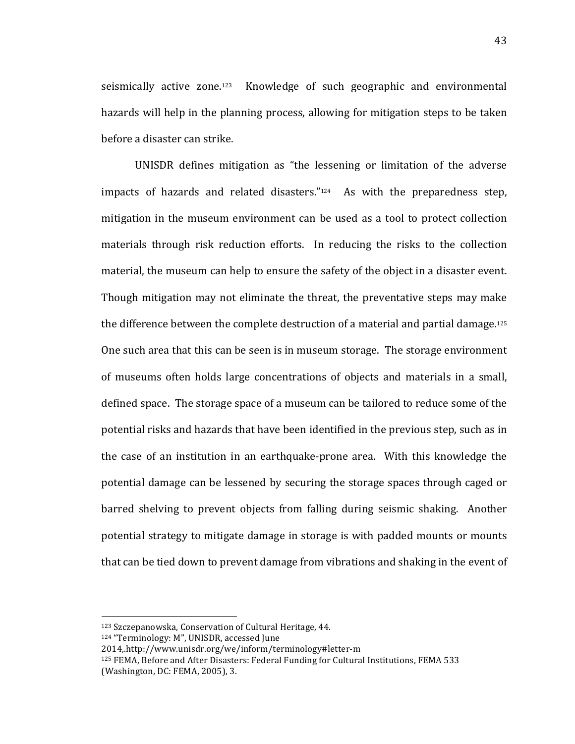seismically active zone.<sup>123</sup> Knowledge of such geographic and environmental hazards will help in the planning process, allowing for mitigation steps to be taken before a disaster can strike.

UNISDR defines mitigation as "the lessening or limitation of the adverse impacts of hazards and related disasters. $i<sup>124</sup>$  As with the preparedness step, mitigation in the museum environment can be used as a tool to protect collection materials through risk reduction efforts. In reducing the risks to the collection material, the museum can help to ensure the safety of the object in a disaster event. Though mitigation may not eliminate the threat, the preventative steps may make the difference between the complete destruction of a material and partial damage.<sup>125</sup> One such area that this can be seen is in museum storage. The storage environment of museums often holds large concentrations of objects and materials in a small, defined space. The storage space of a museum can be tailored to reduce some of the potential risks and hazards that have been identified in the previous step, such as in the case of an institution in an earthquake-prone area. With this knowledge the potential damage can be lessened by securing the storage spaces through caged or barred shelving to prevent objects from falling during seismic shaking. Another potential strategy to mitigate damage in storage is with padded mounts or mounts that can be tied down to prevent damage from vibrations and shaking in the event of

<sup>123</sup> Szczepanowska, Conservation of Cultural Heritage, 44.

<sup>124 &</sup>quot;Terminology: M", UNISDR, accessed June

<sup>2014,.</sup>http://www.unisdr.org/we/inform/terminology#letter-m

 $125$  FEMA, Before and After Disasters: Federal Funding for Cultural Institutions, FEMA 533 (Washington, DC: FEMA, 2005), 3.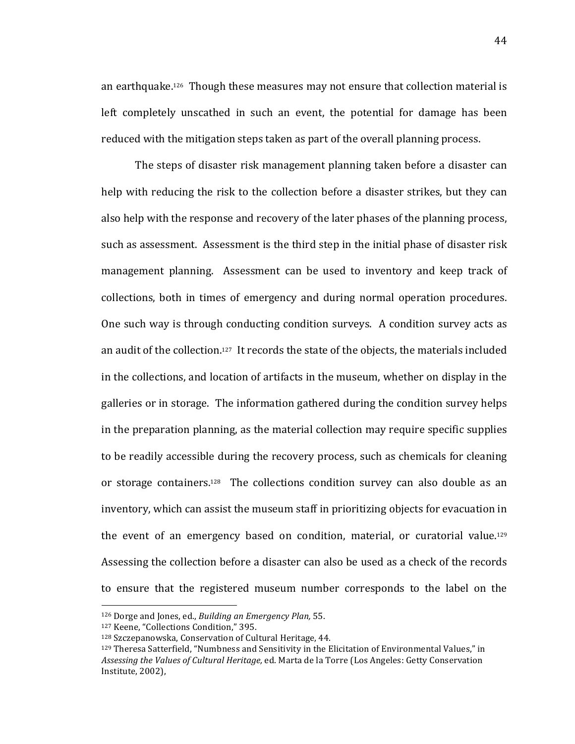an earthquake.<sup>126</sup> Though these measures may not ensure that collection material is left completely unscathed in such an event, the potential for damage has been reduced with the mitigation steps taken as part of the overall planning process.

The steps of disaster risk management planning taken before a disaster can help with reducing the risk to the collection before a disaster strikes, but they can also help with the response and recovery of the later phases of the planning process, such as assessment. Assessment is the third step in the initial phase of disaster risk management planning. Assessment can be used to inventory and keep track of collections, both in times of emergency and during normal operation procedures. One such way is through conducting condition surveys. A condition survey acts as an audit of the collection.<sup>127</sup> It records the state of the objects, the materials included in the collections, and location of artifacts in the museum, whether on display in the galleries or in storage. The information gathered during the condition survey helps in the preparation planning, as the material collection may require specific supplies to be readily accessible during the recovery process, such as chemicals for cleaning or storage containers.<sup>128</sup> The collections condition survey can also double as an inventory, which can assist the museum staff in prioritizing objects for evacuation in the event of an emergency based on condition, material, or curatorial value.<sup>129</sup> Assessing the collection before a disaster can also be used as a check of the records to ensure that the registered museum number corresponds to the label on the

<sup>&</sup>lt;sup>126</sup> Dorge and Jones, ed., *Building an Emergency Plan*, 55.

<sup>127</sup> Keene, "Collections Condition," 395.

<sup>128</sup> Szczepanowska, Conservation of Cultural Heritage, 44.

<sup>129</sup> Theresa Satterfield, "Numbness and Sensitivity in the Elicitation of Environmental Values," in Assessing the Values of Cultural Heritage, ed. Marta de la Torre (Los Angeles: Getty Conservation Institute, 2002),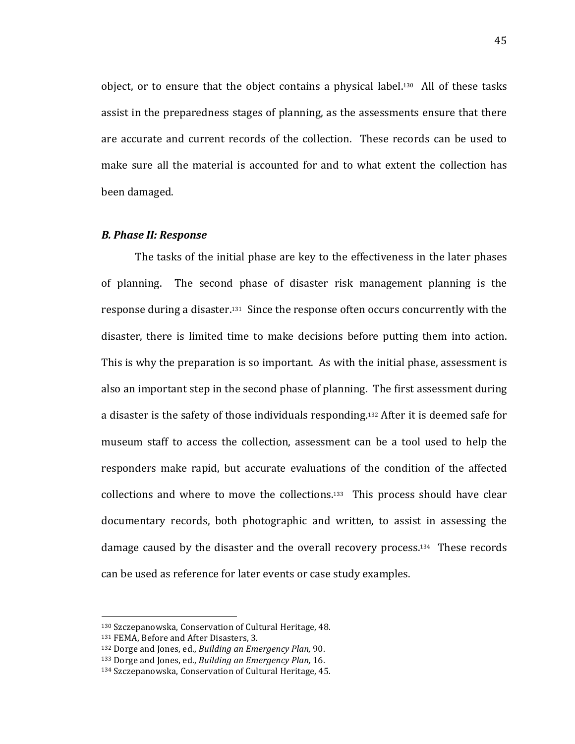object, or to ensure that the object contains a physical label.<sup>130</sup> All of these tasks assist in the preparedness stages of planning, as the assessments ensure that there are accurate and current records of the collection. These records can be used to make sure all the material is accounted for and to what extent the collection has been damaged.

### **B. Phase II: Response**

The tasks of the initial phase are key to the effectiveness in the later phases of planning. The second phase of disaster risk management planning is the response during a disaster.<sup>131</sup> Since the response often occurs concurrently with the disaster, there is limited time to make decisions before putting them into action. This is why the preparation is so important. As with the initial phase, assessment is also an important step in the second phase of planning. The first assessment during a disaster is the safety of those individuals responding.<sup>132</sup> After it is deemed safe for museum staff to access the collection, assessment can be a tool used to help the responders make rapid, but accurate evaluations of the condition of the affected collections and where to move the collections.<sup>133</sup> This process should have clear documentary records, both photographic and written, to assist in assessing the damage caused by the disaster and the overall recovery process.<sup>134</sup> These records can be used as reference for later events or case study examples.

<sup>130</sup> Szczepanowska, Conservation of Cultural Heritage, 48.

<sup>131</sup> FEMA, Before and After Disasters, 3.

<sup>132</sup> Dorge and Jones, ed., *Building an Emergency Plan*, 90.

<sup>&</sup>lt;sup>133</sup> Dorge and Jones, ed., *Building an Emergency Plan*, 16.

<sup>134</sup> Szczepanowska, Conservation of Cultural Heritage, 45.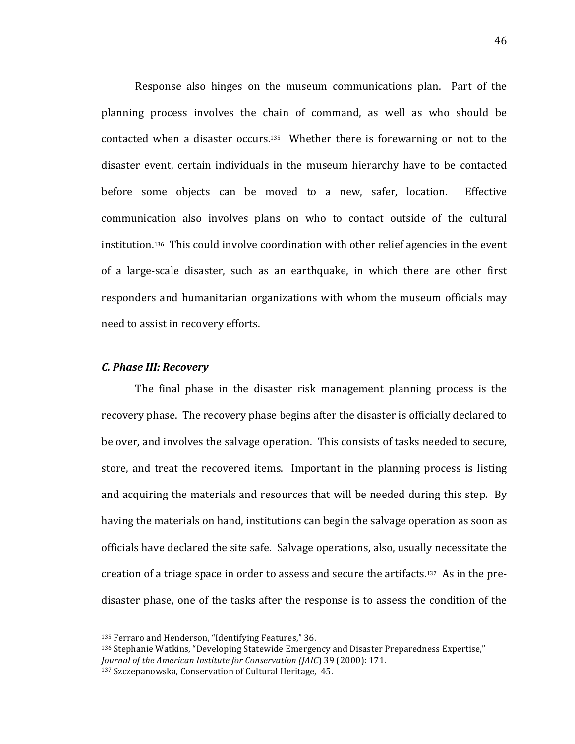Response also hinges on the museum communications plan. Part of the planning process involves the chain of command, as well as who should be contacted when a disaster occurs.<sup>135</sup> Whether there is forewarning or not to the disaster event, certain individuals in the museum hierarchy have to be contacted before some objects can be moved to a new, safer, location. Effective communication also involves plans on who to contact outside of the cultural institution.<sup>136</sup> This could involve coordination with other relief agencies in the event of a large-scale disaster, such as an earthquake, in which there are other first responders and humanitarian organizations with whom the museum officials may need to assist in recovery efforts.

#### *C. Phase III: Recovery*

The final phase in the disaster risk management planning process is the recovery phase. The recovery phase begins after the disaster is officially declared to be over, and involves the salvage operation. This consists of tasks needed to secure, store, and treat the recovered items. Important in the planning process is listing and acquiring the materials and resources that will be needed during this step. By having the materials on hand, institutions can begin the salvage operation as soon as officials have declared the site safe. Salvage operations, also, usually necessitate the creation of a triage space in order to assess and secure the artifacts.<sup>137</sup> As in the predisaster phase, one of the tasks after the response is to assess the condition of the

<sup>135</sup> Ferraro and Henderson, "Identifying Features," 36.

<sup>136</sup> Stephanie Watkins, "Developing Statewide Emergency and Disaster Preparedness Expertise," *Journal of the American Institute for Conservation (JAIC)* 39 (2000): 171.

<sup>137</sup> Szczepanowska, Conservation of Cultural Heritage, 45.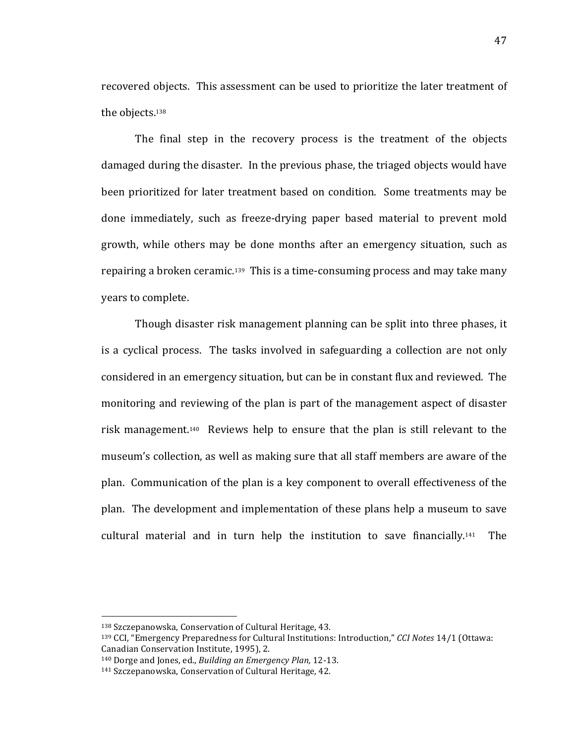recovered objects. This assessment can be used to prioritize the later treatment of the objects.<sup>138</sup>

The final step in the recovery process is the treatment of the objects damaged during the disaster. In the previous phase, the triaged objects would have been prioritized for later treatment based on condition. Some treatments may be done immediately, such as freeze-drying paper based material to prevent mold growth, while others may be done months after an emergency situation, such as repairing a broken ceramic.<sup>139</sup> This is a time-consuming process and may take many years to complete.

Though disaster risk management planning can be split into three phases, it is a cyclical process. The tasks involved in safeguarding a collection are not only considered in an emergency situation, but can be in constant flux and reviewed. The monitoring and reviewing of the plan is part of the management aspect of disaster risk management.<sup>140</sup> Reviews help to ensure that the plan is still relevant to the museum's collection, as well as making sure that all staff members are aware of the plan. Communication of the plan is a key component to overall effectiveness of the plan. The development and implementation of these plans help a museum to save cultural material and in turn help the institution to save financially.<sup>141</sup> The

<sup>138</sup> Szczepanowska, Conservation of Cultural Heritage, 43.

<sup>139</sup> CCI, "Emergency Preparedness for Cultural Institutions: Introduction," *CCI Notes* 14/1 (Ottawa: Canadian Conservation Institute, 1995), 2.

<sup>&</sup>lt;sup>140</sup> Dorge and Jones, ed., *Building an Emergency Plan*, 12-13.

<sup>141</sup> Szczepanowska, Conservation of Cultural Heritage, 42.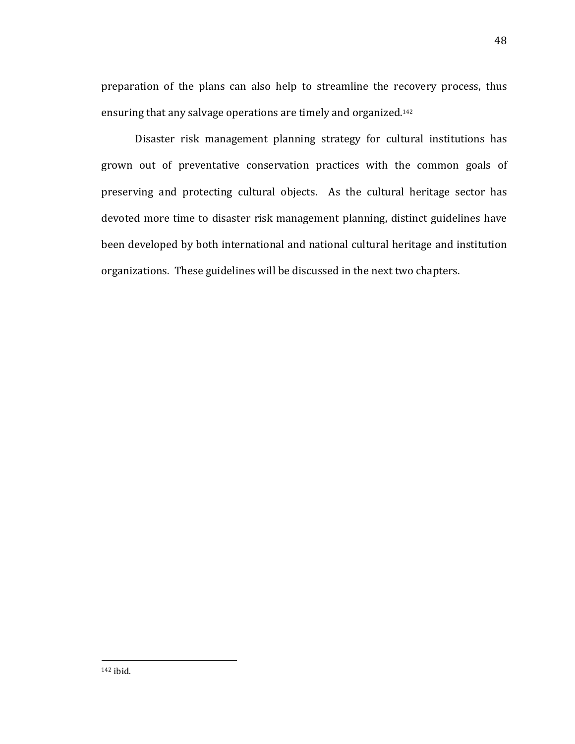preparation of the plans can also help to streamline the recovery process, thus ensuring that any salvage operations are timely and organized.<sup>142</sup>

Disaster risk management planning strategy for cultural institutions has grown out of preventative conservation practices with the common goals of preserving and protecting cultural objects. As the cultural heritage sector has devoted more time to disaster risk management planning, distinct guidelines have been developed by both international and national cultural heritage and institution organizations. These guidelines will be discussed in the next two chapters.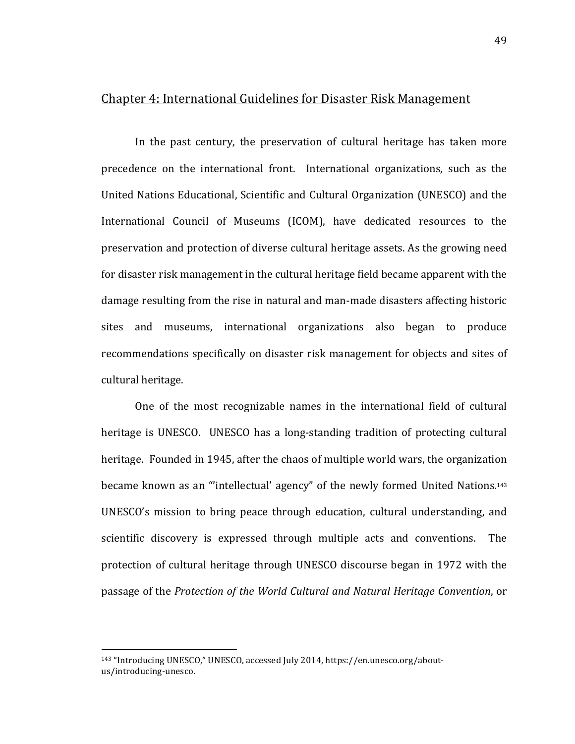## Chapter 4: International Guidelines for Disaster Risk Management

In the past century, the preservation of cultural heritage has taken more precedence on the international front. International organizations, such as the United Nations Educational, Scientific and Cultural Organization (UNESCO) and the International Council of Museums (ICOM), have dedicated resources to the preservation and protection of diverse cultural heritage assets. As the growing need for disaster risk management in the cultural heritage field became apparent with the damage resulting from the rise in natural and man-made disasters affecting historic sites and museums, international organizations also began to produce recommendations specifically on disaster risk management for objects and sites of cultural heritage.

One of the most recognizable names in the international field of cultural heritage is UNESCO. UNESCO has a long-standing tradition of protecting cultural heritage. Founded in 1945, after the chaos of multiple world wars, the organization became known as an "'intellectual' agency" of the newly formed United Nations.<sup>143</sup> UNESCO's mission to bring peace through education, cultural understanding, and scientific discovery is expressed through multiple acts and conventions. The protection of cultural heritage through UNESCO discourse began in 1972 with the passage of the *Protection of the World Cultural and Natural Heritage Convention*, or

<sup>&</sup>lt;sup>143</sup> "Introducing UNESCO," UNESCO, accessed July 2014, https://en.unesco.org/aboutus/introducing-unesco.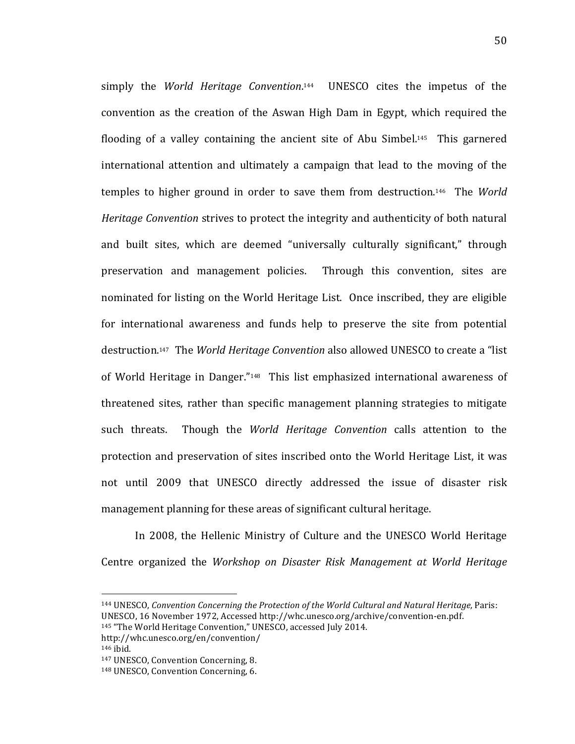simply the *World Heritage Convention*.<sup>144</sup> UNESCO cites the impetus of the convention as the creation of the Aswan High Dam in Egypt, which required the flooding of a valley containing the ancient site of Abu Simbel.<sup>145</sup> This garnered international attention and ultimately a campaign that lead to the moving of the temples to higher ground in order to save them from destruction.<sup>146</sup> The *World Heritage Convention* strives to protect the integrity and authenticity of both natural and built sites, which are deemed "universally culturally significant," through preservation and management policies. Through this convention, sites are nominated for listing on the World Heritage List. Once inscribed, they are eligible for international awareness and funds help to preserve the site from potential destruction.<sup>147</sup> The *World Heritage Convention* also allowed UNESCO to create a "list" of World Heritage in Danger."<sup>148</sup> This list emphasized international awareness of threatened sites, rather than specific management planning strategies to mitigate such threats. Though the *World Heritage Convention* calls attention to the protection and preservation of sites inscribed onto the World Heritage List, it was not until 2009 that UNESCO directly addressed the issue of disaster risk management planning for these areas of significant cultural heritage.

In 2008, the Hellenic Ministry of Culture and the UNESCO World Heritage Centre organized the *Workshop on Disaster Risk Management at World Heritage* 

<sup>144</sup> UNESCO, *Convention Concerning the Protection of the World Cultural and Natural Heritage*, Paris: UNESCO, 16 November 1972, Accessed http://whc.unesco.org/archive/convention-en.pdf.

<sup>145 &</sup>quot;The World Heritage Convention," UNESCO, accessed July 2014.

http://whc.unesco.org/en/convention/ 146 ibid.

<sup>&</sup>lt;sup>147</sup> UNESCO, Convention Concerning, 8.

<sup>&</sup>lt;sup>148</sup> UNESCO, Convention Concerning, 6.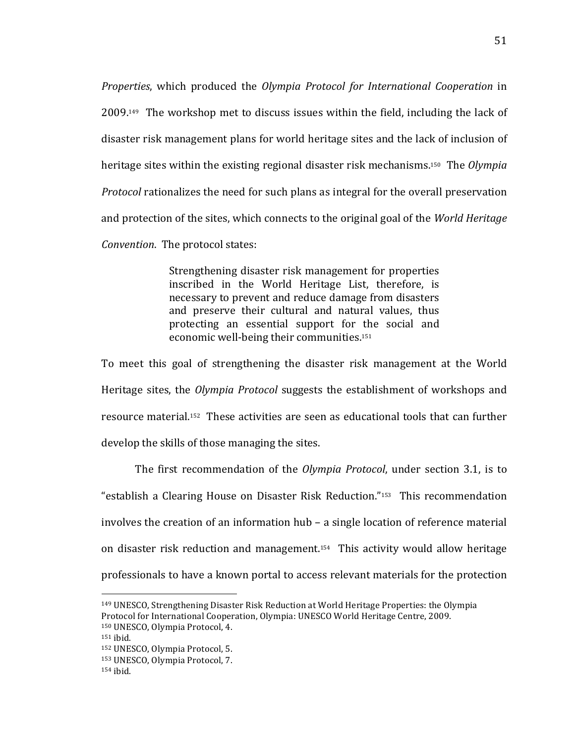*Properties*, which produced the *Olympia Protocol for International Cooperation* in  $2009$ <sup>149</sup> The workshop met to discuss issues within the field, including the lack of disaster risk management plans for world heritage sites and the lack of inclusion of heritage sites within the existing regional disaster risk mechanisms.<sup>150</sup> The *Olympia Protocol* rationalizes the need for such plans as integral for the overall preservation and protection of the sites, which connects to the original goal of the *World Heritage Convention.* The protocol states:

> Strengthening disaster risk management for properties inscribed in the World Heritage List, therefore, is necessary to prevent and reduce damage from disasters and preserve their cultural and natural values, thus protecting an essential support for the social and economic well-being their communities.<sup>151</sup>

To meet this goal of strengthening the disaster risk management at the World Heritage sites, the *Olympia Protocol* suggests the establishment of workshops and resource material.<sup>152</sup> These activities are seen as educational tools that can further develop the skills of those managing the sites.

The first recommendation of the *Olympia Protocol*, under section 3.1, is to "establish a Clearing House on Disaster Risk Reduction."<sup>153</sup> This recommendation involves the creation of an information hub – a single location of reference material on disaster risk reduction and management.<sup>154</sup> This activity would allow heritage professionals to have a known portal to access relevant materials for the protection

<sup>&</sup>lt;sup>149</sup> UNESCO, Strengthening Disaster Risk Reduction at World Heritage Properties: the Olympia Protocol for International Cooperation, Olympia: UNESCO World Heritage Centre, 2009.

<sup>&</sup>lt;sup>150</sup> UNESCO, Olympia Protocol, 4.

 $151$  ibid.

<sup>152</sup> UNESCO, Olympia Protocol, 5.

<sup>&</sup>lt;sup>153</sup> UNESCO, Olympia Protocol, 7.

 $154$  ibid.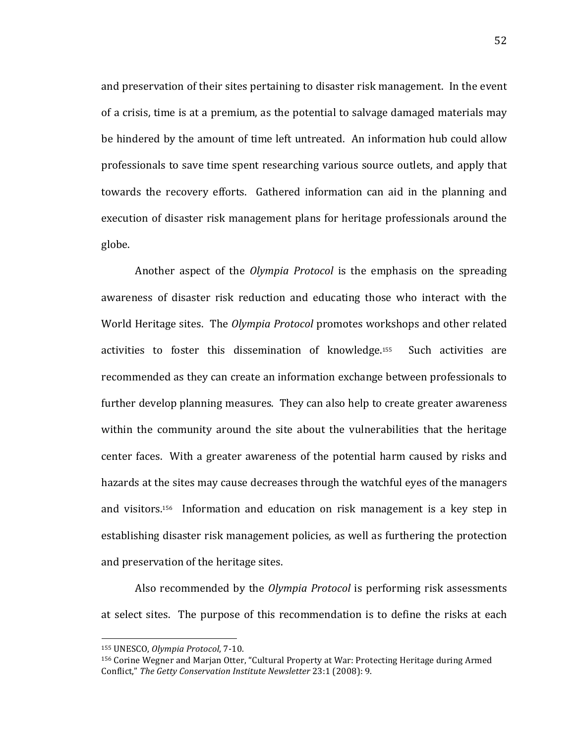and preservation of their sites pertaining to disaster risk management. In the event of a crisis, time is at a premium, as the potential to salvage damaged materials may be hindered by the amount of time left untreated. An information hub could allow professionals to save time spent researching various source outlets, and apply that towards the recovery efforts. Gathered information can aid in the planning and execution of disaster risk management plans for heritage professionals around the globe.

Another aspect of the *Olympia Protocol* is the emphasis on the spreading awareness of disaster risk reduction and educating those who interact with the World Heritage sites. The *Olympia Protocol* promotes workshops and other related activities to foster this dissemination of knowledge.<sup>155</sup> Such activities are recommended as they can create an information exchange between professionals to further develop planning measures. They can also help to create greater awareness within the community around the site about the vulnerabilities that the heritage center faces. With a greater awareness of the potential harm caused by risks and hazards at the sites may cause decreases through the watchful eyes of the managers and visitors.<sup>156</sup> Information and education on risk management is a key step in establishing disaster risk management policies, as well as furthering the protection and preservation of the heritage sites.

Also recommended by the *Olympia Protocol* is performing risk assessments at select sites. The purpose of this recommendation is to define the risks at each

<sup>!!!!!!!!!!!!!!!!!!!!!!!!!!!!!!!!!!!!!!!!!!!!!!!!!!!!!!!</sup> 155 UNESCO, *Olympia Protocol*, 7-10.

<sup>&</sup>lt;sup>156</sup> Corine Wegner and Marjan Otter, "Cultural Property at War: Protecting Heritage during Armed Conflict," The Getty Conservation Institute Newsletter 23:1 (2008): 9.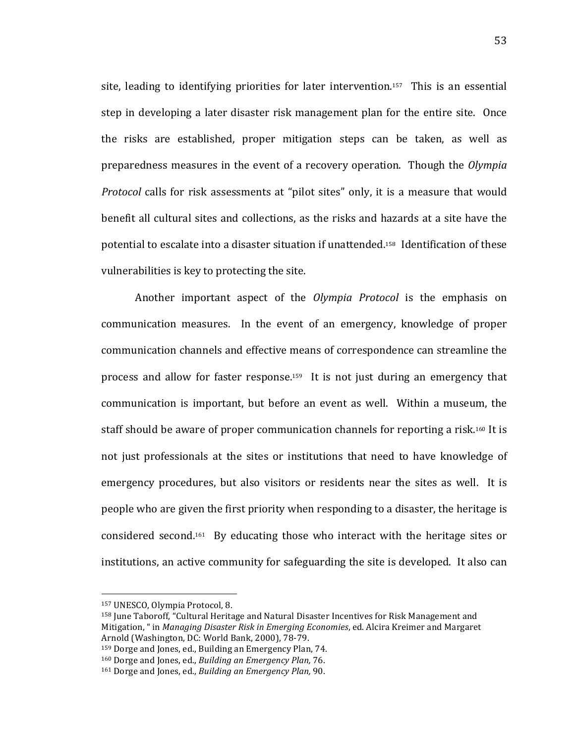site, leading to identifying priorities for later intervention.<sup>157</sup> This is an essential step in developing a later disaster risk management plan for the entire site. Once the risks are established, proper mitigation steps can be taken, as well as preparedness measures in the event of a recovery operation. Though the *Olympia Protocol* calls for risk assessments at "pilot sites" only, it is a measure that would benefit all cultural sites and collections, as the risks and hazards at a site have the potential to escalate into a disaster situation if unattended.<sup>158</sup> Identification of these vulnerabilities is key to protecting the site.

Another important aspect of the *Olympia Protocol* is the emphasis on communication measures. In the event of an emergency, knowledge of proper communication channels and effective means of correspondence can streamline the process and allow for faster response.<sup>159</sup> It is not just during an emergency that communication is important, but before an event as well. Within a museum, the staff should be aware of proper communication channels for reporting a risk.<sup>160</sup> It is not just professionals at the sites or institutions that need to have knowledge of emergency procedures, but also visitors or residents near the sites as well. It is people who are given the first priority when responding to a disaster, the heritage is considered second.<sup>161</sup> By educating those who interact with the heritage sites or institutions, an active community for safeguarding the site is developed. It also can

<sup>!!!!!!!!!!!!!!!!!!!!!!!!!!!!!!!!!!!!!!!!!!!!!!!!!!!!!!!</sup> <sup>157</sup> UNESCO, Olympia Protocol, 8.

<sup>&</sup>lt;sup>158</sup> June Taboroff, "Cultural Heritage and Natural Disaster Incentives for Risk Management and Mitigation, " in *Managing Disaster Risk in Emerging Economies*, ed. Alcira Kreimer and Margaret Arnold (Washington, DC: World Bank, 2000), 78-79.

<sup>&</sup>lt;sup>159</sup> Dorge and Jones, ed., Building an Emergency Plan, 74.

<sup>&</sup>lt;sup>160</sup> Dorge and Jones, ed., *Building an Emergency Plan, 76.* 

<sup>&</sup>lt;sup>161</sup> Dorge and Jones, ed., *Building an Emergency Plan*, 90.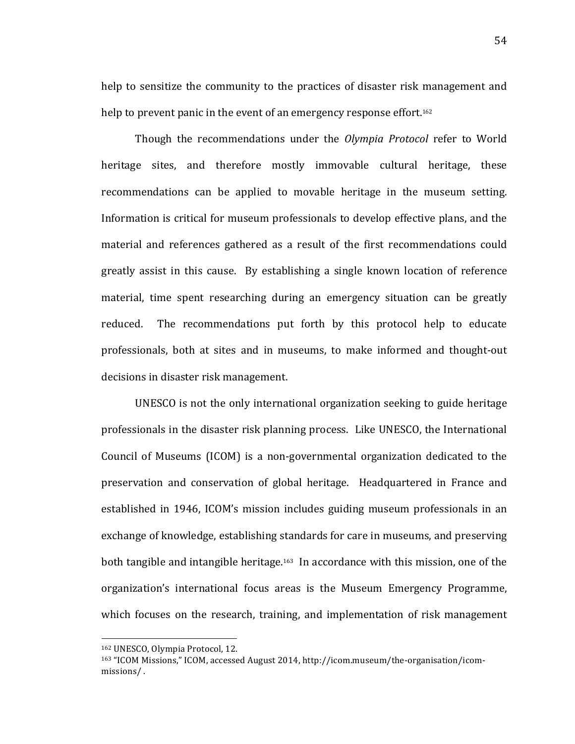help to sensitize the community to the practices of disaster risk management and help to prevent panic in the event of an emergency response effort.<sup>162</sup>

Though the recommendations under the *Olympia Protocol* refer to World heritage sites, and therefore mostly immovable cultural heritage, these recommendations can be applied to movable heritage in the museum setting. Information is critical for museum professionals to develop effective plans, and the material and references gathered as a result of the first recommendations could greatly assist in this cause. By establishing a single known location of reference material, time spent researching during an emergency situation can be greatly reduced. The recommendations put forth by this protocol help to educate professionals, both at sites and in museums, to make informed and thought-out decisions in disaster risk management.

UNESCO is not the only international organization seeking to guide heritage professionals in the disaster risk planning process. Like UNESCO, the International Council of Museums (ICOM) is a non-governmental organization dedicated to the preservation and conservation of global heritage. Headquartered in France and established in 1946, ICOM's mission includes guiding museum professionals in an exchange of knowledge, establishing standards for care in museums, and preserving both tangible and intangible heritage.<sup>163</sup> In accordance with this mission, one of the organization's international focus areas is the Museum Emergency Programme, which focuses on the research, training, and implementation of risk management

<sup>!!!!!!!!!!!!!!!!!!!!!!!!!!!!!!!!!!!!!!!!!!!!!!!!!!!!!!!</sup> 162 UNESCO, Olympia Protocol, 12.

<sup>&</sup>lt;sup>163</sup> "ICOM Missions," ICOM, accessed August 2014, http://icom.museum/the-organisation/icommissions/.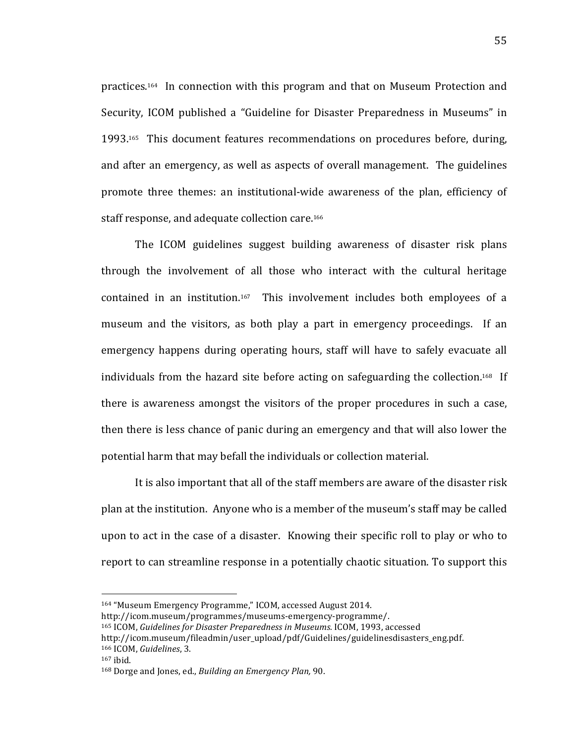practices.<sup>164</sup> In connection with this program and that on Museum Protection and Security, ICOM published a "Guideline for Disaster Preparedness in Museums" in 1993.<sup>165</sup> This document features recommendations on procedures before, during, and after an emergency, as well as aspects of overall management. The guidelines promote three themes: an institutional-wide awareness of the plan, efficiency of staff response, and adequate collection care.<sup>166</sup>

The ICOM guidelines suggest building awareness of disaster risk plans through the involvement of all those who interact with the cultural heritage contained in an institution.<sup>167</sup> This involvement includes both employees of a museum and the visitors, as both play a part in emergency proceedings. If an emergency happens during operating hours, staff will have to safely evacuate all individuals from the hazard site before acting on safeguarding the collection.<sup>168</sup> If there is awareness amongst the visitors of the proper procedures in such a case, then there is less chance of panic during an emergency and that will also lower the potential harm that may befall the individuals or collection material.

It is also important that all of the staff members are aware of the disaster risk plan at the institution. Anyone who is a member of the museum's staff may be called upon to act in the case of a disaster. Knowing their specific roll to play or who to report to can streamline response in a potentially chaotic situation. To support this

<sup>164 &</sup>quot;Museum Emergency Programme," ICOM, accessed August 2014.

http://icom.museum/programmes/museums-emergency-programme/.

<sup>165</sup> ICOM, Guidelines for Disaster Preparedness in Museums. ICOM, 1993, accessed

http://icom.museum/fileadmin/user\_upload/pdf/Guidelines/guidelinesdisasters\_eng.pdf. 166 ICOM, *Guidelines*, 3.

 $167$  ibid.

<sup>168</sup> Dorge and Jones, ed., *Building an Emergency Plan*, 90.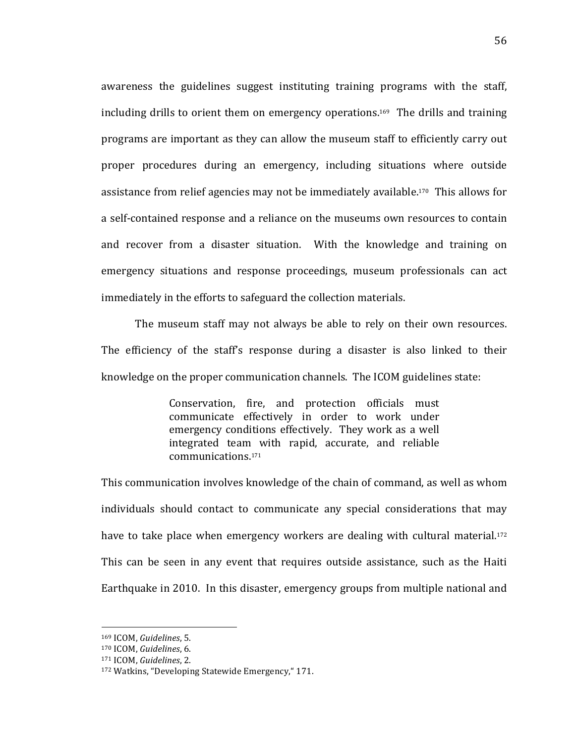awareness the guidelines suggest instituting training programs with the staff, including drills to orient them on emergency operations.<sup>169</sup> The drills and training programs are important as they can allow the museum staff to efficiently carry out proper procedures during an emergency, including situations where outside assistance from relief agencies may not be immediately available.<sup>170</sup> This allows for a self-contained response and a reliance on the museums own resources to contain and recover from a disaster situation. With the knowledge and training on emergency situations and response proceedings, museum professionals can act immediately in the efforts to safeguard the collection materials.

The museum staff may not always be able to rely on their own resources. The efficiency of the staff's response during a disaster is also linked to their knowledge on the proper communication channels. The ICOM guidelines state:

> Conservation, fire, and protection officials must communicate effectively in order to work under emergency conditions effectively. They work as a well integrated team with rapid, accurate, and reliable communications.171

This communication involves knowledge of the chain of command, as well as whom individuals should contact to communicate any special considerations that may have to take place when emergency workers are dealing with cultural material.<sup>172</sup> This can be seen in any event that requires outside assistance, such as the Haiti Earthquake in 2010. In this disaster, emergency groups from multiple national and

<sup>169</sup> ICOM, *Guidelines*, 5.

<sup>170</sup> ICOM, *Guidelines*, 6.

<sup>171!</sup>ICOM,!*Guidelines*,!2.

<sup>172</sup> Watkins, "Developing Statewide Emergency," 171.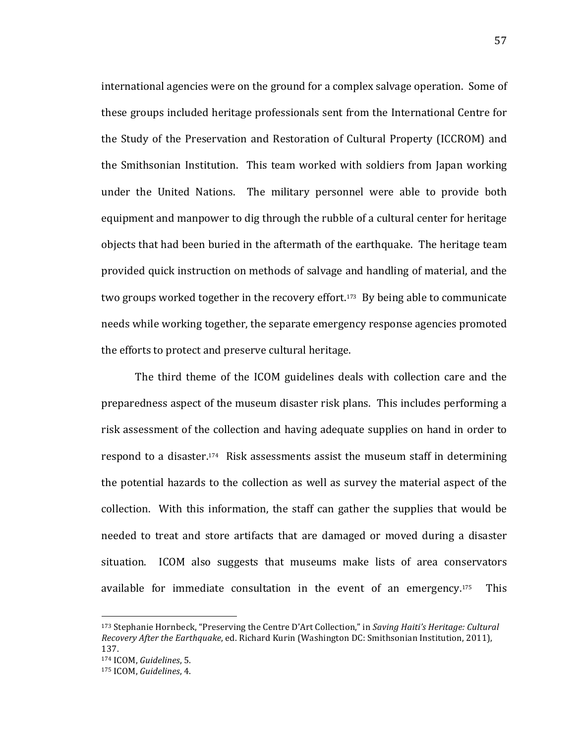international agencies were on the ground for a complex salvage operation. Some of these groups included heritage professionals sent from the International Centre for the Study of the Preservation and Restoration of Cultural Property (ICCROM) and the Smithsonian Institution. This team worked with soldiers from Japan working under the United Nations. The military personnel were able to provide both equipment and manpower to dig through the rubble of a cultural center for heritage objects that had been buried in the aftermath of the earthquake. The heritage team provided quick instruction on methods of salvage and handling of material, and the two groups worked together in the recovery effort.<sup>173</sup> By being able to communicate needs while working together, the separate emergency response agencies promoted the efforts to protect and preserve cultural heritage.

The third theme of the ICOM guidelines deals with collection care and the preparedness aspect of the museum disaster risk plans. This includes performing a risk assessment of the collection and having adequate supplies on hand in order to respond to a disaster.<sup>174</sup> Risk assessments assist the museum staff in determining the potential hazards to the collection as well as survey the material aspect of the collection. With this information, the staff can gather the supplies that would be needed to treat and store artifacts that are damaged or moved during a disaster situation. ICOM also suggests that museums make lists of area conservators available for immediate consultation in the event of an emergency.<sup>175</sup> This

<sup>&</sup>lt;sup>173</sup> Stephanie Hornbeck, "Preserving the Centre D'Art Collection," in *Saving Haiti's Heritage: Cultural Recovery After the Earthquake*, ed. Richard Kurin (Washington DC: Smithsonian Institution, 2011), 137.

<sup>174!</sup>ICOM,!*Guidelines*,!5.

<sup>175</sup> ICOM, *Guidelines*, 4.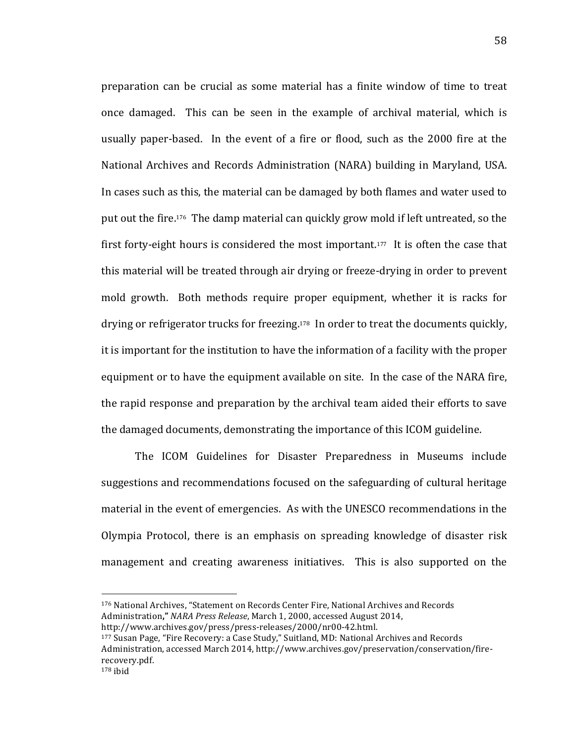preparation can be crucial as some material has a finite window of time to treat once damaged. This can be seen in the example of archival material, which is usually paper-based. In the event of a fire or flood, such as the 2000 fire at the National Archives and Records Administration (NARA) building in Maryland, USA. In cases such as this, the material can be damaged by both flames and water used to put out the fire.<sup>176</sup> The damp material can quickly grow mold if left untreated, so the first forty-eight hours is considered the most important.<sup>177</sup> It is often the case that this material will be treated through air drying or freeze-drying in order to prevent mold growth. Both methods require proper equipment, whether it is racks for drying or refrigerator trucks for freezing.<sup>178</sup> In order to treat the documents quickly, it is important for the institution to have the information of a facility with the proper equipment or to have the equipment available on site. In the case of the NARA fire, the rapid response and preparation by the archival team aided their efforts to save the damaged documents, demonstrating the importance of this ICOM guideline.

The ICOM Guidelines for Disaster Preparedness in Museums include suggestions and recommendations focused on the safeguarding of cultural heritage material in the event of emergencies. As with the UNESCO recommendations in the Olympia Protocol, there is an emphasis on spreading knowledge of disaster risk management and creating awareness initiatives. This is also supported on the

<sup>176</sup> National Archives, "Statement on Records Center Fire, National Archives and Records Administration," NARA Press Release, March 1, 2000, accessed August 2014, http://www.archives.gov/press/press-releases/2000/nr00-42.html.

<sup>177</sup> Susan Page, "Fire Recovery: a Case Study," Suitland, MD: National Archives and Records Administration, accessed March 2014, http://www.archives.gov/preservation/conservation/firerecovery.pdf.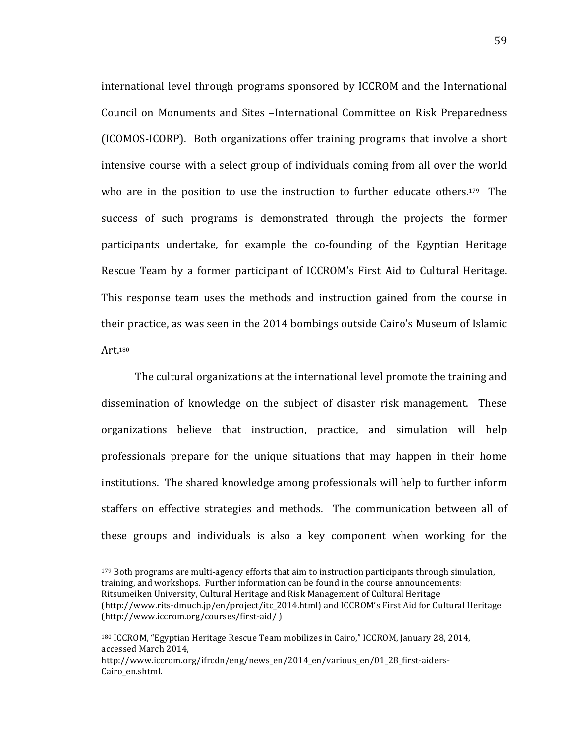international level through programs sponsored by ICCROM and the International Council on Monuments and Sites –International Committee on Risk Preparedness (ICOMOS-ICORP). Both organizations offer training programs that involve a short intensive course with a select group of individuals coming from all over the world who are in the position to use the instruction to further educate others.<sup>179</sup> The success of such programs is demonstrated through the projects the former participants undertake, for example the co-founding of the Egyptian Heritage Rescue Team by a former participant of ICCROM's First Aid to Cultural Heritage. This response team uses the methods and instruction gained from the course in their practice, as was seen in the 2014 bombings outside Cairo's Museum of Islamic Art.180

The cultural organizations at the international level promote the training and dissemination of knowledge on the subject of disaster risk management. These organizations believe that instruction, practice, and simulation will help professionals prepare for the unique situations that may happen in their home institutions. The shared knowledge among professionals will help to further inform staffers on effective strategies and methods. The communication between all of these groups and individuals is also a key component when working for the

 $179$  Both programs are multi-agency efforts that aim to instruction participants through simulation, training, and workshops. Further information can be found in the course announcements: Ritsumeiken University, Cultural Heritage and Risk Management of Cultural Heritage (http://www.rits-dmuch.jp/en/project/itc\_2014.html) and ICCROM's First Aid for Cultural Heritage  $(http://www.iccrom.org/courses/first-aid/$ )

<sup>&</sup>lt;sup>180</sup> ICCROM, "Egyptian Heritage Rescue Team mobilizes in Cairo," ICCROM, January 28, 2014, accessed March 2014,

http://www.iccrom.org/ifrcdn/eng/news\_en/2014\_en/various\_en/01\_28\_first-aiders-Cairo\_en.shtml.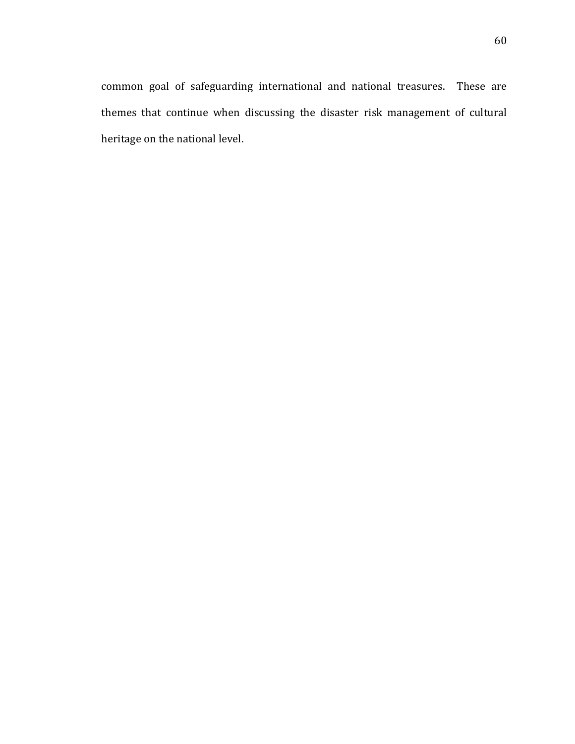common goal of safeguarding international and national treasures. These are themes that continue when discussing the disaster risk management of cultural heritage on the national level.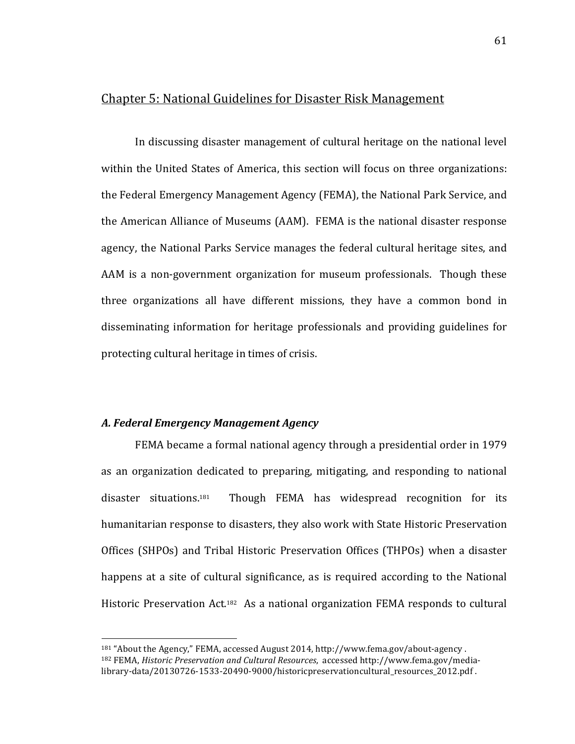## Chapter 5: National Guidelines for Disaster Risk Management

In discussing disaster management of cultural heritage on the national level within the United States of America, this section will focus on three organizations: the Federal Emergency Management Agency (FEMA), the National Park Service, and the American Alliance of Museums (AAM). FEMA is the national disaster response agency, the National Parks Service manages the federal cultural heritage sites, and AAM is a non-government organization for museum professionals. Though these three organizations all have different missions, they have a common bond in disseminating information for heritage professionals and providing guidelines for protecting cultural heritage in times of crisis.

### *A.\$Federal\$Emergency\$Management\$Agency*

!!!!!!!!!!!!!!!!!!!!!!!!!!!!!!!!!!!!!!!!!!!!!!!!!!!!!!!

FEMA became a formal national agency through a presidential order in 1979 as an organization dedicated to preparing, mitigating, and responding to national  $disaster$  situations.<sup>181</sup> Though FEMA has widespread recognition for its humanitarian response to disasters, they also work with State Historic Preservation Offices (SHPOs) and Tribal Historic Preservation Offices (THPOs) when a disaster happens at a site of cultural significance, as is required according to the National Historic Preservation Act.<sup>182</sup> As a national organization FEMA responds to cultural

 $181$  "About the Agency," FEMA, accessed August 2014, http://www.fema.gov/about-agency. <sup>182</sup> FEMA, *Historic Preservation and Cultural Resources*, accessed http://www.fema.gov/medialibrary-data/20130726-1533-20490-9000/historicpreservationcultural\_resources\_2012.pdf.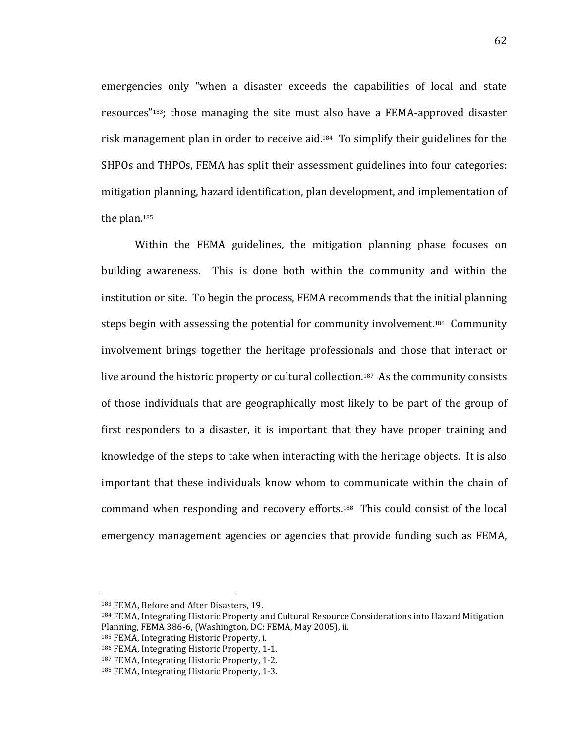emergencies only "when a disaster exceeds the capabilities of local and state resources" $183$ ; those managing the site must also have a FEMA-approved disaster risk management plan in order to receive aid.<sup>184</sup> To simplify their guidelines for the SHPOs and THPOs, FEMA has split their assessment guidelines into four categories: mitigation planning, hazard identification, plan development, and implementation of the plan.<sup>185</sup>

Within the FEMA guidelines, the mitigation planning phase focuses on building awareness. This is done both within the community and within the institution or site. To begin the process, FEMA recommends that the initial planning steps begin with assessing the potential for community involvement.<sup>186</sup> Community involvement brings together the heritage professionals and those that interact or live around the historic property or cultural collection.<sup>187</sup> As the community consists of those individuals that are geographically most likely to be part of the group of first responders to a disaster, it is important that they have proper training and knowledge of the steps to take when interacting with the heritage objects. It is also important that these individuals know whom to communicate within the chain of command when responding and recovery efforts.<sup>188</sup> This could consist of the local emergency management agencies or agencies that provide funding such as FEMA,

<sup>183</sup> FEMA, Before and After Disasters, 19.

<sup>&</sup>lt;sup>184</sup> FEMA, Integrating Historic Property and Cultural Resource Considerations into Hazard Mitigation Planning, FEMA 386-6, (Washington, DC: FEMA, May 2005), ii.

<sup>185</sup> FEMA, Integrating Historic Property, i.

<sup>186</sup> FEMA, Integrating Historic Property, 1-1.

<sup>187</sup> FEMA, Integrating Historic Property, 1-2.

<sup>188</sup> FEMA, Integrating Historic Property, 1-3.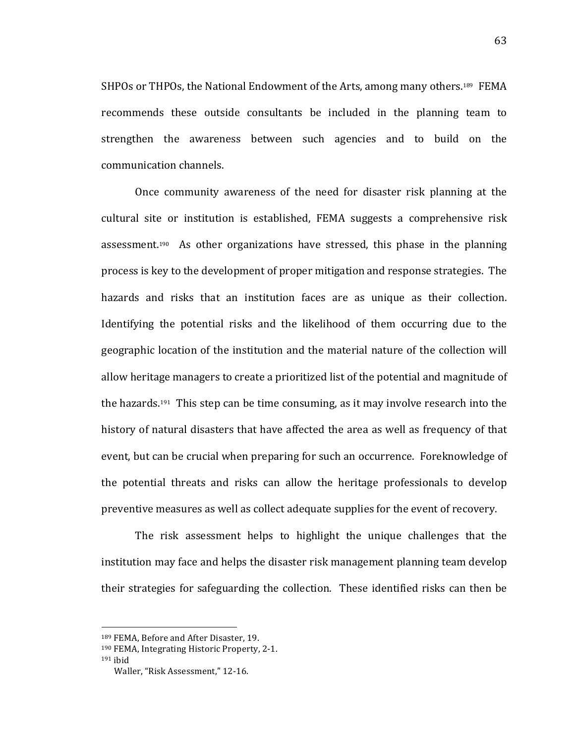SHPOs or THPOs, the National Endowment of the Arts, among many others.<sup>189</sup> FEMA recommends these outside consultants be included in the planning team to strengthen the awareness between such agencies and to build on the communication channels.

Once community awareness of the need for disaster risk planning at the cultural site or institution is established, FEMA suggests a comprehensive risk assessment.<sup>190</sup> As other organizations have stressed, this phase in the planning process is key to the development of proper mitigation and response strategies. The hazards and risks that an institution faces are as unique as their collection. Identifying the potential risks and the likelihood of them occurring due to the geographic location of the institution and the material nature of the collection will allow heritage managers to create a prioritized list of the potential and magnitude of the hazards.<sup>191</sup> This step can be time consuming, as it may involve research into the history of natural disasters that have affected the area as well as frequency of that event, but can be crucial when preparing for such an occurrence. Foreknowledge of the potential threats and risks can allow the heritage professionals to develop preventive measures as well as collect adequate supplies for the event of recovery.

The risk assessment helps to highlight the unique challenges that the institution may face and helps the disaster risk management planning team develop their strategies for safeguarding the collection. These identified risks can then be

<sup>189</sup> FEMA, Before and After Disaster, 19.

<sup>190</sup> FEMA, Integrating Historic Property, 2-1.

 $191$  ibid

Waller, "Risk Assessment," 12-16.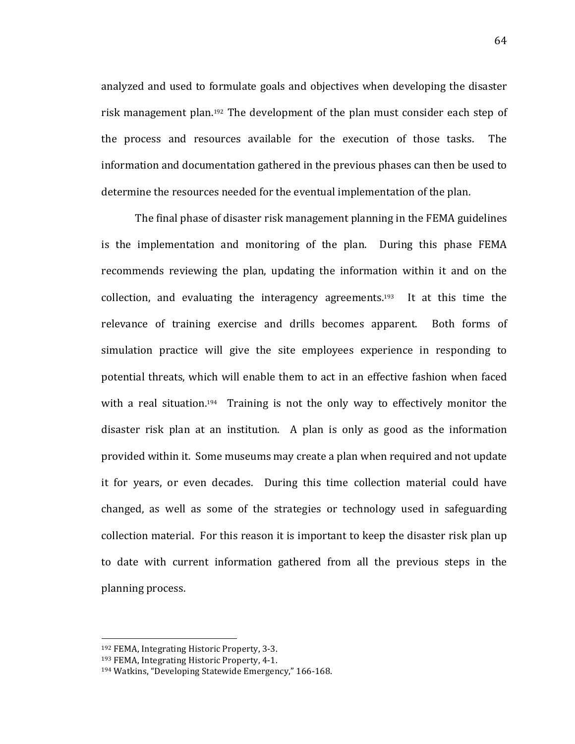analyzed and used to formulate goals and objectives when developing the disaster risk management plan.<sup>192</sup> The development of the plan must consider each step of the process and resources available for the execution of those tasks. The information and documentation gathered in the previous phases can then be used to determine the resources needed for the eventual implementation of the plan.

The final phase of disaster risk management planning in the FEMA guidelines is the implementation and monitoring of the plan. During this phase FEMA recommends reviewing the plan, updating the information within it and on the collection, and evaluating the interagency agreements.<sup>193</sup> It at this time the relevance of training exercise and drills becomes apparent. Both forms of simulation practice will give the site employees experience in responding to potential threats, which will enable them to act in an effective fashion when faced with a real situation.<sup>194</sup> Training is not the only way to effectively monitor the disaster risk plan at an institution. A plan is only as good as the information provided within it. Some museums may create a plan when required and not update it for years, or even decades. During this time collection material could have changed, as well as some of the strategies or technology used in safeguarding collection material. For this reason it is important to keep the disaster risk plan up to date with current information gathered from all the previous steps in the planning process.

<sup>192</sup> FEMA, Integrating Historic Property, 3-3.

<sup>193</sup> FEMA, Integrating Historic Property, 4-1.

<sup>&</sup>lt;sup>194</sup> Watkins, "Developing Statewide Emergency," 166-168.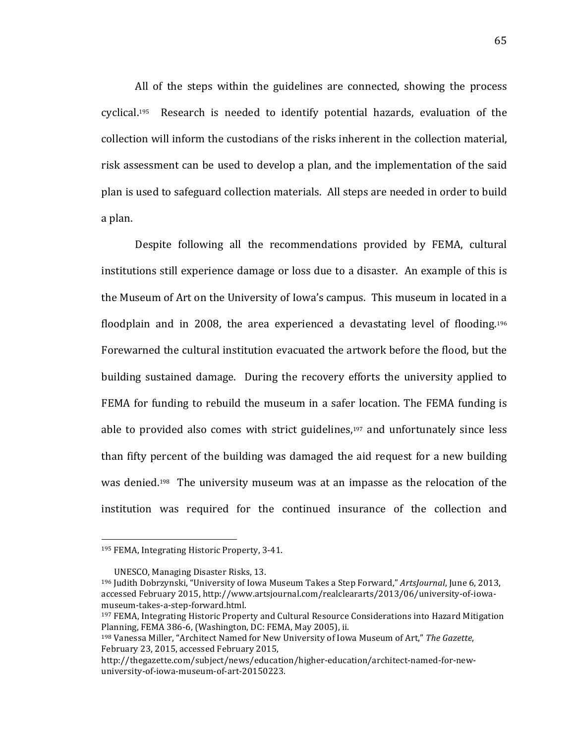All of the steps within the guidelines are connected, showing the process cyclical.<sup>195</sup> Research is needed to identify potential hazards, evaluation of the collection will inform the custodians of the risks inherent in the collection material, risk assessment can be used to develop a plan, and the implementation of the said plan is used to safeguard collection materials. All steps are needed in order to build a plan.

Despite following all the recommendations provided by FEMA, cultural institutions still experience damage or loss due to a disaster. An example of this is the Museum of Art on the University of Iowa's campus. This museum in located in a floodplain and in 2008, the area experienced a devastating level of flooding.<sup>196</sup> Forewarned the cultural institution evacuated the artwork before the flood, but the building sustained damage. During the recovery efforts the university applied to FEMA for funding to rebuild the museum in a safer location. The FEMA funding is able to provided also comes with strict guidelines, $197$  and unfortunately since less than fifty percent of the building was damaged the aid request for a new building was denied.<sup>198</sup> The university museum was at an impasse as the relocation of the institution was required for the continued insurance of the collection and

<sup>195</sup> FEMA, Integrating Historic Property, 3-41.

UNESCO, Managing Disaster Risks, 13.

<sup>&</sup>lt;sup>196</sup> Judith Dobrzynski, "University of Iowa Museum Takes a Step Forward," *ArtsJournal*, June 6, 2013, accessed February 2015, http://www.artsjournal.com/realcleararts/2013/06/university-of-iowamuseum-takes-a-step-forward.html.

<sup>&</sup>lt;sup>197</sup> FEMA, Integrating Historic Property and Cultural Resource Considerations into Hazard Mitigation Planning, FEMA 386-6, (Washington, DC: FEMA, May 2005), ii.

<sup>198</sup> Vanessa Miller, "Architect Named for New University of Iowa Museum of Art," The Gazette, February 23, 2015, accessed February 2015,

http://thegazette.com/subject/news/education/higher-education/architect-named-for-newuniversity-of-iowa-museum-of-art-20150223.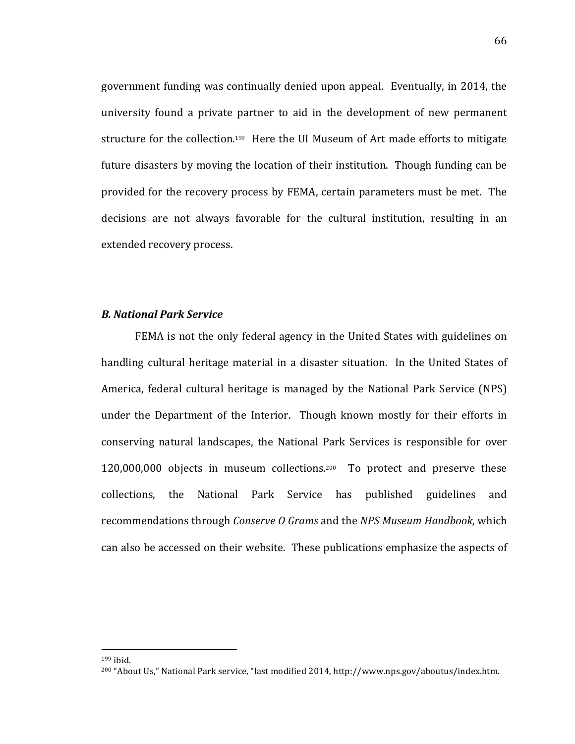government funding was continually denied upon appeal. Eventually, in 2014, the university found a private partner to aid in the development of new permanent structure for the collection.<sup>199</sup> Here the UI Museum of Art made efforts to mitigate future disasters by moving the location of their institution. Though funding can be provided for the recovery process by FEMA, certain parameters must be met. The decisions are not always favorable for the cultural institution, resulting in an extended recovery process.

#### *B.\$National\$Park\$Service*

FEMA is not the only federal agency in the United States with guidelines on handling cultural heritage material in a disaster situation. In the United States of America, federal cultural heritage is managed by the National Park Service (NPS) under the Department of the Interior. Though known mostly for their efforts in conserving natural landscapes, the National Park Services is responsible for over  $120,000,000$  objects in museum collections.<sup>200</sup> To protect and preserve these collections,! the! National! Park! Service! has! published! guidelines! and! recommendations through *Conserve O Grams* and the *NPS Museum Handbook*, which can also be accessed on their website. These publications emphasize the aspects of

 $199$  ihid.

<sup>&</sup>lt;sup>200</sup> "About Us," National Park service, "last modified 2014, http://www.nps.gov/aboutus/index.htm.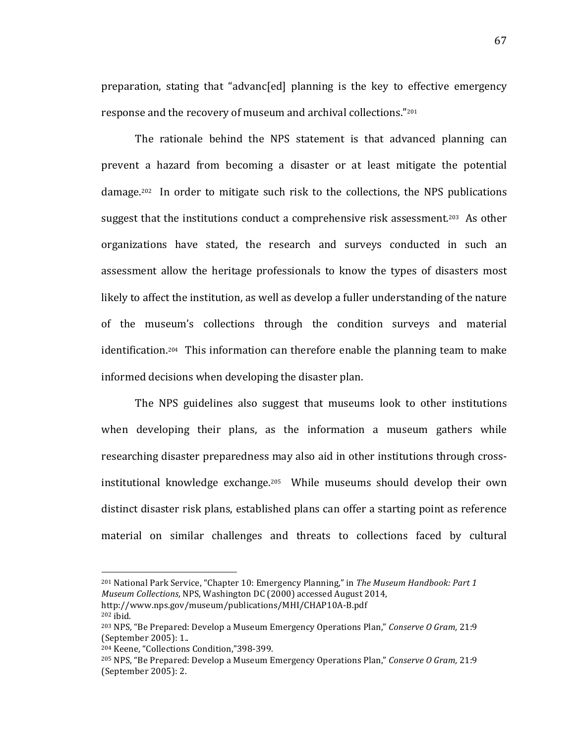preparation, stating that "advanc[ed] planning is the key to effective emergency response and the recovery of museum and archival collections."<sup>201</sup>

The rationale behind the NPS statement is that advanced planning can prevent a hazard from becoming a disaster or at least mitigate the potential  $\alpha$  damage.<sup>202</sup> In order to mitigate such risk to the collections, the NPS publications suggest that the institutions conduct a comprehensive risk assessment.<sup>203</sup> As other organizations have stated, the research and surveys conducted in such an assessment allow the heritage professionals to know the types of disasters most likely to affect the institution, as well as develop a fuller understanding of the nature of the museum's collections through the condition surveys and material identification.<sup>204</sup> This information can therefore enable the planning team to make informed decisions when developing the disaster plan.

The NPS guidelines also suggest that museums look to other institutions when developing their plans, as the information a museum gathers while researching disaster preparedness may also aid in other institutions through crossinstitutional knowledge exchange.<sup>205</sup> While museums should develop their own distinct disaster risk plans, established plans can offer a starting point as reference material on similar challenges and threats to collections faced by cultural

<sup>&</sup>lt;sup>201</sup> National Park Service, "Chapter 10: Emergency Planning," in The Museum Handbook: Part 1 *Museum Collections, NPS, Washington DC (2000) accessed August 2014,* 

http://www.nps.gov/museum/publications/MHI/CHAP10A-B.pdf  $202$  ibid.

<sup>&</sup>lt;sup>203</sup> NPS, "Be Prepared: Develop a Museum Emergency Operations Plan," Conserve O Gram, 21:9 (September 2005): 1..

<sup>&</sup>lt;sup>204</sup> Keene, "Collections Condition,"398-399.

<sup>&</sup>lt;sup>205</sup> NPS, "Be Prepared: Develop a Museum Emergency Operations Plan," *Conserve O Gram,* 21:9 (September 2005): 2.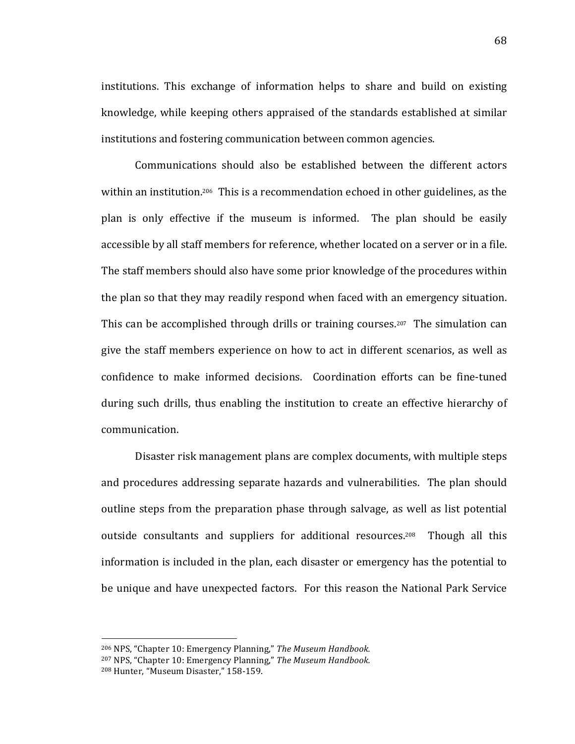institutions. This exchange of information helps to share and build on existing knowledge, while keeping others appraised of the standards established at similar institutions and fostering communication between common agencies.

Communications should also be established between the different actors within an institution.<sup>206</sup> This is a recommendation echoed in other guidelines, as the plan is only effective if the museum is informed. The plan should be easily accessible by all staff members for reference, whether located on a server or in a file. The staff members should also have some prior knowledge of the procedures within the plan so that they may readily respond when faced with an emergency situation. This can be accomplished through drills or training courses.<sup>207</sup> The simulation can give the staff members experience on how to act in different scenarios, as well as confidence to make informed decisions. Coordination efforts can be fine-tuned during such drills, thus enabling the institution to create an effective hierarchy of communication.

Disaster risk management plans are complex documents, with multiple steps and procedures addressing separate hazards and vulnerabilities. The plan should outline steps from the preparation phase through salvage, as well as list potential outside consultants and suppliers for additional resources.<sup>208</sup> Though all this information is included in the plan, each disaster or emergency has the potential to be unique and have unexpected factors. For this reason the National Park Service

<sup>&</sup>lt;sup>206</sup> NPS, "Chapter 10: Emergency Planning," The Museum Handbook.

<sup>&</sup>lt;sup>207</sup> NPS, "Chapter 10: Emergency Planning," The Museum Handbook.

<sup>&</sup>lt;sup>208</sup> Hunter, "Museum Disaster," 158-159.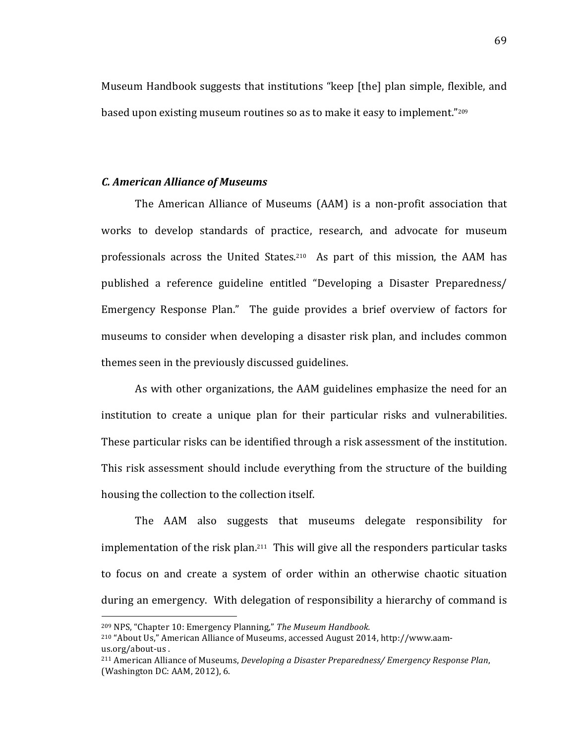Museum Handbook suggests that institutions "keep [the] plan simple, flexible, and based upon existing museum routines so as to make it easy to implement."209

### *C.\$American\$Alliance\$of\$Museums*

The American Alliance of Museums (AAM) is a non-profit association that works to develop standards of practice, research, and advocate for museum professionals across the United States.<sup>210</sup> As part of this mission, the AAM has published a reference guideline entitled "Developing a Disaster Preparedness/ Emergency Response Plan." The guide provides a brief overview of factors for museums to consider when developing a disaster risk plan, and includes common themes seen in the previously discussed guidelines.

As with other organizations, the AAM guidelines emphasize the need for an institution to create a unique plan for their particular risks and vulnerabilities. These particular risks can be identified through a risk assessment of the institution. This risk assessment should include everything from the structure of the building housing the collection to the collection itself.

The AAM also suggests that museums delegate responsibility for implementation of the risk plan. $211$  This will give all the responders particular tasks to focus on and create a system of order within an otherwise chaotic situation during an emergency. With delegation of responsibility a hierarchy of command is

<sup>&</sup>lt;sup>209</sup> NPS, "Chapter 10: Emergency Planning," *The Museum Handbook.* 

<sup>&</sup>lt;sup>210</sup> "About Us," American Alliance of Museums, accessed August 2014, http://www.aamus.org/about-us.

<sup>&</sup>lt;sup>211</sup> American Alliance of Museums, *Developing a Disaster Preparedness/ Emergency Response Plan,* (Washington DC: AAM, 2012), 6.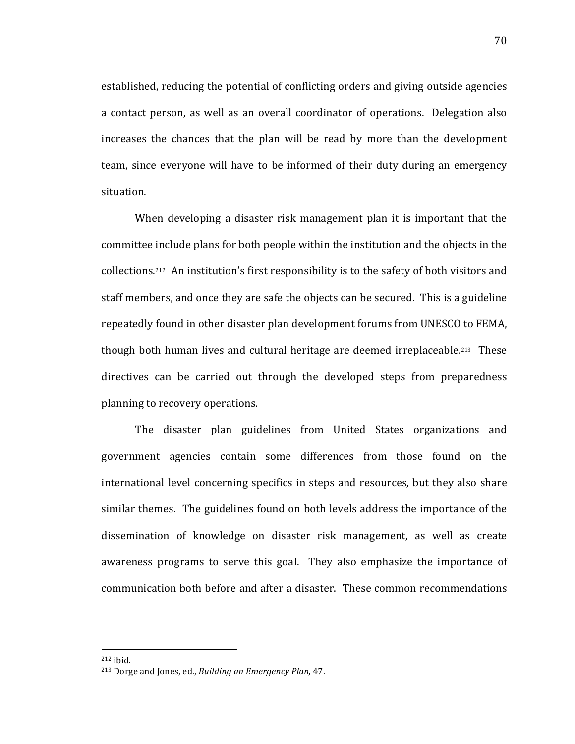established, reducing the potential of conflicting orders and giving outside agencies a contact person, as well as an overall coordinator of operations. Delegation also increases the chances that the plan will be read by more than the development team, since everyone will have to be informed of their duty during an emergency situation.

When developing a disaster risk management plan it is important that the committee include plans for both people within the institution and the objects in the collections.<sup>212</sup> An institution's first responsibility is to the safety of both visitors and staff members, and once they are safe the objects can be secured. This is a guideline repeatedly found in other disaster plan development forums from UNESCO to FEMA, though both human lives and cultural heritage are deemed irreplaceable.<sup>213</sup> These directives can be carried out through the developed steps from preparedness planning to recovery operations.

The disaster plan guidelines from United States organizations and government agencies contain some differences from those found on the international level concerning specifics in steps and resources, but they also share similar themes. The guidelines found on both levels address the importance of the dissemination of knowledge on disaster risk management, as well as create awareness programs to serve this goal. They also emphasize the importance of communication both before and after a disaster. These common recommendations

 $212$  ibid.

<sup>&</sup>lt;sup>213</sup> Dorge and Jones, ed., *Building an Emergency Plan*, 47.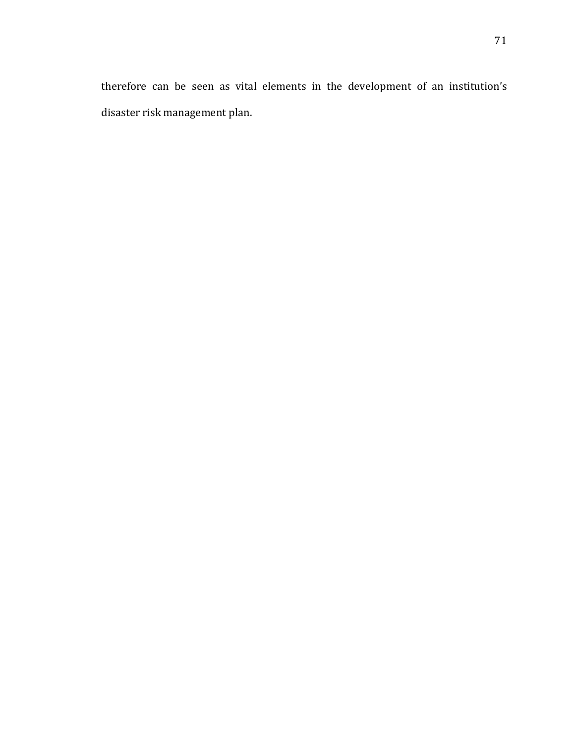therefore can be seen as vital elements in the development of an institution's disaster risk management plan.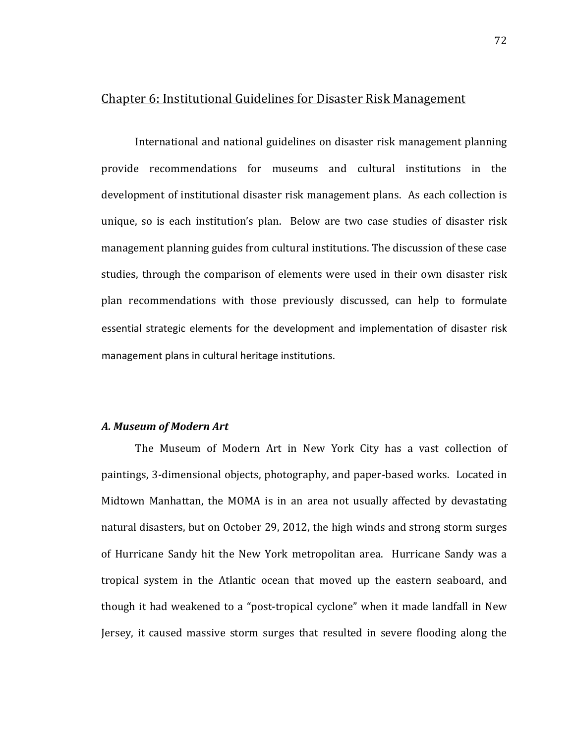## Chapter 6: Institutional Guidelines for Disaster Risk Management

International and national guidelines on disaster risk management planning provide recommendations for museums and cultural institutions in the development of institutional disaster risk management plans. As each collection is unique, so is each institution's plan. Below are two case studies of disaster risk management planning guides from cultural institutions. The discussion of these case studies, through the comparison of elements were used in their own disaster risk plan recommendations with those previously discussed, can help to formulate essential strategic elements for the development and implementation of disaster risk management plans in cultural heritage institutions.

#### *A.\$Museum\$of\$Modern\$Art*

The Museum of Modern Art in New York City has a vast collection of paintings, 3-dimensional objects, photography, and paper-based works. Located in Midtown Manhattan, the MOMA is in an area not usually affected by devastating natural disasters, but on October 29, 2012, the high winds and strong storm surges of Hurricane Sandy hit the New York metropolitan area. Hurricane Sandy was a tropical system in the Atlantic ocean that moved up the eastern seaboard, and though it had weakened to a "post-tropical cyclone" when it made landfall in New Jersey, it caused massive storm surges that resulted in severe flooding along the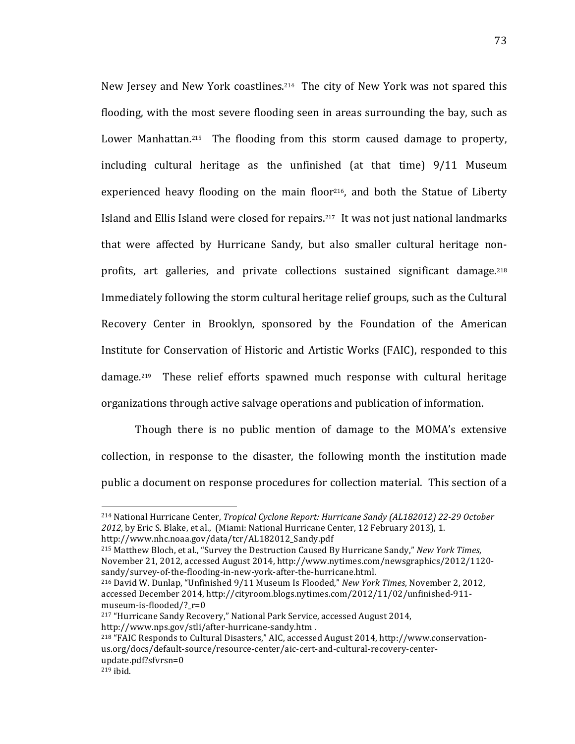New Jersey and New York coastlines.<sup>214</sup> The city of New York was not spared this flooding, with the most severe flooding seen in areas surrounding the bay, such as Lower Manhattan.<sup>215</sup> The flooding from this storm caused damage to property, including cultural heritage as the unfinished (at that time)  $9/11$  Museum experienced heavy flooding on the main floor<sup>216</sup>, and both the Statue of Liberty Island and Ellis Island were closed for repairs.<sup>217</sup> It was not just national landmarks that were affected by Hurricane Sandy, but also smaller cultural heritage nonprofits, art galleries, and private collections sustained significant damage.<sup>218</sup> Immediately following the storm cultural heritage relief groups, such as the Cultural Recovery Center in Brooklyn, sponsored by the Foundation of the American Institute for Conservation of Historic and Artistic Works (FAIC), responded to this damage.<sup>219</sup> These relief efforts spawned much response with cultural heritage organizations through active salvage operations and publication of information.

Though there is no public mention of damage to the MOMA's extensive collection, in response to the disaster, the following month the institution made public a document on response procedures for collection material. This section of a

<sup>&</sup>lt;sup>214</sup> National Hurricane Center, *Tropical Cyclone Report: Hurricane Sandy (AL182012) 22-29 October* 2012, by Eric S. Blake, et al., (Miami: National Hurricane Center, 12 February 2013), 1. http://www.nhc.noaa.gov/data/tcr/AL182012\_Sandy.pdf

<sup>&</sup>lt;sup>215</sup> Matthew Bloch, et al., "Survey the Destruction Caused By Hurricane Sandy," *New York Times*, November 21, 2012, accessed August 2014, http://www.nytimes.com/newsgraphics/2012/1120sandy/survey-of-the-flooding-in-new-york-after-the-hurricane.html.

<sup>&</sup>lt;sup>216</sup> David W. Dunlap, "Unfinished 9/11 Museum Is Flooded," *New York Times*, November 2, 2012, accessed December 2014, http://cityroom.blogs.nytimes.com/2012/11/02/unfinished-911museum-is-flooded/? $r=0$ 

<sup>&</sup>lt;sup>217</sup> "Hurricane Sandy Recovery," National Park Service, accessed August 2014, http://www.nps.gov/stli/after-hurricane-sandy.htm.

<sup>&</sup>lt;sup>218</sup> "FAIC Responds to Cultural Disasters," AIC, accessed August 2014, http://www.conservationus.org/docs/default-source/resource-center/aic-cert-and-cultural-recovery-centerupdate.pdf?sfvrsn=0

 $219$  ibid.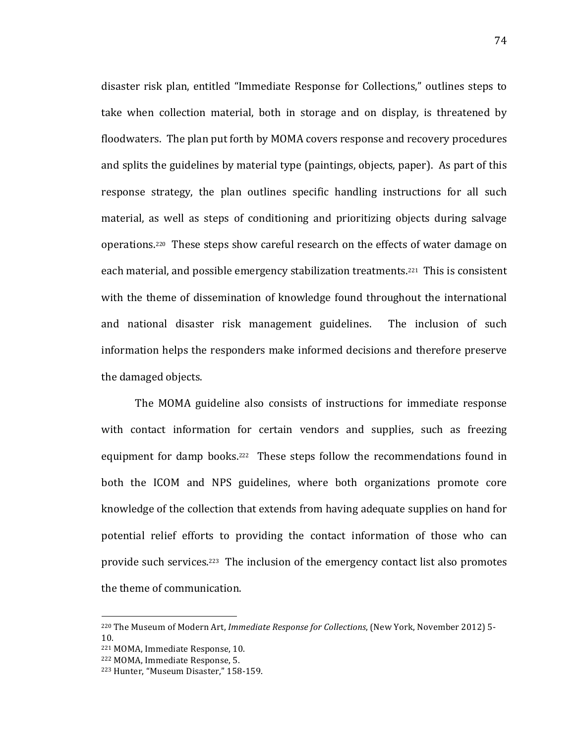disaster risk plan, entitled "Immediate Response for Collections," outlines steps to take when collection material, both in storage and on display, is threatened by floodwaters. The plan put forth by MOMA covers response and recovery procedures and splits the guidelines by material type (paintings, objects, paper). As part of this response strategy, the plan outlines specific handling instructions for all such material, as well as steps of conditioning and prioritizing objects during salvage operations.<sup>220</sup> These steps show careful research on the effects of water damage on each material, and possible emergency stabilization treatments.<sup>221</sup> This is consistent with the theme of dissemination of knowledge found throughout the international and national disaster risk management guidelines. The inclusion of such information helps the responders make informed decisions and therefore preserve the damaged objects.

The MOMA guideline also consists of instructions for immediate response with contact information for certain vendors and supplies, such as freezing equipment for damp books.<sup>222</sup> These steps follow the recommendations found in both the ICOM and NPS guidelines, where both organizations promote core knowledge of the collection that extends from having adequate supplies on hand for potential relief efforts to providing the contact information of those who can provide such services.<sup>223</sup> The inclusion of the emergency contact list also promotes the theme of communication.

<sup>&</sup>lt;sup>220</sup> The Museum of Modern Art, *Immediate Response for Collections*, (New York, November 2012) 5-10.

<sup>&</sup>lt;sup>221</sup> MOMA, Immediate Response, 10.

<sup>&</sup>lt;sup>222</sup> MOMA, Immediate Response, 5.

<sup>&</sup>lt;sup>223</sup> Hunter, "Museum Disaster," 158-159.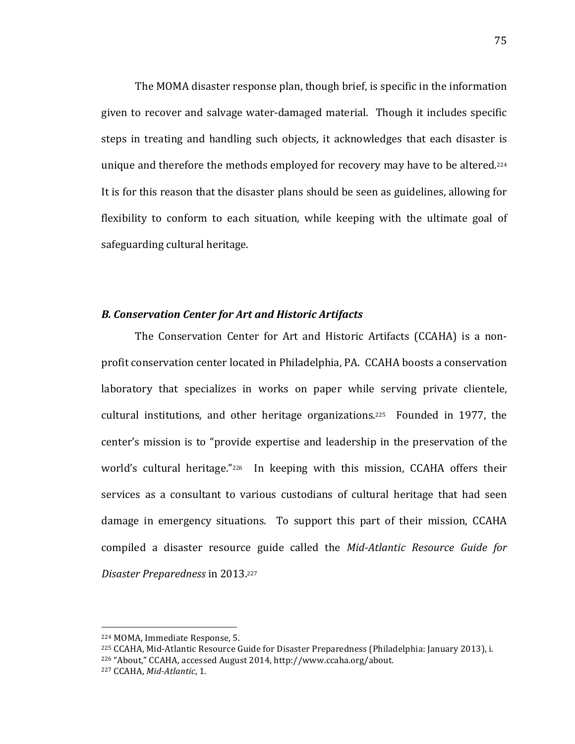The MOMA disaster response plan, though brief, is specific in the information given to recover and salvage water-damaged material. Though it includes specific steps in treating and handling such objects, it acknowledges that each disaster is unique and therefore the methods employed for recovery may have to be altered.<sup>224</sup> It is for this reason that the disaster plans should be seen as guidelines, allowing for flexibility to conform to each situation, while keeping with the ultimate goal of safeguarding cultural heritage.

#### *B.\$Conservation\$Center\$for\$Art\$and\$Historic\$Artifacts*

The Conservation Center for Art and Historic Artifacts (CCAHA) is a nonprofit conservation center located in Philadelphia, PA. CCAHA boosts a conservation laboratory that specializes in works on paper while serving private clientele, cultural institutions, and other heritage organizations.<sup>225</sup> Founded in 1977, the center's mission is to "provide expertise and leadership in the preservation of the world's cultural heritage."<sup>226</sup> In keeping with this mission, CCAHA offers their services as a consultant to various custodians of cultural heritage that had seen damage in emergency situations. To support this part of their mission, CCAHA compiled a disaster resource guide called the *Mid-Atlantic Resource Guide for Disaster&Preparedness* in!2013.227

<sup>!!!!!!!!!!!!!!!!!!!!!!!!!!!!!!!!!!!!!!!!!!!!!!!!!!!!!!!</sup> 224 MOMA, Immediate Response, 5.

<sup>&</sup>lt;sup>225</sup> CCAHA, Mid-Atlantic Resource Guide for Disaster Preparedness (Philadelphia: January 2013), i. <sup>226</sup> "About," CCAHA, accessed August 2014, http://www.ccaha.org/about.

<sup>&</sup>lt;sup>227</sup> CCAHA, *Mid-Atlantic*, 1.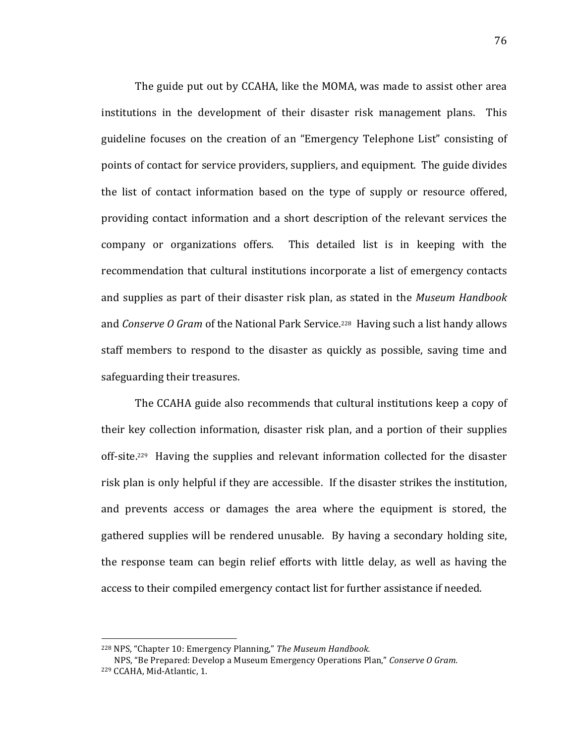The guide put out by CCAHA, like the MOMA, was made to assist other area institutions in the development of their disaster risk management plans. This guideline focuses on the creation of an "Emergency Telephone List" consisting of points of contact for service providers, suppliers, and equipment. The guide divides the list of contact information based on the type of supply or resource offered, providing contact information and a short description of the relevant services the company or organizations offers. This detailed list is in keeping with the recommendation that cultural institutions incorporate a list of emergency contacts and supplies as part of their disaster risk plan, as stated in the *Museum Handbook* and *Conserve O Gram* of the National Park Service.<sup>228</sup> Having such a list handy allows staff members to respond to the disaster as quickly as possible, saving time and safeguarding their treasures.

The CCAHA guide also recommends that cultural institutions keep a copy of their key collection information, disaster risk plan, and a portion of their supplies off-site.<sup>229</sup> Having the supplies and relevant information collected for the disaster risk plan is only helpful if they are accessible. If the disaster strikes the institution, and prevents access or damages the area where the equipment is stored, the gathered supplies will be rendered unusable. By having a secondary holding site, the response team can begin relief efforts with little delay, as well as having the access to their compiled emergency contact list for further assistance if needed.

<sup>&</sup>lt;sup>228</sup> NPS, "Chapter 10: Emergency Planning," The Museum Handbook.

NPS, "Be Prepared: Develop a Museum Emergency Operations Plan," Conserve O Gram. <sup>229</sup> CCAHA, Mid-Atlantic, 1.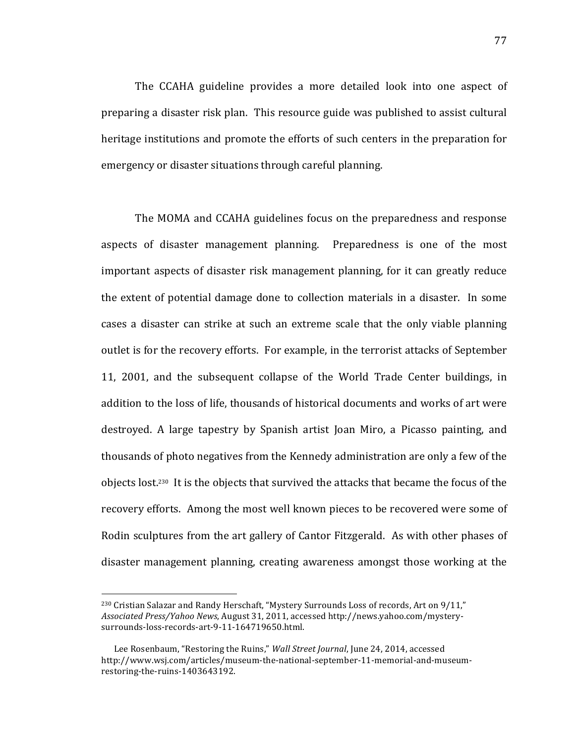The CCAHA guideline provides a more detailed look into one aspect of preparing a disaster risk plan. This resource guide was published to assist cultural heritage institutions and promote the efforts of such centers in the preparation for emergency or disaster situations through careful planning.

The MOMA and CCAHA guidelines focus on the preparedness and response aspects of disaster management planning. Preparedness is one of the most important aspects of disaster risk management planning, for it can greatly reduce the extent of potential damage done to collection materials in a disaster. In some cases a disaster can strike at such an extreme scale that the only viable planning outlet is for the recovery efforts. For example, in the terrorist attacks of September 11, 2001, and the subsequent collapse of the World Trade Center buildings, in addition to the loss of life, thousands of historical documents and works of art were destroyed. A large tapestry by Spanish artist Joan Miro, a Picasso painting, and thousands of photo negatives from the Kennedy administration are only a few of the objects lost.<sup>230</sup> It is the objects that survived the attacks that became the focus of the recovery efforts. Among the most well known pieces to be recovered were some of Rodin sculptures from the art gallery of Cantor Fitzgerald. As with other phases of disaster management planning, creating awareness amongst those working at the

 $230$  Cristian Salazar and Randy Herschaft, "Mystery Surrounds Loss of records, Art on  $9/11$ ," Associated Press/Yahoo News, August 31, 2011, accessed http://news.yahoo.com/mysterysurrounds-loss-records-art-9-11-164719650.html.

Lee Rosenbaum, "Restoring the Ruins," *Wall Street Journal*, June 24, 2014, accessed http://www.wsj.com/articles/museum-the-national-september-11-memorial-and-museumrestoring-the-ruins-1403643192.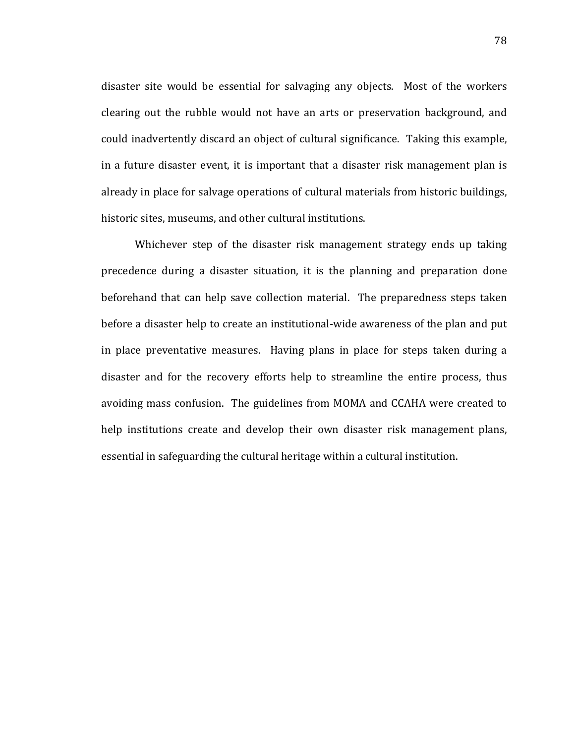disaster site would be essential for salvaging any objects. Most of the workers clearing out the rubble would not have an arts or preservation background, and could inadvertently discard an object of cultural significance. Taking this example, in a future disaster event, it is important that a disaster risk management plan is already in place for salvage operations of cultural materials from historic buildings, historic sites, museums, and other cultural institutions.

Whichever step of the disaster risk management strategy ends up taking precedence during a disaster situation, it is the planning and preparation done beforehand that can help save collection material. The preparedness steps taken before a disaster help to create an institutional-wide awareness of the plan and put in place preventative measures. Having plans in place for steps taken during a disaster and for the recovery efforts help to streamline the entire process, thus avoiding mass confusion. The guidelines from MOMA and CCAHA were created to help institutions create and develop their own disaster risk management plans, essential in safeguarding the cultural heritage within a cultural institution.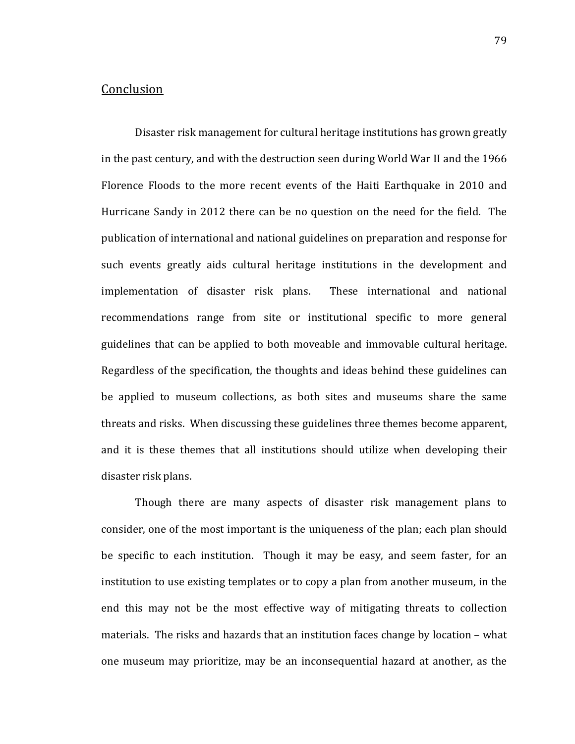## **Conclusion**

Disaster risk management for cultural heritage institutions has grown greatly in the past century, and with the destruction seen during World War II and the 1966 Florence Floods to the more recent events of the Haiti Earthquake in 2010 and Hurricane Sandy in 2012 there can be no question on the need for the field. The publication of international and national guidelines on preparation and response for such events greatly aids cultural heritage institutions in the development and implementation of disaster risk plans. These international and national recommendations range from site or institutional specific to more general guidelines that can be applied to both moveable and immovable cultural heritage. Regardless of the specification, the thoughts and ideas behind these guidelines can be applied to museum collections, as both sites and museums share the same threats and risks. When discussing these guidelines three themes become apparent, and it is these themes that all institutions should utilize when developing their disaster risk plans.

Though there are many aspects of disaster risk management plans to consider, one of the most important is the uniqueness of the plan; each plan should be specific to each institution. Though it may be easy, and seem faster, for an institution to use existing templates or to copy a plan from another museum, in the end this may not be the most effective way of mitigating threats to collection materials. The risks and hazards that an institution faces change by location – what one museum may prioritize, may be an inconsequential hazard at another, as the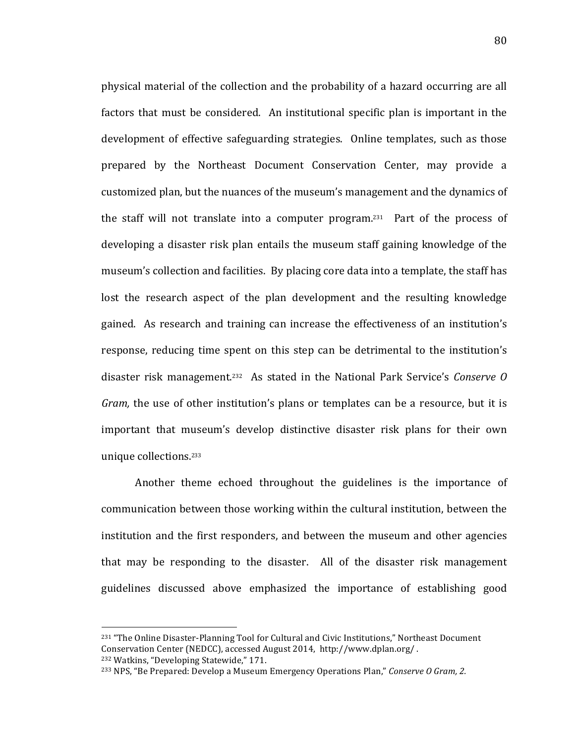physical material of the collection and the probability of a hazard occurring are all factors that must be considered. An institutional specific plan is important in the development of effective safeguarding strategies. Online templates, such as those prepared by the Northeast Document Conservation Center, may provide a customized plan, but the nuances of the museum's management and the dynamics of the staff will not translate into a computer program.<sup>231</sup> Part of the process of developing a disaster risk plan entails the museum staff gaining knowledge of the museum's collection and facilities. By placing core data into a template, the staff has lost the research aspect of the plan development and the resulting knowledge gained. As research and training can increase the effectiveness of an institution's response, reducing time spent on this step can be detrimental to the institution's disaster risk management.<sup>232</sup> As stated in the National Park Service's *Conserve O Gram,* the use of other institution's plans or templates can be a resource, but it is important that museum's develop distinctive disaster risk plans for their own unique collections.<sup>233</sup>

Another theme echoed throughout the guidelines is the importance of communication between those working within the cultural institution, between the institution and the first responders, and between the museum and other agencies that may be responding to the disaster. All of the disaster risk management guidelines discussed above emphasized the importance of establishing good

<sup>&</sup>lt;sup>231</sup> "The Online Disaster-Planning Tool for Cultural and Civic Institutions," Northeast Document Conservation Center (NEDCC), accessed August 2014, http://www.dplan.org/. <sup>232</sup> Watkins, "Developing Statewide," 171.

<sup>&</sup>lt;sup>233</sup> NPS, "Be Prepared: Develop a Museum Emergency Operations Plan," *Conserve O Gram, 2.*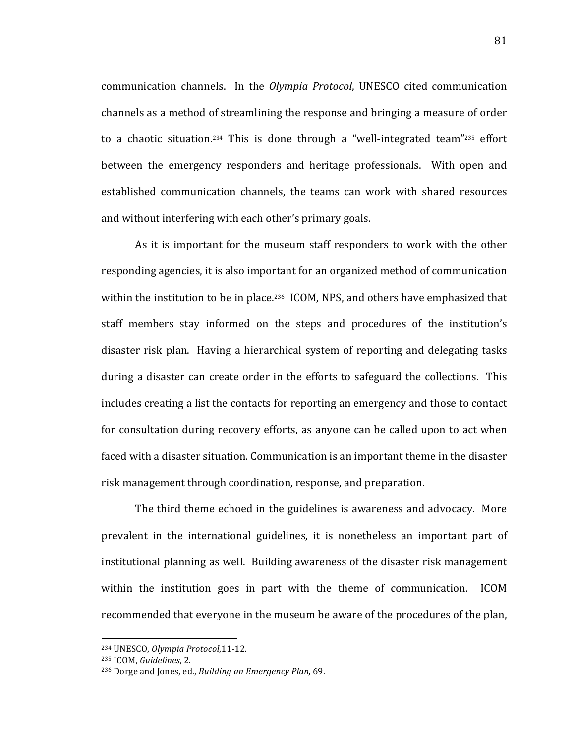communication channels. In the *Olympia Protocol*, UNESCO cited communication channels as a method of streamlining the response and bringing a measure of order to a chaotic situation.<sup>234</sup> This is done through a "well-integrated team"<sup>235</sup> effort between the emergency responders and heritage professionals. With open and established communication channels, the teams can work with shared resources and without interfering with each other's primary goals.

As it is important for the museum staff responders to work with the other responding agencies, it is also important for an organized method of communication within the institution to be in place.<sup>236</sup> ICOM, NPS, and others have emphasized that staff members stay informed on the steps and procedures of the institution's disaster risk plan. Having a hierarchical system of reporting and delegating tasks during a disaster can create order in the efforts to safeguard the collections. This includes creating a list the contacts for reporting an emergency and those to contact for consultation during recovery efforts, as anyone can be called upon to act when faced with a disaster situation. Communication is an important theme in the disaster risk management through coordination, response, and preparation.

The third theme echoed in the guidelines is awareness and advocacy. More prevalent in the international guidelines, it is nonetheless an important part of institutional planning as well. Building awareness of the disaster risk management within the institution goes in part with the theme of communication. ICOM recommended that everyone in the museum be aware of the procedures of the plan,

<sup>!!!!!!!!!!!!!!!!!!!!!!!!!!!!!!!!!!!!!!!!!!!!!!!!!!!!!!!</sup> <sup>234</sup> UNESCO, *Olympia Protocol*,11-12.

<sup>235</sup> ICOM, *Guidelines*, 2.

<sup>&</sup>lt;sup>236</sup> Dorge and Jones, ed., *Building an Emergency Plan*, 69.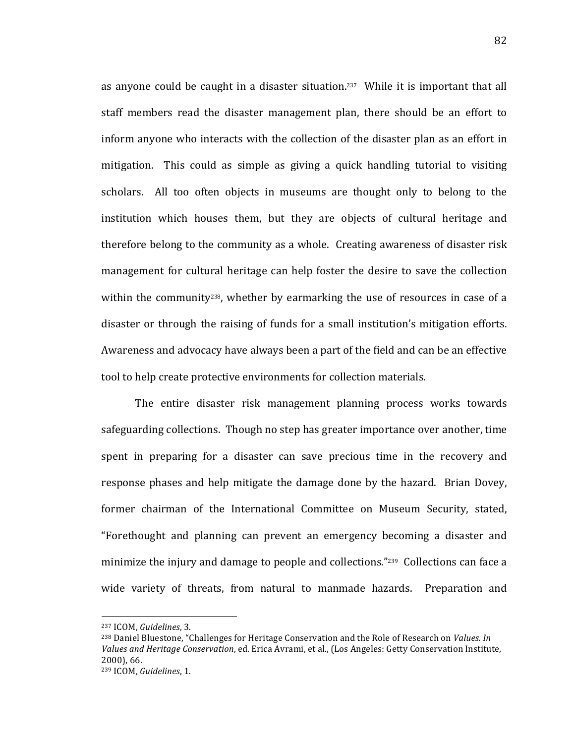as anyone could be caught in a disaster situation.<sup>237</sup> While it is important that all staff members read the disaster management plan, there should be an effort to inform anyone who interacts with the collection of the disaster plan as an effort in mitigation. This could as simple as giving a quick handling tutorial to visiting scholars. All too often objects in museums are thought only to belong to the institution which houses them, but they are objects of cultural heritage and therefore belong to the community as a whole. Creating awareness of disaster risk management for cultural heritage can help foster the desire to save the collection within the community<sup>238</sup>, whether by earmarking the use of resources in case of a disaster or through the raising of funds for a small institution's mitigation efforts. Awareness and advocacy have always been a part of the field and can be an effective tool to help create protective environments for collection materials.

The entire disaster risk management planning process works towards safeguarding collections. Though no step has greater importance over another, time spent in preparing for a disaster can save precious time in the recovery and response phases and help mitigate the damage done by the hazard. Brian Dovey, former chairman of the International Committee on Museum Security, stated, "Forethought and planning can prevent an emergency becoming a disaster and minimize the injury and damage to people and collections."<sup>239</sup> Collections can face a wide variety of threats, from natural to manmade hazards. Preparation and

<sup>237</sup> ICOM, *Guidelines*, 3.

<sup>&</sup>lt;sup>238</sup> Daniel Bluestone, "Challenges for Heritage Conservation and the Role of Research on *Values. In* Values and Heritage Conservation, ed. Erica Avrami, et al., (Los Angeles: Getty Conservation Institute,  $2000$ , 66.

<sup>&</sup>lt;sup>239</sup> ICOM, *Guidelines*, 1.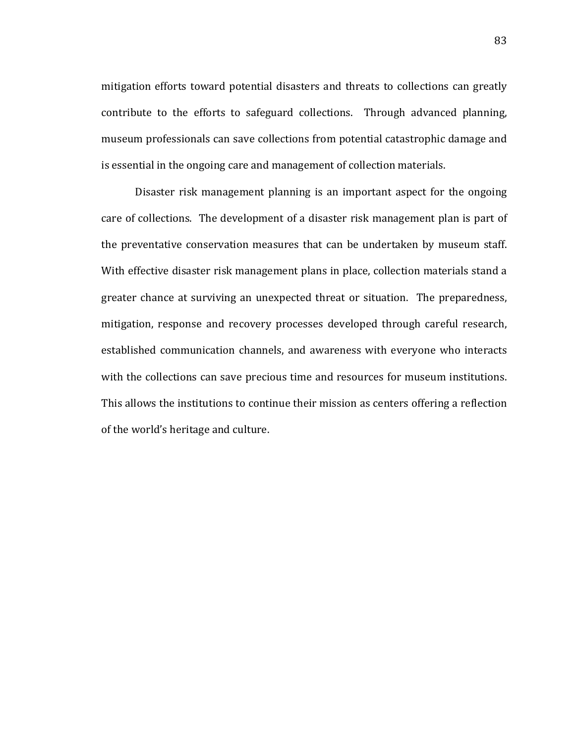mitigation efforts toward potential disasters and threats to collections can greatly contribute to the efforts to safeguard collections. Through advanced planning, museum professionals can save collections from potential catastrophic damage and is essential in the ongoing care and management of collection materials.

Disaster risk management planning is an important aspect for the ongoing care of collections. The development of a disaster risk management plan is part of the preventative conservation measures that can be undertaken by museum staff. With effective disaster risk management plans in place, collection materials stand a greater chance at surviving an unexpected threat or situation. The preparedness, mitigation, response and recovery processes developed through careful research, established communication channels, and awareness with everyone who interacts with the collections can save precious time and resources for museum institutions. This allows the institutions to continue their mission as centers offering a reflection of the world's heritage and culture.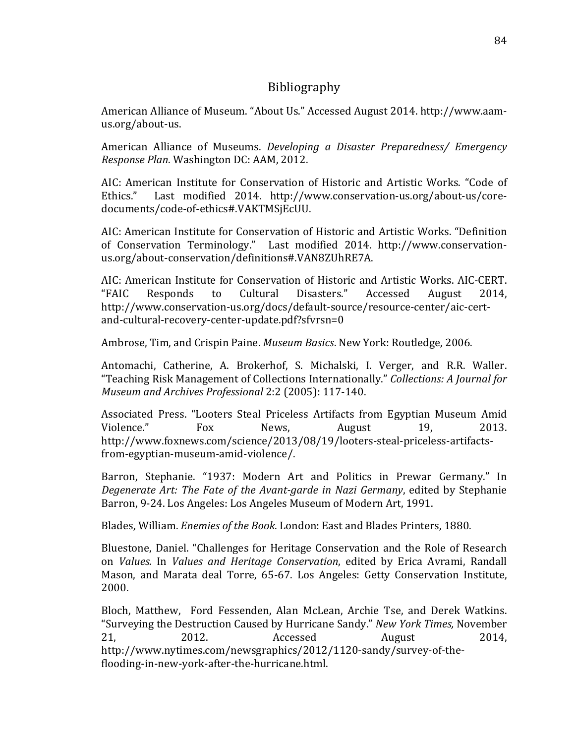# **Bibliography**

American Alliance of Museum. "About Us." Accessed August 2014. http://www.aamus.org/about-us.

American Alliance of Museums. *Developing a Disaster Preparedness/ Emergency Response Plan.* Washington DC: AAM, 2012.

AIC: American Institute for Conservation of Historic and Artistic Works. "Code of Ethics." Last modified 2014. http://www.conservation-us.org/about-us/coredocuments/code-of-ethics#.VAKTMSjEcUU.

AIC: American Institute for Conservation of Historic and Artistic Works. "Definition of Conservation Terminology." Last modified 2014. http://www.conservationus.org/about-conservation/definitions#.VAN8ZUhRE7A.

AIC: American Institute for Conservation of Historic and Artistic Works. AIC-CERT. "FAIC! Responds! to! Cultural! Disasters."! Accessed! August! 2014,! http://www.conservation-us.org/docs/default-source/resource-center/aic-certand-cultural-recovery-center-update.pdf?sfvrsn=0

Ambrose, Tim, and Crispin Paine. *Museum Basics*. New York: Routledge, 2006.

Antomachi, Catherine, A. Brokerhof, S. Michalski, I. Verger, and R.R. Waller. "Teaching Risk Management of Collections Internationally." *Collections: A Journal for Museum and Archives Professional* 2:2 (2005): 117-140.

Associated Press. "Looters Steal Priceless Artifacts from Egyptian Museum Amid Violence." Fox News, August 19, 2013. http://www.foxnews.com/science/2013/08/19/looters-steal-priceless-artifactsfrom-egyptian-museum-amid-violence/.

Barron, Stephanie. "1937: Modern Art and Politics in Prewar Germany." In *Degenerate Art: The Fate of the Avant-garde in Nazi Germany*, edited by Stephanie Barron, 9-24. Los Angeles: Los Angeles Museum of Modern Art, 1991.

Blades, William. *Enemies of the Book*. London: East and Blades Printers, 1880.

Bluestone, Daniel. "Challenges for Heritage Conservation and the Role of Research on *Values.* In *Values and Heritage Conservation*, edited by Erica Avrami, Randall Mason, and Marata deal Torre, 65-67. Los Angeles: Getty Conservation Institute, 2000.

Bloch, Matthew, Ford Fessenden, Alan McLean, Archie Tse, and Derek Watkins. "Surveying the Destruction Caused by Hurricane Sandy." *New York Times*, November 21, 2012. Accessed August 2014, http://www.nytimes.com/newsgraphics/2012/1120-sandy/survey-of-theflooding-in-new-york-after-the-hurricane.html.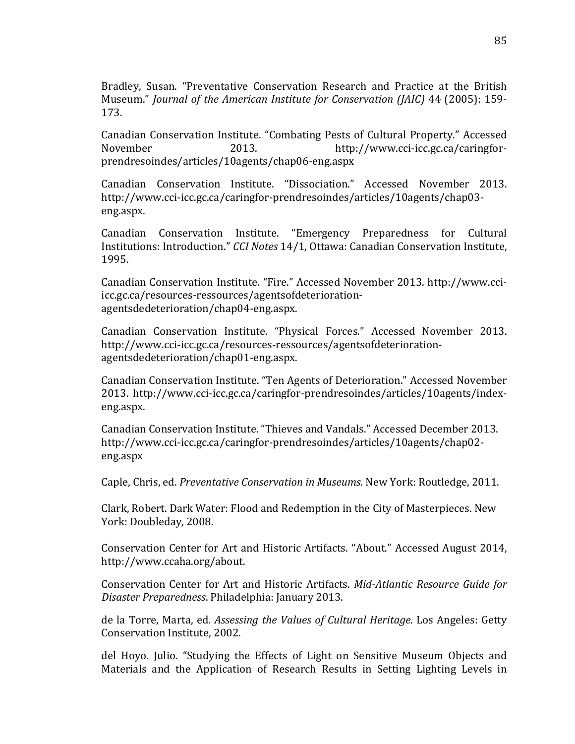Bradley, Susan. "Preventative Conservation Research and Practice at the British Museum." *Journal of the American Institute for Conservation (JAIC)* 44 (2005): 159-173.

Canadian Conservation Institute. "Combating Pests of Cultural Property." Accessed November 2013. http://www.cci-icc.gc.ca/caringforprendresoindes/articles/10agents/chap06]eng.aspx

Canadian Conservation Institute. "Dissociation." Accessed November 2013. http://www.cci-icc.gc.ca/caringfor-prendresoindes/articles/10agents/chap03eng.aspx.

Canadian Conservation Institute. "Emergency Preparedness for Cultural Institutions: Introduction." *CCI Notes* 14/1, Ottawa: Canadian Conservation Institute, 1995.

Canadian Conservation Institute. "Fire." Accessed November 2013. http://www.cciicc.gc.ca/resources-ressources/agentsofdeteriorationagentsdedeterioration/chap04-eng.aspx.

Canadian Conservation Institute. "Physical Forces." Accessed November 2013. http://www.cci-icc.gc.ca/resources-ressources/agentsofdeteriorationagentsdedeterioration/chap01-eng.aspx.

Canadian Conservation Institute. "Ten Agents of Deterioration." Accessed November 2013. http://www.cci-icc.gc.ca/caringfor-prendresoindes/articles/10agents/indexeng.aspx.

Canadian Conservation Institute. "Thieves and Vandals." Accessed December 2013. http://www.cci-icc.gc.ca/caringfor-prendresoindes/articles/10agents/chap02eng.aspx

Caple, Chris, ed. *Preventative Conservation in Museums*. New York: Routledge, 2011.

Clark, Robert. Dark Water: Flood and Redemption in the City of Masterpieces. New York: Doubleday, 2008.

Conservation Center for Art and Historic Artifacts. "About." Accessed August 2014, http://www.ccaha.org/about.

Conservation Center for Art and Historic Artifacts. *Mid-Atlantic Resource Guide for Disaster Preparedness.* Philadelphia: January 2013.

de la Torre, Marta, ed. *Assessing the Values of Cultural Heritage*. Los Angeles: Getty Conservation Institute, 2002.

del Hoyo. Julio. "Studying the Effects of Light on Sensitive Museum Objects and Materials and the Application of Research Results in Setting Lighting Levels in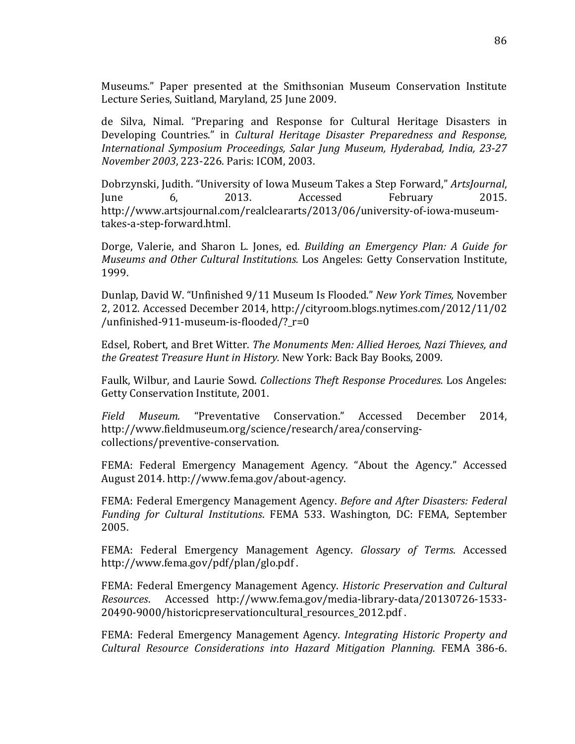Museums." Paper presented at the Smithsonian Museum Conservation Institute Lecture Series, Suitland, Maryland, 25 June 2009.

de Silva, Nimal. "Preparing and Response for Cultural Heritage Disasters in Developing Countries." in *Cultural Heritage Disaster Preparedness and Response*, *International& Symposium& Proceedings,& Salar& Jung& Museum,& Hyderabad,& India,& 23I27& November 2003, 223-226. Paris: ICOM, 2003.* 

Dobrzynski, Judith. "University of Iowa Museum Takes a Step Forward," *ArtsJournal*, Iune 6, 2013. Accessed February 2015. http://www.artsjournal.com/realcleararts/2013/06/university-of-iowa-museumtakes-a-step-forward.html.

Dorge, Valerie, and Sharon L. Jones, ed. *Building an Emergency Plan: A Guide for Museums and Other Cultural Institutions.* Los Angeles: Getty Conservation Institute, 1999.

Dunlap, David W. "Unfinished 9/11 Museum Is Flooded." *New York Times*, November 2, 2012. Accessed December 2014, http://cityroom.blogs.nytimes.com/2012/11/02 /unfinished-911-museum-is-flooded/? $r=0$ 

Edsel,!Robert,!and!Bret!Witter.!*The&Monuments&Men:&Allied&Heroes,&Nazi&Thieves,&and& the Greatest Treasure Hunt in History.* New York: Back Bay Books, 2009.

Faulk, Wilbur, and Laurie Sowd. *Collections Theft Response Procedures*. Los Angeles: Getty Conservation Institute, 2001.

*Field& Museum.&* "Preventative! Conservation."! Accessed! December! 2014,! http://www.fieldmuseum.org/science/research/area/conservingcollections/preventive-conservation.

FEMA: Federal Emergency Management Agency. "About the Agency." Accessed August 2014. http://www.fema.gov/about-agency.

FEMA: Federal Emergency Management Agency. *Before and After Disasters: Federal Funding for Cultural Institutions. FEMA 533. Washington, DC: FEMA, September* 2005.

FEMA: Federal Emergency Management Agency. *Glossary of Terms*. Accessed http://www.fema.gov/pdf/plan/glo.pdf.

FEMA: Federal Emergency Management Agency. *Historic Preservation and Cultural Resources.* Accessed http://www.fema.gov/media-library-data/20130726-1533-20490-9000/historicpreservationcultural resources 2012.pdf.

FEMA: Federal Emergency Management Agency. *Integrating Historic Property and Cultural Resource Considerations into Hazard Mitigation Planning. FEMA 386-6.*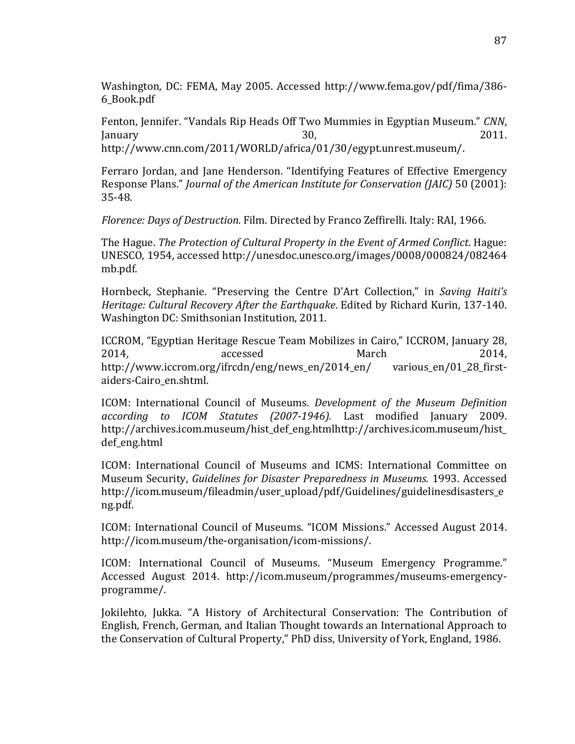Washington, DC: FEMA, May 2005. Accessed http://www.fema.gov/pdf/fima/386-6\_Book.pdf

Fenton, Jennifer. "Vandals Rip Heads Off Two Mummies in Egyptian Museum." *CNN*,  $J$ anuary  $30,$   $30,$   $2011.$ http://www.cnn.com/2011/WORLD/africa/01/30/egypt.unrest.museum/.

Ferraro Jordan, and Jane Henderson. "Identifying Features of Effective Emergency Response Plans." *Journal of the American Institute for Conservation (JAIC)* 50 (2001): 35-48.

*Florence: Days of Destruction.* Film. Directed by Franco Zeffirelli. Italy: RAI, 1966.

The Hague. *The Protection of Cultural Property in the Event of Armed Conflict*. Hague: UNESCO, 1954, accessed http://unesdoc.unesco.org/images/0008/000824/082464 mb.pdf.

Hornbeck, Stephanie. "Preserving the Centre D'Art Collection," in *Saving Haiti's Heritage: Cultural Recovery After the Earthquake. Edited by Richard Kurin, 137-140.* Washington DC: Smithsonian Institution, 2011.

ICCROM, "Egyptian Heritage Rescue Team Mobilizes in Cairo," ICCROM, January 28, 2014, 2014, accessed March 2014, http://www.iccrom.org/ifrcdn/eng/news\_en/2014\_en/ various\_en/01\_28\_firstaiders-Cairo en.shtml.

ICOM: International Council of Museums. *Development of the Museum Definition* according to ICOM Statutes (2007-1946). Last modified January 2009. http://archives.icom.museum/hist\_def\_eng.htmlhttp://archives.icom.museum/hist\_ def\_eng.html

ICOM: International Council of Museums and ICMS: International Committee on Museum Security, *Guidelines for Disaster Preparedness in Museums.* 1993. Accessed http://icom.museum/fileadmin/user\_upload/pdf/Guidelines/guidelinesdisasters\_e\_ ng.pdf.

ICOM: International Council of Museums. "ICOM Missions." Accessed August 2014. http://icom.museum/the-organisation/icom-missions/.

ICOM: International Council of Museums. "Museum Emergency Programme." Accessed August 2014. http://icom.museum/programmes/museums-emergencyprogramme/.

Jokilehto, Jukka. "A History of Architectural Conservation: The Contribution of English, French, German, and Italian Thought towards an International Approach to the Conservation of Cultural Property," PhD diss, University of York, England, 1986.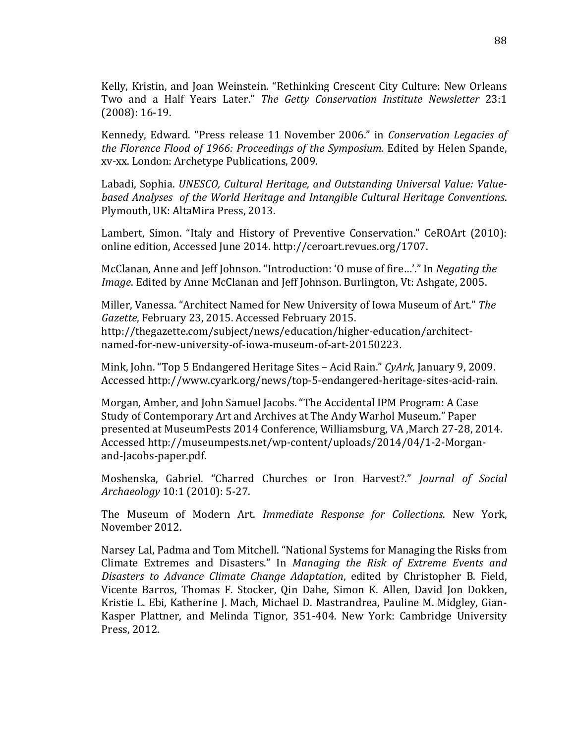Kelly, Kristin, and Joan Weinstein. "Rethinking Crescent City Culture: New Orleans Two and a Half Years Later." The Getty Conservation Institute Newsletter 23:1  $(2008): 16-19.$ 

Kennedy, Edward. "Press release 11 November 2006." in *Conservation Legacies of the Florence Flood of 1966: Proceedings of the Symposium. Edited by Helen Spande,* xv-xx. London: Archetype Publications, 2009.

Labadi, Sophia. *UNESCO, Cultural Heritage, and Outstanding Universal Value: Value*based Analyses of the World Heritage and Intangible Cultural Heritage Conventions. Plymouth, UK: AltaMira Press, 2013.

Lambert, Simon. "Italy and History of Preventive Conservation." CeROArt (2010): online edition, Accessed June 2014. http://ceroart.revues.org/1707.

McClanan, Anne and Jeff Johnson. "Introduction: 'O muse of fire...'." In *Negating the Image*. Edited by Anne McClanan and Jeff Johnson. Burlington, Vt: Ashgate, 2005.

Miller, Vanessa. "Architect Named for New University of Iowa Museum of Art." The *Gazette*, February 23, 2015. Accessed February 2015. http://thegazette.com/subject/news/education/higher-education/architectnamed-for-new-university-of-iowa-museum-of-art-20150223.

Mink, John. "Top 5 Endangered Heritage Sites – Acid Rain." *CyArk*, January 9, 2009. Accessed http://www.cyark.org/news/top-5-endangered-heritage-sites-acid-rain.

Morgan, Amber, and John Samuel Jacobs. "The Accidental IPM Program: A Case Study of Contemporary Art and Archives at The Andy Warhol Museum." Paper presented at MuseumPests 2014 Conference, Williamsburg, VA ,March 27-28, 2014. Accessed http://museumpests.net/wp-content/uploads/2014/04/1-2-Morganand-Jacobs-paper.pdf.

Moshenska,! Gabriel.! "Charred! Churches! or! Iron! Harvest?."! *Journal& of& Social& Archaeology* 10:1 (2010): 5-27.

The Museum of Modern Art. *Immediate Response for Collections*. New York, November 2012.

Narsey Lal, Padma and Tom Mitchell. "National Systems for Managing the Risks from Climate Extremes and Disasters." In *Managing the Risk of Extreme Events and Disasters to Advance Climate Change Adaptation*, edited by Christopher B. Field, Vicente Barros, Thomas F. Stocker, Qin Dahe, Simon K. Allen, David Jon Dokken, Kristie L. Ebi, Katherine J. Mach, Michael D. Mastrandrea, Pauline M. Midgley, Gian-Kasper Plattner, and Melinda Tignor, 351-404. New York: Cambridge University Press, 2012.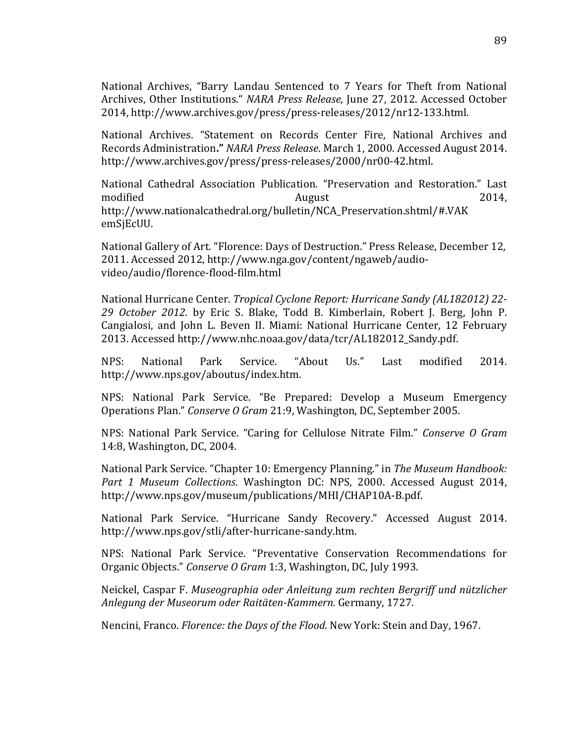National Archives, "Barry Landau Sentenced to 7 Years for Theft from National Archives, Other Institutions." *NARA Press Release*, June 27, 2012. Accessed October 2014, http://www.archives.gov/press/press-releases/2012/nr12-133.html.

National Archives. "Statement on Records Center Fire, National Archives and Records Administration." NARA Press Release. March 1, 2000. Accessed August 2014. http://www.archives.gov/press/press-releases/2000/nr00-42.html.

National Cathedral Association Publication. "Preservation and Restoration." Last modified and a new August 2014, http://www.nationalcathedral.org/bulletin/NCA\_Preservation.shtml/#.VAK emSjEcUU.

National Gallery of Art. "Florence: Days of Destruction." Press Release, December 12, 2011. Accessed 2012, http://www.nga.gov/content/ngaweb/audiovideo/audio/florence-flood-film.html

National Hurricane Center. *Tropical Cyclone Report: Hurricane Sandy (AL182012) 22-*29 October 2012. by Eric S. Blake, Todd B. Kimberlain, Robert J. Berg, John P. Cangialosi, and John L. Beven II. Miami: National Hurricane Center, 12 February 2013. Accessed http://www.nhc.noaa.gov/data/tcr/AL182012\_Sandy.pdf.

NPS: National Park Service. "About Us." Last modified 2014. http://www.nps.gov/aboutus/index.htm.

NPS: National Park Service. "Be Prepared: Develop a Museum Emergency Operations Plan." Conserve O Gram 21:9, Washington, DC, September 2005.

NPS: National Park Service. "Caring for Cellulose Nitrate Film." *Conserve O Gram* 14:8, Washington, DC, 2004.

National Park Service. "Chapter 10: Emergency Planning." in The Museum Handbook: *Part 1 Museum Collections.* Washington DC: NPS, 2000. Accessed August 2014, http://www.nps.gov/museum/publications/MHI/CHAP10A-B.pdf.

National Park Service. "Hurricane Sandy Recovery." Accessed August 2014. http://www.nps.gov/stli/after-hurricane-sandy.htm.

NPS: National Park Service. "Preventative Conservation Recommendations for Organic Objects." *Conserve O Gram* 1:3, Washington, DC, July 1993.

Neickel, Caspar F. *Museographia oder Anleitung zum rechten Bergriff und nützlicher Anlegung&der&Museorum&oder&RaitätenIKammern.&*Germany,!1727.

Nencini, Franco. *Florence: the Days of the Flood.* New York: Stein and Day, 1967.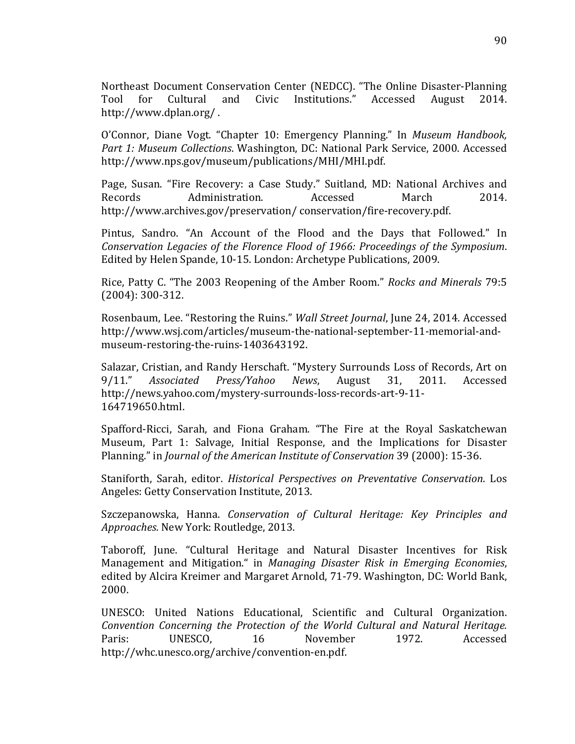Northeast Document Conservation Center (NEDCC). "The Online Disaster-Planning Tool for Cultural and Civic Institutions." Accessed August 2014. http://www.dplan.org/.

O'Connor, Diane Vogt. "Chapter 10: Emergency Planning." In Museum Handbook, *Part 1: Museum Collections.* Washington, DC: National Park Service, 2000. Accessed http://www.nps.gov/museum/publications/MHI/MHI.pdf.

Page, Susan. "Fire Recovery: a Case Study." Suitland, MD: National Archives and Records March Administration. Accessed March 2014. http://www.archives.gov/preservation/conservation/fire-recovery.pdf.

Pintus, Sandro. "An Account of the Flood and the Days that Followed." In *Conservation Legacies of the Florence Flood of 1966: Proceedings of the Symposium.* Edited by Helen Spande, 10-15. London: Archetype Publications, 2009.

Rice, Patty C. "The 2003 Reopening of the Amber Room." *Rocks and Minerals* 79:5  $(2004): 300-312.$ 

Rosenbaum, Lee. "Restoring the Ruins." *Wall Street Journal*, June 24, 2014. Accessed http://www.wsj.com/articles/museum-the-national-september-11-memorial-andmuseum-restoring-the-ruins-1403643192.

Salazar, Cristian, and Randy Herschaft. "Mystery Surrounds Loss of Records, Art on 9/11." Associated Press/Yahoo News, August 31, 2011. Accessed http://news.yahoo.com/mystery-surrounds-loss-records-art-9-11-164719650.html.

Spafford-Ricci, Sarah, and Fiona Graham. "The Fire at the Royal Saskatchewan Museum, Part 1: Salvage, Initial Response, and the Implications for Disaster Planning." in *Journal of the American Institute of Conservation* 39 (2000): 15-36.

Staniforth, Sarah, editor. *Historical Perspectives on Preventative Conservation*. Los Angeles: Getty Conservation Institute, 2013.

Szczepanowska, Hanna. *Conservation of Cultural Heritage: Key Principles and* Approaches. New York: Routledge, 2013.

Taboroff, June. "Cultural Heritage and Natural Disaster Incentives for Risk Management and Mitigation." in *Managing Disaster Risk in Emerging Economies*, edited by Alcira Kreimer and Margaret Arnold, 71-79. Washington, DC: World Bank, 2000.

UNESCO: United Nations Educational, Scientific and Cultural Organization. *Convention& Concerning& the& Protection& of& the& World& Cultural& and& Natural& Heritage.&* Paris: UNESCO, 16 November 1972. Accessed http://whc.unesco.org/archive/convention-en.pdf.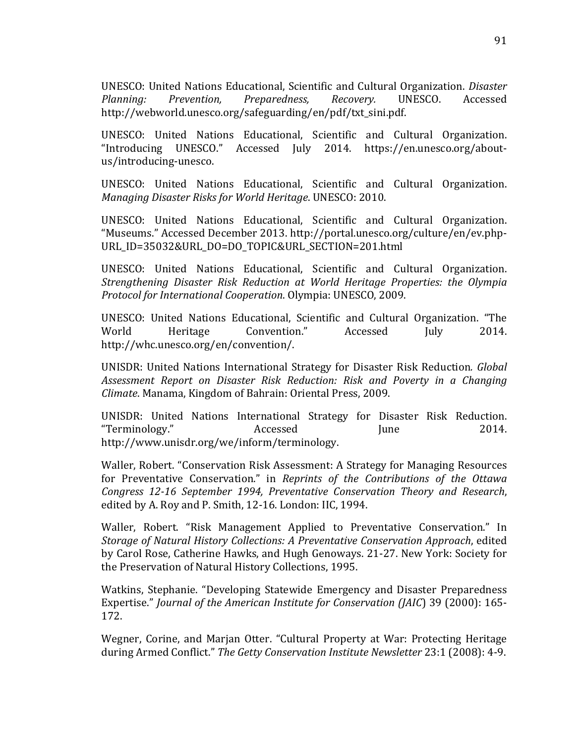UNESCO:!United!Nations!Educational,!Scientific!and!Cultural!Organization.!*Disaster& Planning:& Prevention,& Preparedness,& Recovery.*! UNESCO.! Accessed! http://webworld.unesco.org/safeguarding/en/pdf/txt\_sini.pdf.

UNESCO: United Nations Educational, Scientific and Cultural Organization. "Introducing UNESCO." Accessed July 2014. https://en.unesco.org/aboutus/introducing-unesco.

UNESCO: United Nations Educational, Scientific and Cultural Organization. *Managing Disaster Risks for World Heritage.* UNESCO: 2010.

UNESCO: United Nations Educational, Scientific and Cultural Organization. "Museums." Accessed December 2013. http://portal.unesco.org/culture/en/ev.php-URL\_ID=35032&URL\_DO=DO\_TOPIC&URL\_SECTION=201.html

UNESCO: United Nations Educational, Scientific and Cultural Organization. *Strengthening& Disaster& Risk& Reduction& at& World& Heritage& Properties:& the& Olympia& Protocol for International Cooperation. Olympia: UNESCO, 2009.* 

UNESCO:! United! Nations! Educational,! Scientific! and! Cultural! Organization.! "The! World Heritage Convention." Accessed July 2014. http://whc.unesco.org/en/convention/.

UNISDR:!United!Nations! International!Strategy! for!Disaster!Risk!Reduction*.& Global& Assessment& Report& on& Disaster& Risk& Reduction:& Risk& and& Poverty& in& a& Changing& Climate.* Manama, Kingdom of Bahrain: Oriental Press, 2009.

UNISDR: United Nations International Strategy for Disaster Risk Reduction. "Terminology." Accessed June 2014. http://www.unisdr.org/we/inform/terminology.!

Waller, Robert. "Conservation Risk Assessment: A Strategy for Managing Resources for Preventative Conservation." in *Reprints of the Contributions of the Ottawa Congress 12-16 September 1994, Preventative Conservation Theory and Research,* edited by A. Roy and P. Smith, 12-16. London: IIC, 1994.

Waller, Robert. "Risk Management Applied to Preventative Conservation." In *Storage of Natural History Collections: A Preventative Conservation Approach, edited* by Carol Rose, Catherine Hawks, and Hugh Genoways. 21-27. New York: Society for the Preservation of Natural History Collections, 1995.

Watkins, Stephanie. "Developing Statewide Emergency and Disaster Preparedness Expertise." *Journal of the American Institute for Conservation (JAIC*) 39 (2000): 165-172.

Wegner, Corine, and Marjan Otter. "Cultural Property at War: Protecting Heritage during Armed Conflict." The Getty Conservation Institute Newsletter 23:1 (2008): 4-9.